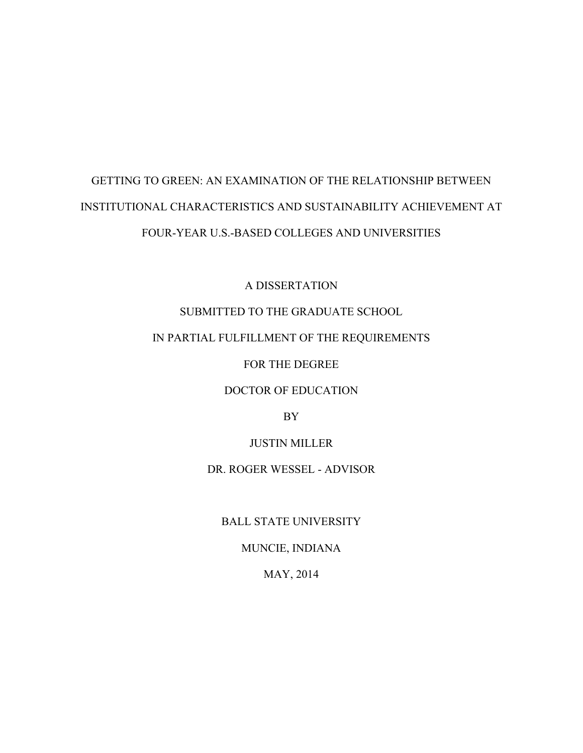# GETTING TO GREEN: AN EXAMINATION OF THE RELATIONSHIP BETWEEN INSTITUTIONAL CHARACTERISTICS AND SUSTAINABILITY ACHIEVEMENT AT FOUR-YEAR U.S.-BASED COLLEGES AND UNIVERSITIES

A DISSERTATION

# SUBMITTED TO THE GRADUATE SCHOOL

# IN PARTIAL FULFILLMENT OF THE REQUIREMENTS

FOR THE DEGREE

DOCTOR OF EDUCATION

BY

JUSTIN MILLER

DR. ROGER WESSEL - ADVISOR

BALL STATE UNIVERSITY

MUNCIE, INDIANA

MAY, 2014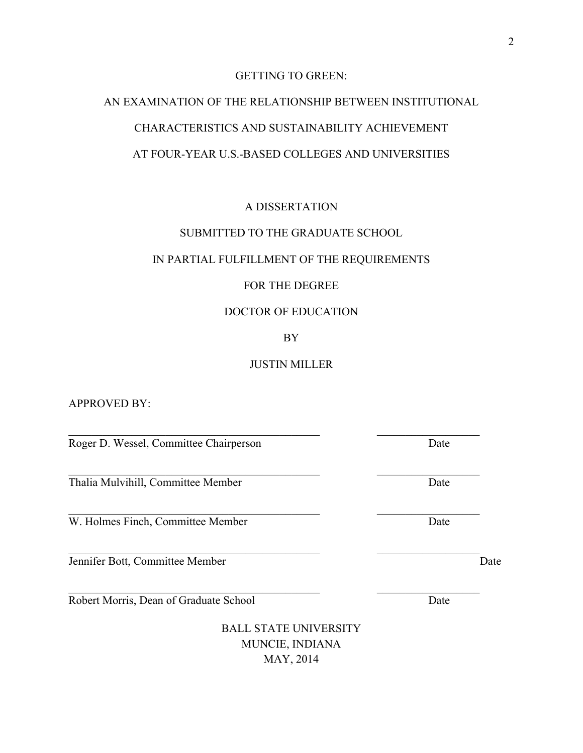# GETTING TO GREEN:

# AN EXAMINATION OF THE RELATIONSHIP BETWEEN INSTITUTIONAL CHARACTERISTICS AND SUSTAINABILITY ACHIEVEMENT AT FOUR-YEAR U.S.-BASED COLLEGES AND UNIVERSITIES

# A DISSERTATION

# SUBMITTED TO THE GRADUATE SCHOOL

#### IN PARTIAL FULFILLMENT OF THE REQUIREMENTS

# FOR THE DEGREE

#### DOCTOR OF EDUCATION

#### BY

#### JUSTIN MILLER

 $\mathcal{L}_\text{max}$  , and the contribution of the contribution of the contribution of the contribution of the contribution of the contribution of the contribution of the contribution of the contribution of the contribution of t

 $\mathcal{L}_\text{max} = \frac{1}{2} \sum_{i=1}^n \mathcal{L}_\text{max}(\mathbf{z}_i - \mathbf{z}_i)$ 

 $\mathcal{L}_\text{max} = \frac{1}{2} \sum_{i=1}^n \mathcal{L}_\text{max}(\mathbf{z}_i - \mathbf{z}_i)$ 

 $\mathcal{L}_\text{max} = \frac{1}{2} \sum_{i=1}^n \mathcal{L}_\text{max}(\mathbf{z}_i - \mathbf{z}_i)$ 

APPROVED BY:

Roger D. Wessel, Committee Chairperson Date

Thalia Mulvihill, Committee Member Date

W. Holmes Finch, Committee Member Date

Jennifer Bott, Committee Member Date

Robert Morris, Dean of Graduate School Date

BALL STATE UNIVERSITY MUNCIE, INDIANA MAY, 2014

 $\mathcal{L}_\text{max}$  , and the contribution of the contribution of the contribution of the contribution of the contribution of the contribution of the contribution of the contribution of the contribution of the contribution of t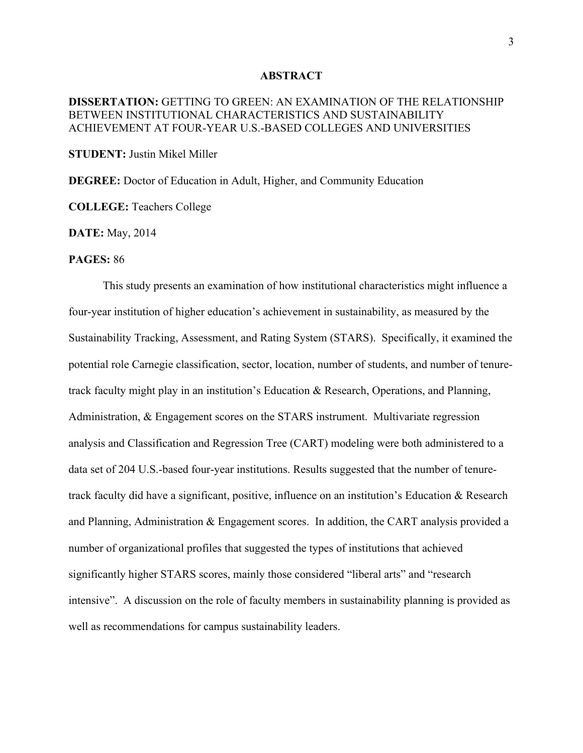#### **ABSTRACT**

## **DISSERTATION:** GETTING TO GREEN: AN EXAMINATION OF THE RELATIONSHIP BETWEEN INSTITUTIONAL CHARACTERISTICS AND SUSTAINABILITY ACHIEVEMENT AT FOUR-YEAR U.S.-BASED COLLEGES AND UNIVERSITIES

**STUDENT:** Justin Mikel Miller

**DEGREE:** Doctor of Education in Adult, Higher, and Community Education

**COLLEGE:** Teachers College

**DATE:** May, 2014

#### **PAGES:** 86

This study presents an examination of how institutional characteristics might influence a four-year institution of higher education's achievement in sustainability, as measured by the Sustainability Tracking, Assessment, and Rating System (STARS). Specifically, it examined the potential role Carnegie classification, sector, location, number of students, and number of tenuretrack faculty might play in an institution's Education & Research, Operations, and Planning, Administration, & Engagement scores on the STARS instrument. Multivariate regression analysis and Classification and Regression Tree (CART) modeling were both administered to a data set of 204 U.S.-based four-year institutions. Results suggested that the number of tenuretrack faculty did have a significant, positive, influence on an institution's Education & Research and Planning, Administration & Engagement scores. In addition, the CART analysis provided a number of organizational profiles that suggested the types of institutions that achieved significantly higher STARS scores, mainly those considered "liberal arts" and "research intensive". A discussion on the role of faculty members in sustainability planning is provided as well as recommendations for campus sustainability leaders.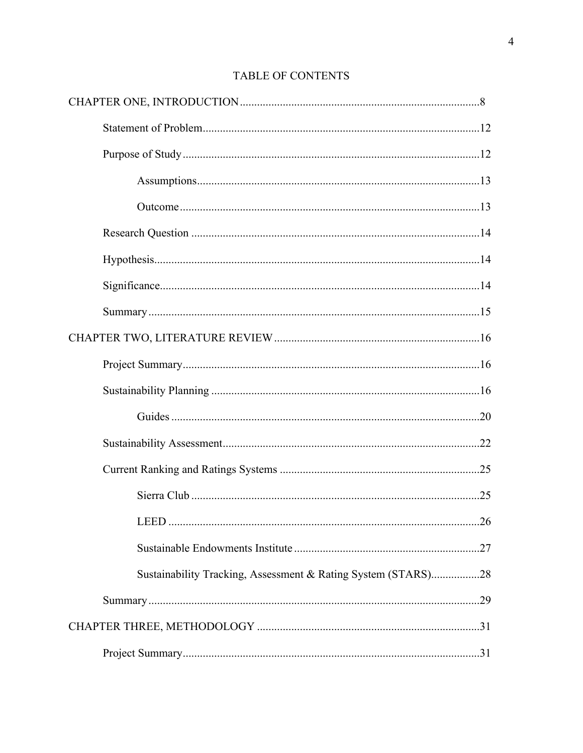| Sustainability Tracking, Assessment & Rating System (STARS)28 |  |
|---------------------------------------------------------------|--|
|                                                               |  |
|                                                               |  |
|                                                               |  |

# TABLE OF CONTENTS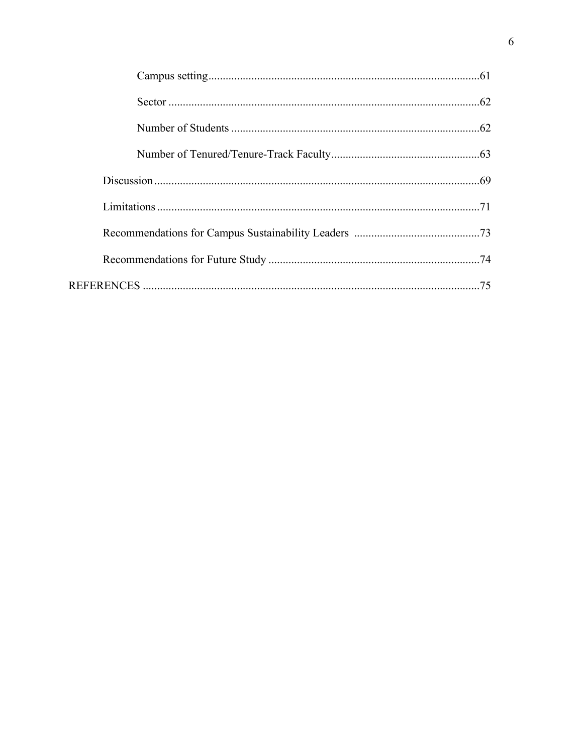| .74 |
|-----|
| 75  |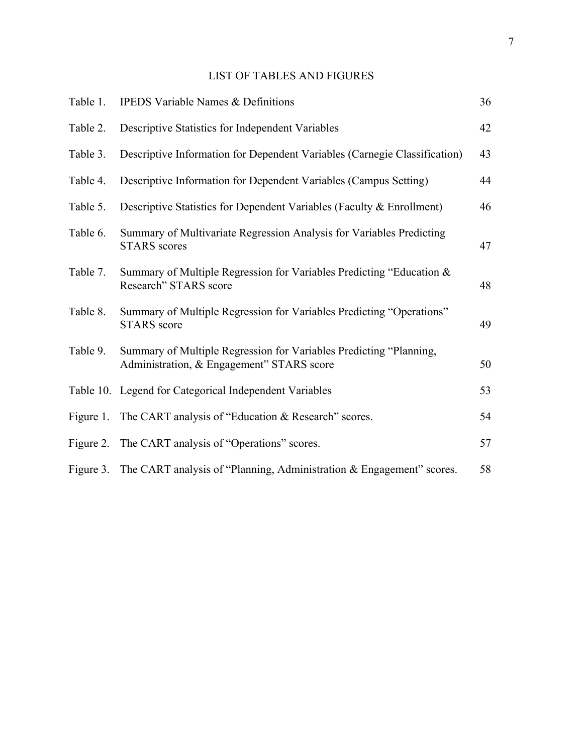# LIST OF TABLES AND FIGURES

| Table 1.  | <b>IPEDS Variable Names &amp; Definitions</b>                                                                   | 36 |
|-----------|-----------------------------------------------------------------------------------------------------------------|----|
| Table 2.  | Descriptive Statistics for Independent Variables                                                                | 42 |
| Table 3.  | Descriptive Information for Dependent Variables (Carnegie Classification)                                       | 43 |
| Table 4.  | Descriptive Information for Dependent Variables (Campus Setting)                                                | 44 |
| Table 5.  | Descriptive Statistics for Dependent Variables (Faculty & Enrollment)                                           | 46 |
| Table 6.  | Summary of Multivariate Regression Analysis for Variables Predicting<br><b>STARS</b> scores                     | 47 |
| Table 7.  | Summary of Multiple Regression for Variables Predicting "Education &<br>Research" STARS score                   | 48 |
| Table 8.  | Summary of Multiple Regression for Variables Predicting "Operations"<br><b>STARS</b> score                      | 49 |
| Table 9.  | Summary of Multiple Regression for Variables Predicting "Planning,<br>Administration, & Engagement" STARS score | 50 |
|           | Table 10. Legend for Categorical Independent Variables                                                          | 53 |
| Figure 1. | The CART analysis of "Education & Research" scores.                                                             | 54 |
|           | Figure 2. The CART analysis of "Operations" scores.                                                             | 57 |
|           | Figure 3. The CART analysis of "Planning, Administration & Engagement" scores.                                  | 58 |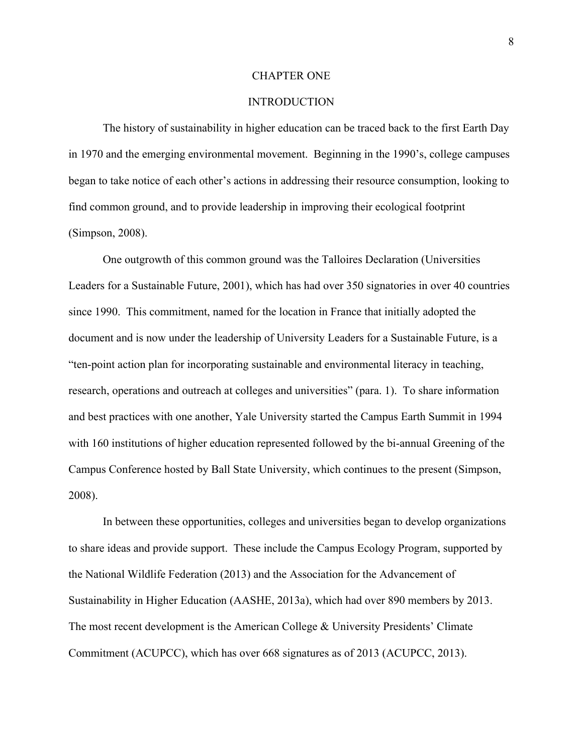#### CHAPTER ONE

#### INTRODUCTION

The history of sustainability in higher education can be traced back to the first Earth Day in 1970 and the emerging environmental movement. Beginning in the 1990's, college campuses began to take notice of each other's actions in addressing their resource consumption, looking to find common ground, and to provide leadership in improving their ecological footprint (Simpson, 2008).

One outgrowth of this common ground was the Talloires Declaration (Universities Leaders for a Sustainable Future, 2001), which has had over 350 signatories in over 40 countries since 1990. This commitment, named for the location in France that initially adopted the document and is now under the leadership of University Leaders for a Sustainable Future, is a "ten-point action plan for incorporating sustainable and environmental literacy in teaching, research, operations and outreach at colleges and universities" (para. 1). To share information and best practices with one another, Yale University started the Campus Earth Summit in 1994 with 160 institutions of higher education represented followed by the bi-annual Greening of the Campus Conference hosted by Ball State University, which continues to the present (Simpson, 2008).

In between these opportunities, colleges and universities began to develop organizations to share ideas and provide support. These include the Campus Ecology Program, supported by the National Wildlife Federation (2013) and the Association for the Advancement of Sustainability in Higher Education (AASHE, 2013a), which had over 890 members by 2013. The most recent development is the American College & University Presidents' Climate Commitment (ACUPCC), which has over 668 signatures as of 2013 (ACUPCC, 2013).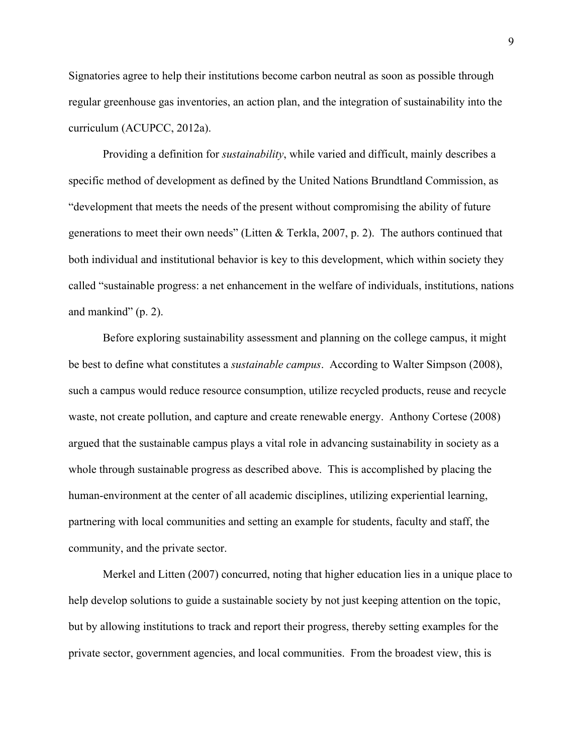Signatories agree to help their institutions become carbon neutral as soon as possible through regular greenhouse gas inventories, an action plan, and the integration of sustainability into the curriculum (ACUPCC, 2012a).

Providing a definition for *sustainability*, while varied and difficult, mainly describes a specific method of development as defined by the United Nations Brundtland Commission, as "development that meets the needs of the present without compromising the ability of future generations to meet their own needs" (Litten & Terkla, 2007, p. 2). The authors continued that both individual and institutional behavior is key to this development, which within society they called "sustainable progress: a net enhancement in the welfare of individuals, institutions, nations and mankind" (p. 2).

Before exploring sustainability assessment and planning on the college campus, it might be best to define what constitutes a *sustainable campus*. According to Walter Simpson (2008), such a campus would reduce resource consumption, utilize recycled products, reuse and recycle waste, not create pollution, and capture and create renewable energy. Anthony Cortese (2008) argued that the sustainable campus plays a vital role in advancing sustainability in society as a whole through sustainable progress as described above. This is accomplished by placing the human-environment at the center of all academic disciplines, utilizing experiential learning, partnering with local communities and setting an example for students, faculty and staff, the community, and the private sector.

Merkel and Litten (2007) concurred, noting that higher education lies in a unique place to help develop solutions to guide a sustainable society by not just keeping attention on the topic, but by allowing institutions to track and report their progress, thereby setting examples for the private sector, government agencies, and local communities. From the broadest view, this is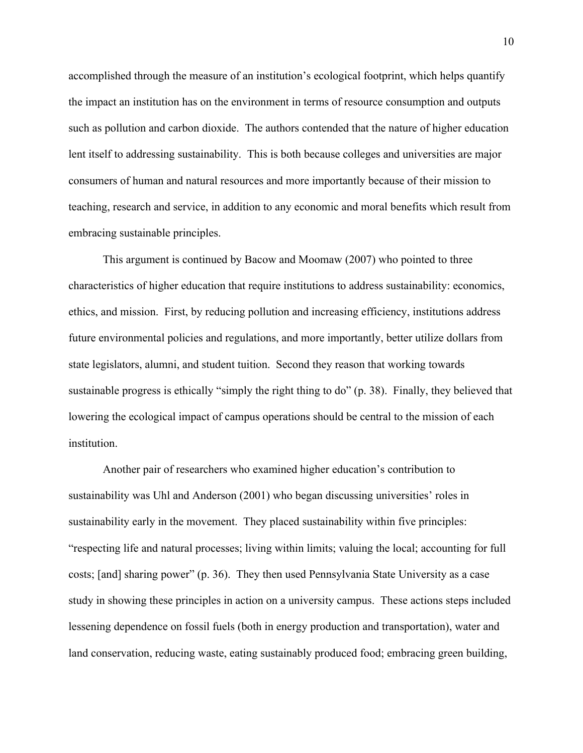accomplished through the measure of an institution's ecological footprint, which helps quantify the impact an institution has on the environment in terms of resource consumption and outputs such as pollution and carbon dioxide. The authors contended that the nature of higher education lent itself to addressing sustainability. This is both because colleges and universities are major consumers of human and natural resources and more importantly because of their mission to teaching, research and service, in addition to any economic and moral benefits which result from embracing sustainable principles.

This argument is continued by Bacow and Moomaw (2007) who pointed to three characteristics of higher education that require institutions to address sustainability: economics, ethics, and mission. First, by reducing pollution and increasing efficiency, institutions address future environmental policies and regulations, and more importantly, better utilize dollars from state legislators, alumni, and student tuition. Second they reason that working towards sustainable progress is ethically "simply the right thing to do" (p. 38). Finally, they believed that lowering the ecological impact of campus operations should be central to the mission of each institution.

Another pair of researchers who examined higher education's contribution to sustainability was Uhl and Anderson (2001) who began discussing universities' roles in sustainability early in the movement. They placed sustainability within five principles: "respecting life and natural processes; living within limits; valuing the local; accounting for full costs; [and] sharing power" (p. 36). They then used Pennsylvania State University as a case study in showing these principles in action on a university campus. These actions steps included lessening dependence on fossil fuels (both in energy production and transportation), water and land conservation, reducing waste, eating sustainably produced food; embracing green building,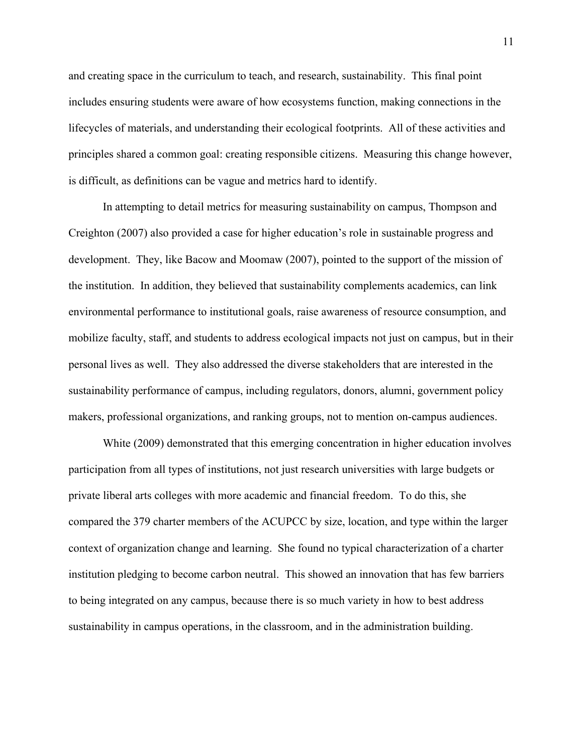and creating space in the curriculum to teach, and research, sustainability. This final point includes ensuring students were aware of how ecosystems function, making connections in the lifecycles of materials, and understanding their ecological footprints. All of these activities and principles shared a common goal: creating responsible citizens. Measuring this change however, is difficult, as definitions can be vague and metrics hard to identify.

In attempting to detail metrics for measuring sustainability on campus, Thompson and Creighton (2007) also provided a case for higher education's role in sustainable progress and development. They, like Bacow and Moomaw (2007), pointed to the support of the mission of the institution. In addition, they believed that sustainability complements academics, can link environmental performance to institutional goals, raise awareness of resource consumption, and mobilize faculty, staff, and students to address ecological impacts not just on campus, but in their personal lives as well. They also addressed the diverse stakeholders that are interested in the sustainability performance of campus, including regulators, donors, alumni, government policy makers, professional organizations, and ranking groups, not to mention on-campus audiences.

White (2009) demonstrated that this emerging concentration in higher education involves participation from all types of institutions, not just research universities with large budgets or private liberal arts colleges with more academic and financial freedom. To do this, she compared the 379 charter members of the ACUPCC by size, location, and type within the larger context of organization change and learning. She found no typical characterization of a charter institution pledging to become carbon neutral. This showed an innovation that has few barriers to being integrated on any campus, because there is so much variety in how to best address sustainability in campus operations, in the classroom, and in the administration building.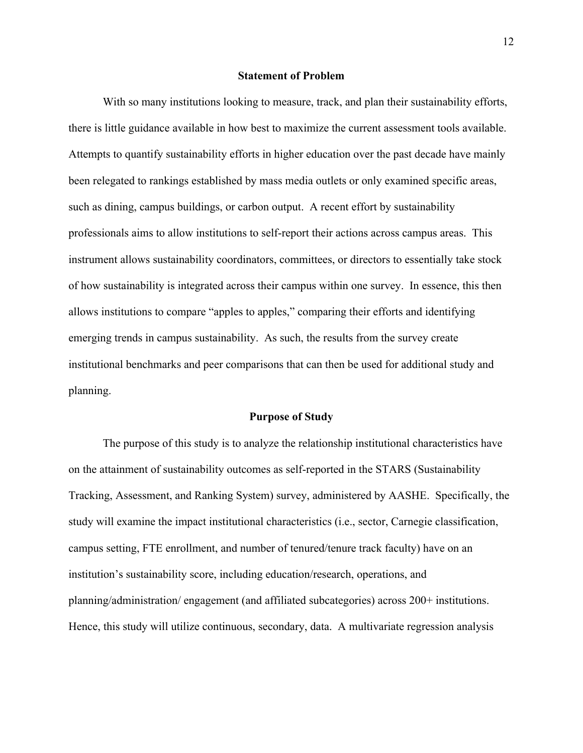#### **Statement of Problem**

With so many institutions looking to measure, track, and plan their sustainability efforts, there is little guidance available in how best to maximize the current assessment tools available. Attempts to quantify sustainability efforts in higher education over the past decade have mainly been relegated to rankings established by mass media outlets or only examined specific areas, such as dining, campus buildings, or carbon output. A recent effort by sustainability professionals aims to allow institutions to self-report their actions across campus areas. This instrument allows sustainability coordinators, committees, or directors to essentially take stock of how sustainability is integrated across their campus within one survey. In essence, this then allows institutions to compare "apples to apples," comparing their efforts and identifying emerging trends in campus sustainability. As such, the results from the survey create institutional benchmarks and peer comparisons that can then be used for additional study and planning.

#### **Purpose of Study**

The purpose of this study is to analyze the relationship institutional characteristics have on the attainment of sustainability outcomes as self-reported in the STARS (Sustainability Tracking, Assessment, and Ranking System) survey, administered by AASHE. Specifically, the study will examine the impact institutional characteristics (i.e., sector, Carnegie classification, campus setting, FTE enrollment, and number of tenured/tenure track faculty) have on an institution's sustainability score, including education/research, operations, and planning/administration/ engagement (and affiliated subcategories) across 200+ institutions. Hence, this study will utilize continuous, secondary, data. A multivariate regression analysis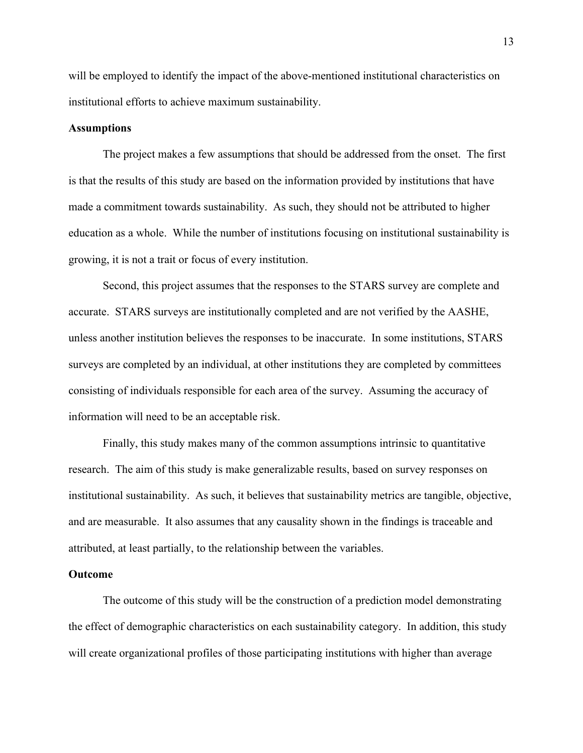will be employed to identify the impact of the above-mentioned institutional characteristics on institutional efforts to achieve maximum sustainability.

#### **Assumptions**

The project makes a few assumptions that should be addressed from the onset. The first is that the results of this study are based on the information provided by institutions that have made a commitment towards sustainability. As such, they should not be attributed to higher education as a whole. While the number of institutions focusing on institutional sustainability is growing, it is not a trait or focus of every institution.

Second, this project assumes that the responses to the STARS survey are complete and accurate. STARS surveys are institutionally completed and are not verified by the AASHE, unless another institution believes the responses to be inaccurate. In some institutions, STARS surveys are completed by an individual, at other institutions they are completed by committees consisting of individuals responsible for each area of the survey. Assuming the accuracy of information will need to be an acceptable risk.

Finally, this study makes many of the common assumptions intrinsic to quantitative research. The aim of this study is make generalizable results, based on survey responses on institutional sustainability. As such, it believes that sustainability metrics are tangible, objective, and are measurable. It also assumes that any causality shown in the findings is traceable and attributed, at least partially, to the relationship between the variables.

#### **Outcome**

The outcome of this study will be the construction of a prediction model demonstrating the effect of demographic characteristics on each sustainability category. In addition, this study will create organizational profiles of those participating institutions with higher than average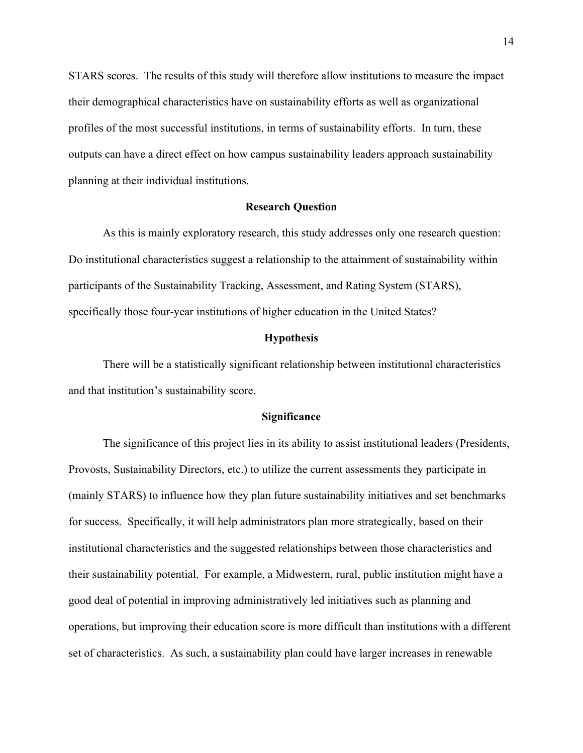STARS scores. The results of this study will therefore allow institutions to measure the impact their demographical characteristics have on sustainability efforts as well as organizational profiles of the most successful institutions, in terms of sustainability efforts. In turn, these outputs can have a direct effect on how campus sustainability leaders approach sustainability planning at their individual institutions.

#### **Research Question**

As this is mainly exploratory research, this study addresses only one research question: Do institutional characteristics suggest a relationship to the attainment of sustainability within participants of the Sustainability Tracking, Assessment, and Rating System (STARS), specifically those four-year institutions of higher education in the United States?

#### **Hypothesis**

There will be a statistically significant relationship between institutional characteristics and that institution's sustainability score.

#### **Significance**

The significance of this project lies in its ability to assist institutional leaders (Presidents, Provosts, Sustainability Directors, etc.) to utilize the current assessments they participate in (mainly STARS) to influence how they plan future sustainability initiatives and set benchmarks for success. Specifically, it will help administrators plan more strategically, based on their institutional characteristics and the suggested relationships between those characteristics and their sustainability potential. For example, a Midwestern, rural, public institution might have a good deal of potential in improving administratively led initiatives such as planning and operations, but improving their education score is more difficult than institutions with a different set of characteristics. As such, a sustainability plan could have larger increases in renewable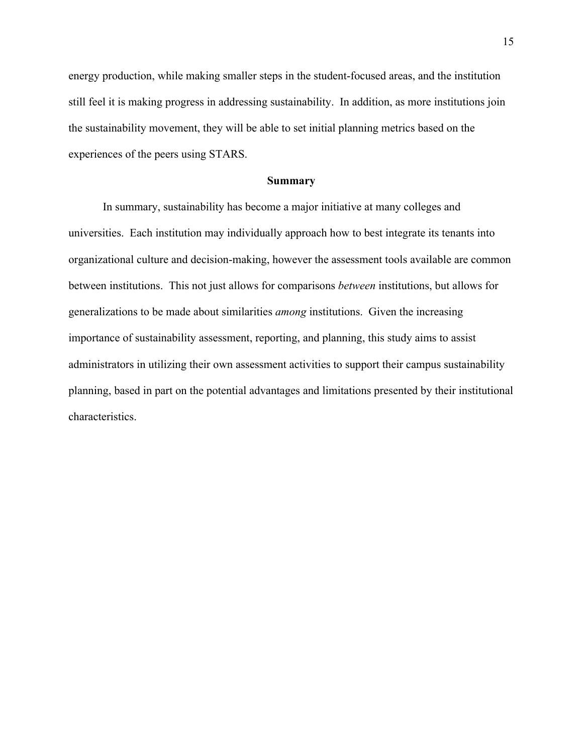energy production, while making smaller steps in the student-focused areas, and the institution still feel it is making progress in addressing sustainability. In addition, as more institutions join the sustainability movement, they will be able to set initial planning metrics based on the experiences of the peers using STARS.

#### **Summary**

In summary, sustainability has become a major initiative at many colleges and universities. Each institution may individually approach how to best integrate its tenants into organizational culture and decision-making, however the assessment tools available are common between institutions. This not just allows for comparisons *between* institutions, but allows for generalizations to be made about similarities *among* institutions. Given the increasing importance of sustainability assessment, reporting, and planning, this study aims to assist administrators in utilizing their own assessment activities to support their campus sustainability planning, based in part on the potential advantages and limitations presented by their institutional characteristics.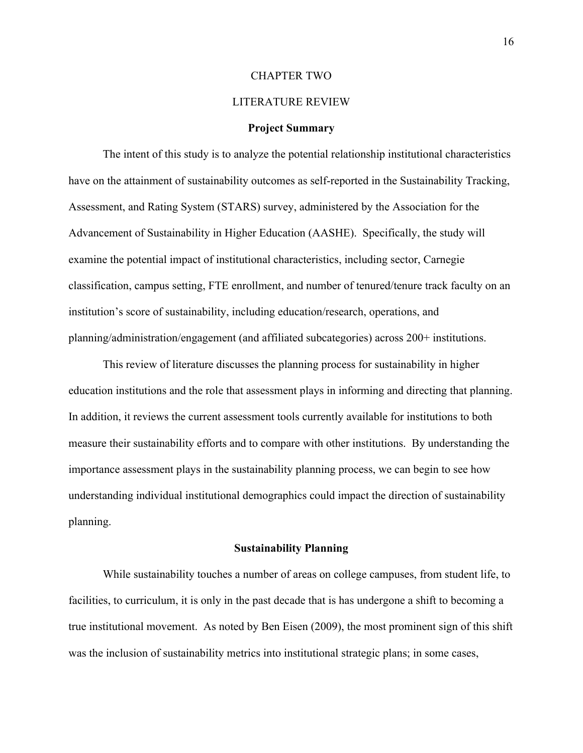#### CHAPTER TWO

## LITERATURE REVIEW

#### **Project Summary**

The intent of this study is to analyze the potential relationship institutional characteristics have on the attainment of sustainability outcomes as self-reported in the Sustainability Tracking, Assessment, and Rating System (STARS) survey, administered by the Association for the Advancement of Sustainability in Higher Education (AASHE). Specifically, the study will examine the potential impact of institutional characteristics, including sector, Carnegie classification, campus setting, FTE enrollment, and number of tenured/tenure track faculty on an institution's score of sustainability, including education/research, operations, and planning/administration/engagement (and affiliated subcategories) across 200+ institutions.

This review of literature discusses the planning process for sustainability in higher education institutions and the role that assessment plays in informing and directing that planning. In addition, it reviews the current assessment tools currently available for institutions to both measure their sustainability efforts and to compare with other institutions. By understanding the importance assessment plays in the sustainability planning process, we can begin to see how understanding individual institutional demographics could impact the direction of sustainability planning.

#### **Sustainability Planning**

While sustainability touches a number of areas on college campuses, from student life, to facilities, to curriculum, it is only in the past decade that is has undergone a shift to becoming a true institutional movement. As noted by Ben Eisen (2009), the most prominent sign of this shift was the inclusion of sustainability metrics into institutional strategic plans; in some cases,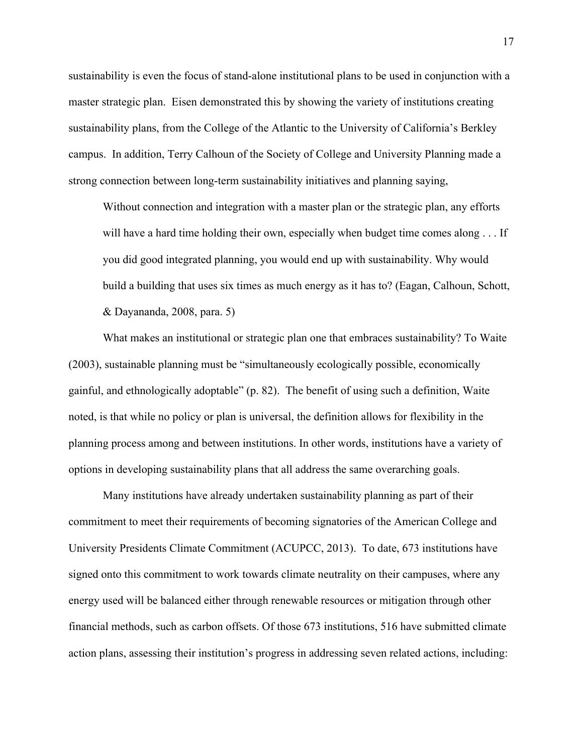sustainability is even the focus of stand-alone institutional plans to be used in conjunction with a master strategic plan. Eisen demonstrated this by showing the variety of institutions creating sustainability plans, from the College of the Atlantic to the University of California's Berkley campus. In addition, Terry Calhoun of the Society of College and University Planning made a strong connection between long-term sustainability initiatives and planning saying,

Without connection and integration with a master plan or the strategic plan, any efforts will have a hard time holding their own, especially when budget time comes along . . . If you did good integrated planning, you would end up with sustainability. Why would build a building that uses six times as much energy as it has to? (Eagan, Calhoun, Schott, & Dayananda, 2008, para. 5)

What makes an institutional or strategic plan one that embraces sustainability? To Waite (2003), sustainable planning must be "simultaneously ecologically possible, economically gainful, and ethnologically adoptable" (p. 82). The benefit of using such a definition, Waite noted, is that while no policy or plan is universal, the definition allows for flexibility in the planning process among and between institutions. In other words, institutions have a variety of options in developing sustainability plans that all address the same overarching goals.

Many institutions have already undertaken sustainability planning as part of their commitment to meet their requirements of becoming signatories of the American College and University Presidents Climate Commitment (ACUPCC, 2013). To date, 673 institutions have signed onto this commitment to work towards climate neutrality on their campuses, where any energy used will be balanced either through renewable resources or mitigation through other financial methods, such as carbon offsets. Of those 673 institutions, 516 have submitted climate action plans, assessing their institution's progress in addressing seven related actions, including: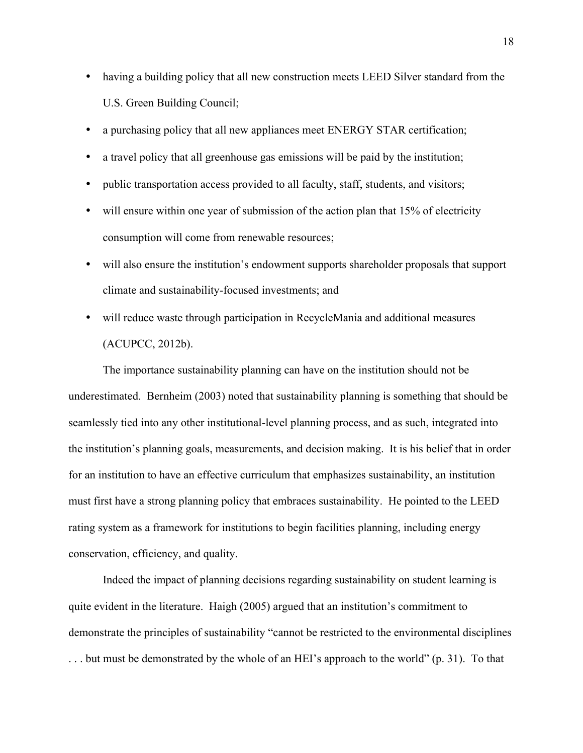- having a building policy that all new construction meets LEED Silver standard from the U.S. Green Building Council;
- a purchasing policy that all new appliances meet ENERGY STAR certification;
- a travel policy that all greenhouse gas emissions will be paid by the institution;
- public transportation access provided to all faculty, staff, students, and visitors;
- will ensure within one year of submission of the action plan that 15% of electricity consumption will come from renewable resources;
- will also ensure the institution's endowment supports shareholder proposals that support climate and sustainability-focused investments; and
- will reduce waste through participation in RecycleMania and additional measures (ACUPCC, 2012b).

The importance sustainability planning can have on the institution should not be underestimated. Bernheim (2003) noted that sustainability planning is something that should be seamlessly tied into any other institutional-level planning process, and as such, integrated into the institution's planning goals, measurements, and decision making. It is his belief that in order for an institution to have an effective curriculum that emphasizes sustainability, an institution must first have a strong planning policy that embraces sustainability. He pointed to the LEED rating system as a framework for institutions to begin facilities planning, including energy conservation, efficiency, and quality.

Indeed the impact of planning decisions regarding sustainability on student learning is quite evident in the literature. Haigh (2005) argued that an institution's commitment to demonstrate the principles of sustainability "cannot be restricted to the environmental disciplines . . . but must be demonstrated by the whole of an HEI's approach to the world" (p. 31). To that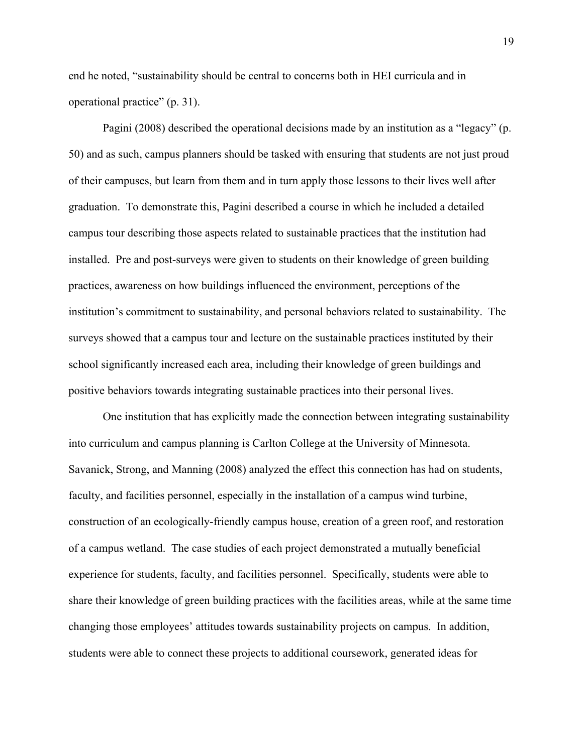end he noted, "sustainability should be central to concerns both in HEI curricula and in operational practice" (p. 31).

Pagini (2008) described the operational decisions made by an institution as a "legacy" (p. 50) and as such, campus planners should be tasked with ensuring that students are not just proud of their campuses, but learn from them and in turn apply those lessons to their lives well after graduation. To demonstrate this, Pagini described a course in which he included a detailed campus tour describing those aspects related to sustainable practices that the institution had installed. Pre and post-surveys were given to students on their knowledge of green building practices, awareness on how buildings influenced the environment, perceptions of the institution's commitment to sustainability, and personal behaviors related to sustainability. The surveys showed that a campus tour and lecture on the sustainable practices instituted by their school significantly increased each area, including their knowledge of green buildings and positive behaviors towards integrating sustainable practices into their personal lives.

One institution that has explicitly made the connection between integrating sustainability into curriculum and campus planning is Carlton College at the University of Minnesota. Savanick, Strong, and Manning (2008) analyzed the effect this connection has had on students, faculty, and facilities personnel, especially in the installation of a campus wind turbine, construction of an ecologically-friendly campus house, creation of a green roof, and restoration of a campus wetland. The case studies of each project demonstrated a mutually beneficial experience for students, faculty, and facilities personnel. Specifically, students were able to share their knowledge of green building practices with the facilities areas, while at the same time changing those employees' attitudes towards sustainability projects on campus. In addition, students were able to connect these projects to additional coursework, generated ideas for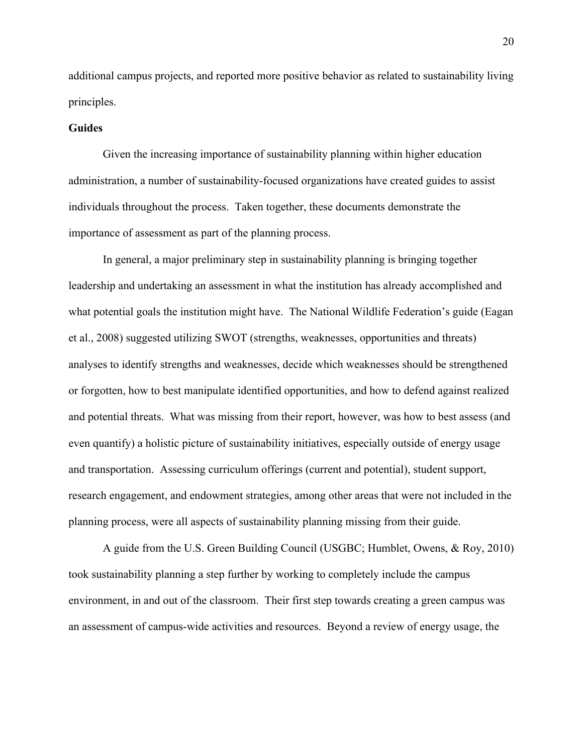additional campus projects, and reported more positive behavior as related to sustainability living principles.

#### **Guides**

Given the increasing importance of sustainability planning within higher education administration, a number of sustainability-focused organizations have created guides to assist individuals throughout the process. Taken together, these documents demonstrate the importance of assessment as part of the planning process.

In general, a major preliminary step in sustainability planning is bringing together leadership and undertaking an assessment in what the institution has already accomplished and what potential goals the institution might have. The National Wildlife Federation's guide (Eagan et al., 2008) suggested utilizing SWOT (strengths, weaknesses, opportunities and threats) analyses to identify strengths and weaknesses, decide which weaknesses should be strengthened or forgotten, how to best manipulate identified opportunities, and how to defend against realized and potential threats. What was missing from their report, however, was how to best assess (and even quantify) a holistic picture of sustainability initiatives, especially outside of energy usage and transportation. Assessing curriculum offerings (current and potential), student support, research engagement, and endowment strategies, among other areas that were not included in the planning process, were all aspects of sustainability planning missing from their guide.

A guide from the U.S. Green Building Council (USGBC; Humblet, Owens, & Roy, 2010) took sustainability planning a step further by working to completely include the campus environment, in and out of the classroom. Their first step towards creating a green campus was an assessment of campus-wide activities and resources. Beyond a review of energy usage, the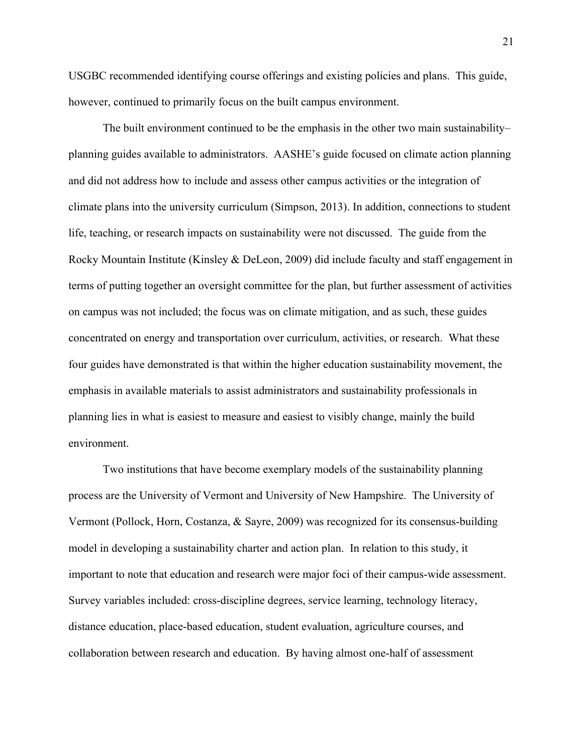USGBC recommended identifying course offerings and existing policies and plans. This guide, however, continued to primarily focus on the built campus environment.

The built environment continued to be the emphasis in the other two main sustainability– planning guides available to administrators. AASHE's guide focused on climate action planning and did not address how to include and assess other campus activities or the integration of climate plans into the university curriculum (Simpson, 2013). In addition, connections to student life, teaching, or research impacts on sustainability were not discussed. The guide from the Rocky Mountain Institute (Kinsley & DeLeon, 2009) did include faculty and staff engagement in terms of putting together an oversight committee for the plan, but further assessment of activities on campus was not included; the focus was on climate mitigation, and as such, these guides concentrated on energy and transportation over curriculum, activities, or research. What these four guides have demonstrated is that within the higher education sustainability movement, the emphasis in available materials to assist administrators and sustainability professionals in planning lies in what is easiest to measure and easiest to visibly change, mainly the build environment.

Two institutions that have become exemplary models of the sustainability planning process are the University of Vermont and University of New Hampshire. The University of Vermont (Pollock, Horn, Costanza, & Sayre, 2009) was recognized for its consensus-building model in developing a sustainability charter and action plan. In relation to this study, it important to note that education and research were major foci of their campus-wide assessment. Survey variables included: cross-discipline degrees, service learning, technology literacy, distance education, place-based education, student evaluation, agriculture courses, and collaboration between research and education. By having almost one-half of assessment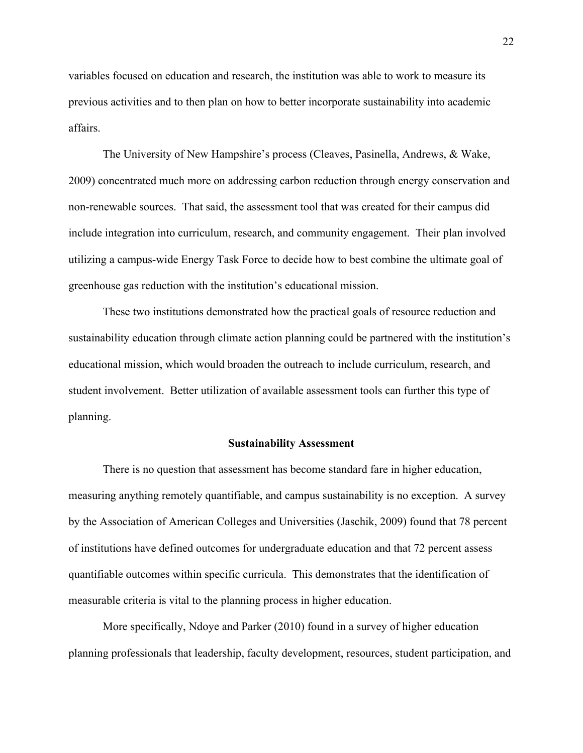variables focused on education and research, the institution was able to work to measure its previous activities and to then plan on how to better incorporate sustainability into academic affairs.

The University of New Hampshire's process (Cleaves, Pasinella, Andrews, & Wake, 2009) concentrated much more on addressing carbon reduction through energy conservation and non-renewable sources. That said, the assessment tool that was created for their campus did include integration into curriculum, research, and community engagement. Their plan involved utilizing a campus-wide Energy Task Force to decide how to best combine the ultimate goal of greenhouse gas reduction with the institution's educational mission.

These two institutions demonstrated how the practical goals of resource reduction and sustainability education through climate action planning could be partnered with the institution's educational mission, which would broaden the outreach to include curriculum, research, and student involvement. Better utilization of available assessment tools can further this type of planning.

### **Sustainability Assessment**

There is no question that assessment has become standard fare in higher education, measuring anything remotely quantifiable, and campus sustainability is no exception. A survey by the Association of American Colleges and Universities (Jaschik, 2009) found that 78 percent of institutions have defined outcomes for undergraduate education and that 72 percent assess quantifiable outcomes within specific curricula. This demonstrates that the identification of measurable criteria is vital to the planning process in higher education.

More specifically, Ndoye and Parker (2010) found in a survey of higher education planning professionals that leadership, faculty development, resources, student participation, and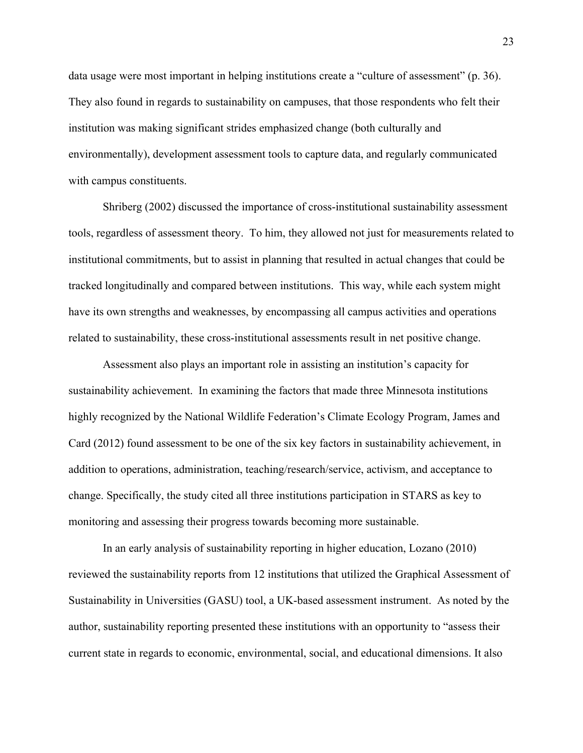data usage were most important in helping institutions create a "culture of assessment" (p. 36). They also found in regards to sustainability on campuses, that those respondents who felt their institution was making significant strides emphasized change (both culturally and environmentally), development assessment tools to capture data, and regularly communicated with campus constituents.

Shriberg (2002) discussed the importance of cross-institutional sustainability assessment tools, regardless of assessment theory. To him, they allowed not just for measurements related to institutional commitments, but to assist in planning that resulted in actual changes that could be tracked longitudinally and compared between institutions. This way, while each system might have its own strengths and weaknesses, by encompassing all campus activities and operations related to sustainability, these cross-institutional assessments result in net positive change.

Assessment also plays an important role in assisting an institution's capacity for sustainability achievement. In examining the factors that made three Minnesota institutions highly recognized by the National Wildlife Federation's Climate Ecology Program, James and Card (2012) found assessment to be one of the six key factors in sustainability achievement, in addition to operations, administration, teaching/research/service, activism, and acceptance to change. Specifically, the study cited all three institutions participation in STARS as key to monitoring and assessing their progress towards becoming more sustainable.

In an early analysis of sustainability reporting in higher education, Lozano (2010) reviewed the sustainability reports from 12 institutions that utilized the Graphical Assessment of Sustainability in Universities (GASU) tool, a UK-based assessment instrument. As noted by the author, sustainability reporting presented these institutions with an opportunity to "assess their current state in regards to economic, environmental, social, and educational dimensions. It also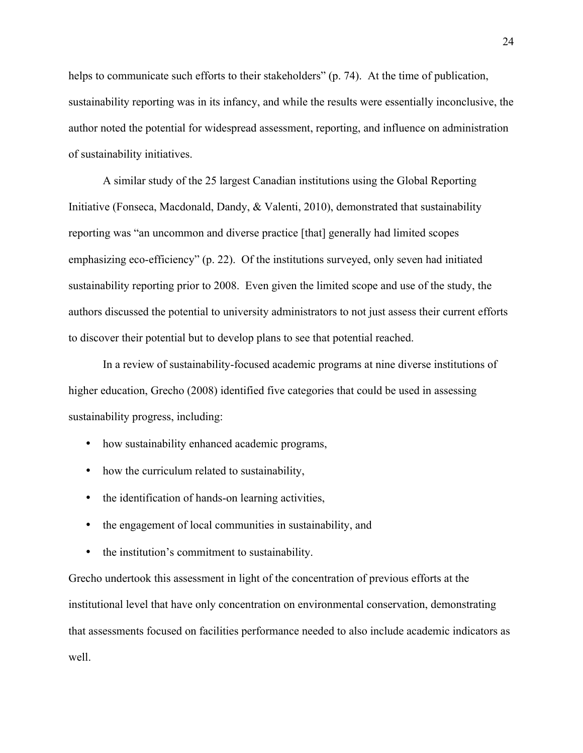helps to communicate such efforts to their stakeholders" (p. 74). At the time of publication, sustainability reporting was in its infancy, and while the results were essentially inconclusive, the author noted the potential for widespread assessment, reporting, and influence on administration of sustainability initiatives.

A similar study of the 25 largest Canadian institutions using the Global Reporting Initiative (Fonseca, Macdonald, Dandy, & Valenti, 2010), demonstrated that sustainability reporting was "an uncommon and diverse practice [that] generally had limited scopes emphasizing eco-efficiency" (p. 22). Of the institutions surveyed, only seven had initiated sustainability reporting prior to 2008. Even given the limited scope and use of the study, the authors discussed the potential to university administrators to not just assess their current efforts to discover their potential but to develop plans to see that potential reached.

In a review of sustainability-focused academic programs at nine diverse institutions of higher education, Grecho (2008) identified five categories that could be used in assessing sustainability progress, including:

- how sustainability enhanced academic programs,
- how the curriculum related to sustainability,
- the identification of hands-on learning activities,
- the engagement of local communities in sustainability, and
- the institution's commitment to sustainability.

Grecho undertook this assessment in light of the concentration of previous efforts at the institutional level that have only concentration on environmental conservation, demonstrating that assessments focused on facilities performance needed to also include academic indicators as well.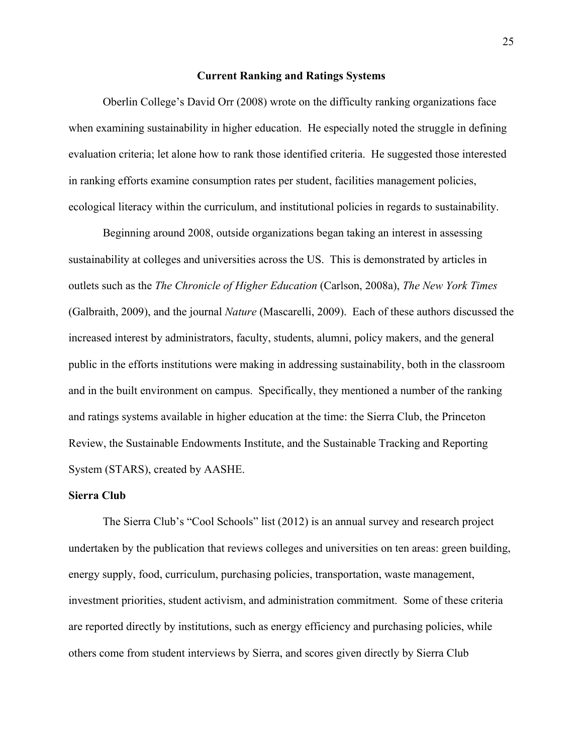#### **Current Ranking and Ratings Systems**

Oberlin College's David Orr (2008) wrote on the difficulty ranking organizations face when examining sustainability in higher education. He especially noted the struggle in defining evaluation criteria; let alone how to rank those identified criteria. He suggested those interested in ranking efforts examine consumption rates per student, facilities management policies, ecological literacy within the curriculum, and institutional policies in regards to sustainability.

Beginning around 2008, outside organizations began taking an interest in assessing sustainability at colleges and universities across the US. This is demonstrated by articles in outlets such as the *The Chronicle of Higher Education* (Carlson, 2008a), *The New York Times* (Galbraith, 2009), and the journal *Nature* (Mascarelli, 2009). Each of these authors discussed the increased interest by administrators, faculty, students, alumni, policy makers, and the general public in the efforts institutions were making in addressing sustainability, both in the classroom and in the built environment on campus. Specifically, they mentioned a number of the ranking and ratings systems available in higher education at the time: the Sierra Club, the Princeton Review, the Sustainable Endowments Institute, and the Sustainable Tracking and Reporting System (STARS), created by AASHE.

#### **Sierra Club**

The Sierra Club's "Cool Schools" list (2012) is an annual survey and research project undertaken by the publication that reviews colleges and universities on ten areas: green building, energy supply, food, curriculum, purchasing policies, transportation, waste management, investment priorities, student activism, and administration commitment. Some of these criteria are reported directly by institutions, such as energy efficiency and purchasing policies, while others come from student interviews by Sierra, and scores given directly by Sierra Club

25 25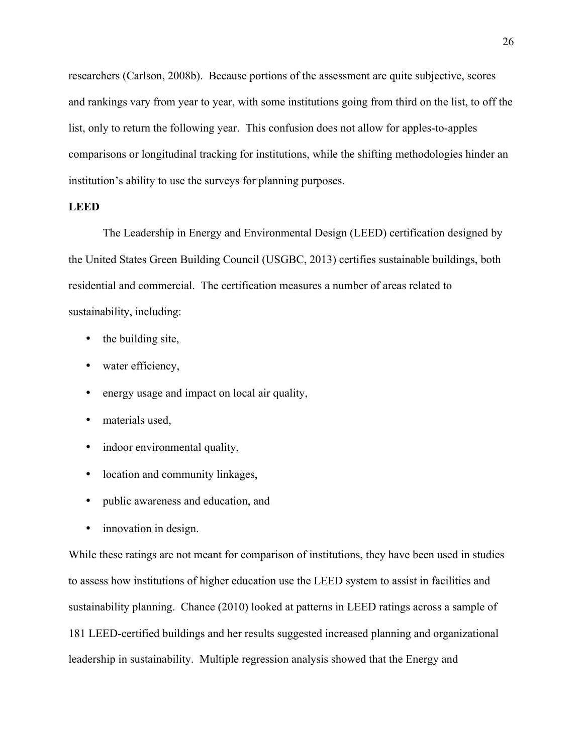researchers (Carlson, 2008b). Because portions of the assessment are quite subjective, scores and rankings vary from year to year, with some institutions going from third on the list, to off the list, only to return the following year. This confusion does not allow for apples-to-apples comparisons or longitudinal tracking for institutions, while the shifting methodologies hinder an institution's ability to use the surveys for planning purposes.

#### **LEED**

The Leadership in Energy and Environmental Design (LEED) certification designed by the United States Green Building Council (USGBC, 2013) certifies sustainable buildings, both residential and commercial. The certification measures a number of areas related to sustainability, including:

- the building site,
- water efficiency,
- energy usage and impact on local air quality,
- materials used,
- indoor environmental quality,
- location and community linkages,
- public awareness and education, and
- innovation in design.

While these ratings are not meant for comparison of institutions, they have been used in studies to assess how institutions of higher education use the LEED system to assist in facilities and sustainability planning. Chance (2010) looked at patterns in LEED ratings across a sample of 181 LEED-certified buildings and her results suggested increased planning and organizational leadership in sustainability. Multiple regression analysis showed that the Energy and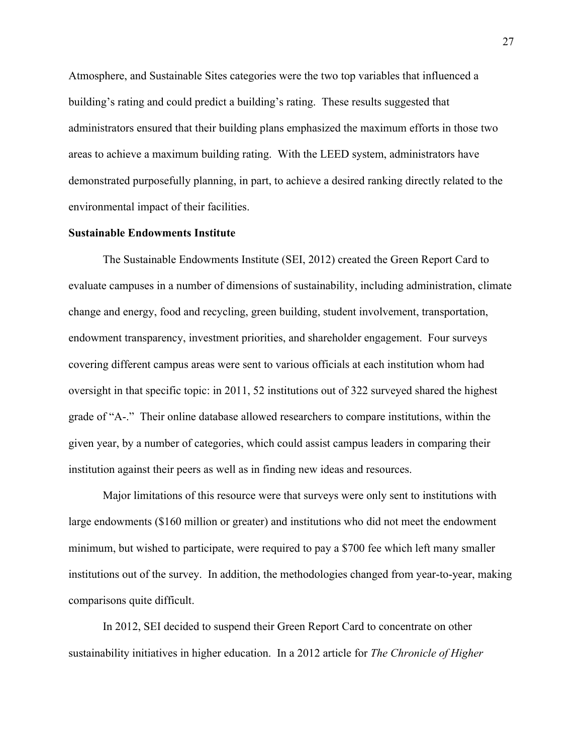Atmosphere, and Sustainable Sites categories were the two top variables that influenced a building's rating and could predict a building's rating. These results suggested that administrators ensured that their building plans emphasized the maximum efforts in those two areas to achieve a maximum building rating. With the LEED system, administrators have demonstrated purposefully planning, in part, to achieve a desired ranking directly related to the environmental impact of their facilities.

#### **Sustainable Endowments Institute**

The Sustainable Endowments Institute (SEI, 2012) created the Green Report Card to evaluate campuses in a number of dimensions of sustainability, including administration, climate change and energy, food and recycling, green building, student involvement, transportation, endowment transparency, investment priorities, and shareholder engagement. Four surveys covering different campus areas were sent to various officials at each institution whom had oversight in that specific topic: in 2011, 52 institutions out of 322 surveyed shared the highest grade of "A-." Their online database allowed researchers to compare institutions, within the given year, by a number of categories, which could assist campus leaders in comparing their institution against their peers as well as in finding new ideas and resources.

Major limitations of this resource were that surveys were only sent to institutions with large endowments (\$160 million or greater) and institutions who did not meet the endowment minimum, but wished to participate, were required to pay a \$700 fee which left many smaller institutions out of the survey. In addition, the methodologies changed from year-to-year, making comparisons quite difficult.

In 2012, SEI decided to suspend their Green Report Card to concentrate on other sustainability initiatives in higher education. In a 2012 article for *The Chronicle of Higher*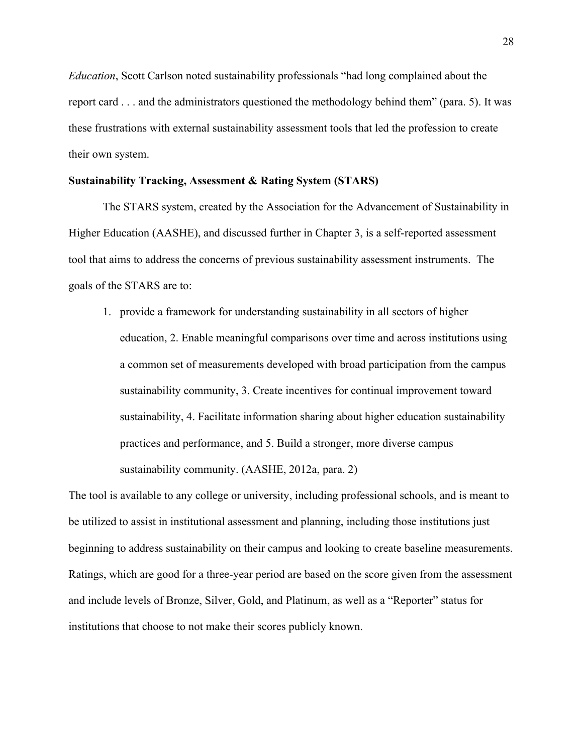*Education*, Scott Carlson noted sustainability professionals "had long complained about the report card . . . and the administrators questioned the methodology behind them" (para. 5). It was these frustrations with external sustainability assessment tools that led the profession to create their own system.

#### **Sustainability Tracking, Assessment & Rating System (STARS)**

The STARS system, created by the Association for the Advancement of Sustainability in Higher Education (AASHE), and discussed further in Chapter 3, is a self-reported assessment tool that aims to address the concerns of previous sustainability assessment instruments. The goals of the STARS are to:

1. provide a framework for understanding sustainability in all sectors of higher education, 2. Enable meaningful comparisons over time and across institutions using a common set of measurements developed with broad participation from the campus sustainability community, 3. Create incentives for continual improvement toward sustainability, 4. Facilitate information sharing about higher education sustainability practices and performance, and 5. Build a stronger, more diverse campus sustainability community. (AASHE, 2012a, para. 2)

The tool is available to any college or university, including professional schools, and is meant to be utilized to assist in institutional assessment and planning, including those institutions just beginning to address sustainability on their campus and looking to create baseline measurements. Ratings, which are good for a three-year period are based on the score given from the assessment and include levels of Bronze, Silver, Gold, and Platinum, as well as a "Reporter" status for institutions that choose to not make their scores publicly known.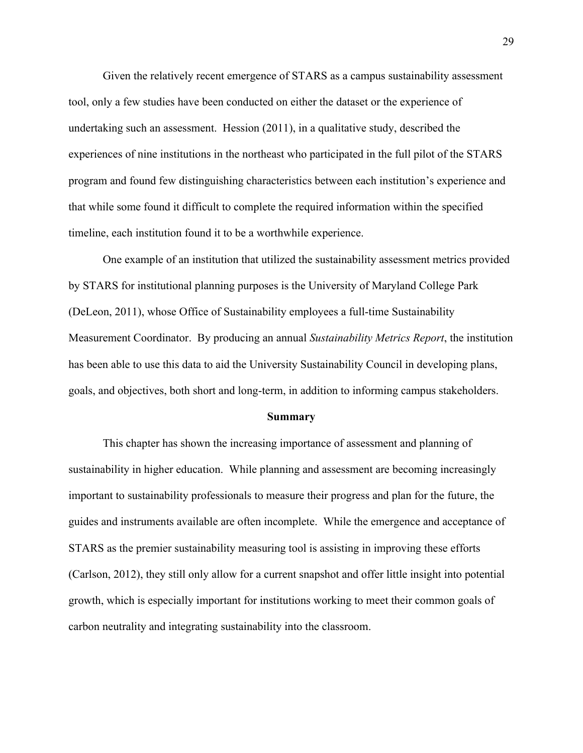Given the relatively recent emergence of STARS as a campus sustainability assessment tool, only a few studies have been conducted on either the dataset or the experience of undertaking such an assessment. Hession (2011), in a qualitative study, described the experiences of nine institutions in the northeast who participated in the full pilot of the STARS program and found few distinguishing characteristics between each institution's experience and that while some found it difficult to complete the required information within the specified timeline, each institution found it to be a worthwhile experience.

One example of an institution that utilized the sustainability assessment metrics provided by STARS for institutional planning purposes is the University of Maryland College Park (DeLeon, 2011), whose Office of Sustainability employees a full-time Sustainability Measurement Coordinator. By producing an annual *Sustainability Metrics Report*, the institution has been able to use this data to aid the University Sustainability Council in developing plans, goals, and objectives, both short and long-term, in addition to informing campus stakeholders.

#### **Summary**

This chapter has shown the increasing importance of assessment and planning of sustainability in higher education. While planning and assessment are becoming increasingly important to sustainability professionals to measure their progress and plan for the future, the guides and instruments available are often incomplete. While the emergence and acceptance of STARS as the premier sustainability measuring tool is assisting in improving these efforts (Carlson, 2012), they still only allow for a current snapshot and offer little insight into potential growth, which is especially important for institutions working to meet their common goals of carbon neutrality and integrating sustainability into the classroom.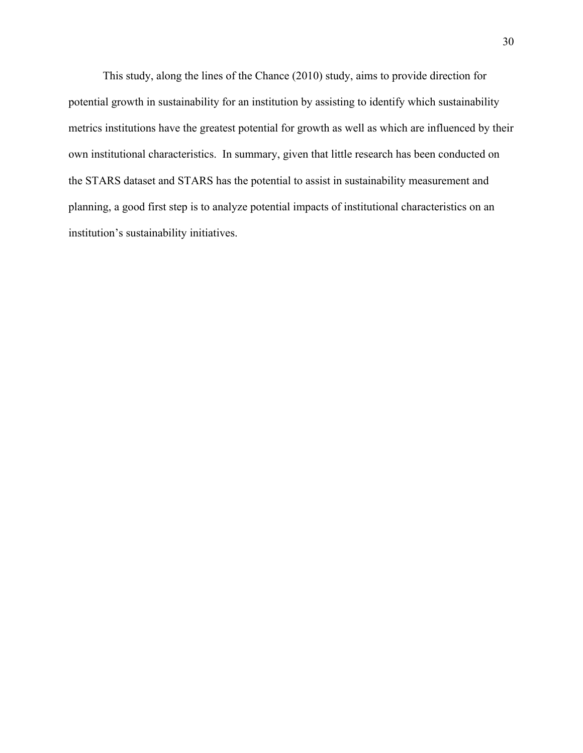This study, along the lines of the Chance (2010) study, aims to provide direction for potential growth in sustainability for an institution by assisting to identify which sustainability metrics institutions have the greatest potential for growth as well as which are influenced by their own institutional characteristics. In summary, given that little research has been conducted on the STARS dataset and STARS has the potential to assist in sustainability measurement and planning, a good first step is to analyze potential impacts of institutional characteristics on an institution's sustainability initiatives.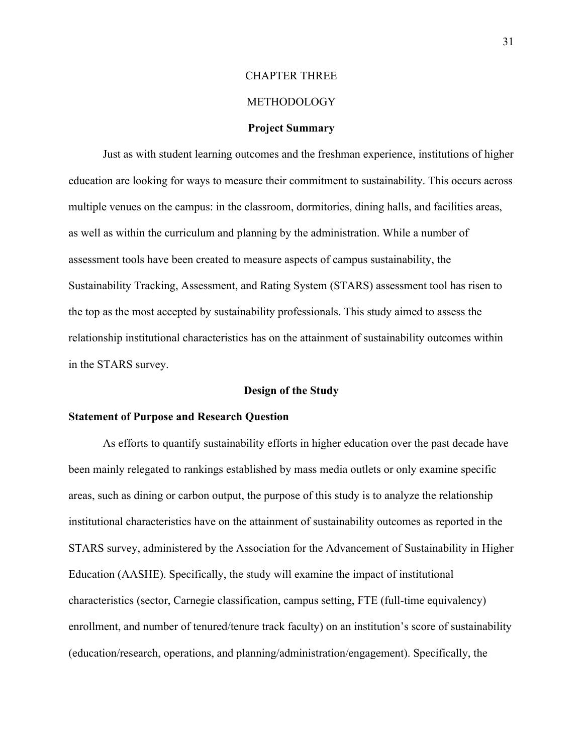# CHAPTER THREE

#### METHODOLOGY

#### **Project Summary**

Just as with student learning outcomes and the freshman experience, institutions of higher education are looking for ways to measure their commitment to sustainability. This occurs across multiple venues on the campus: in the classroom, dormitories, dining halls, and facilities areas, as well as within the curriculum and planning by the administration. While a number of assessment tools have been created to measure aspects of campus sustainability, the Sustainability Tracking, Assessment, and Rating System (STARS) assessment tool has risen to the top as the most accepted by sustainability professionals. This study aimed to assess the relationship institutional characteristics has on the attainment of sustainability outcomes within in the STARS survey.

#### **Design of the Study**

#### **Statement of Purpose and Research Question**

As efforts to quantify sustainability efforts in higher education over the past decade have been mainly relegated to rankings established by mass media outlets or only examine specific areas, such as dining or carbon output, the purpose of this study is to analyze the relationship institutional characteristics have on the attainment of sustainability outcomes as reported in the STARS survey, administered by the Association for the Advancement of Sustainability in Higher Education (AASHE). Specifically, the study will examine the impact of institutional characteristics (sector, Carnegie classification, campus setting, FTE (full-time equivalency) enrollment, and number of tenured/tenure track faculty) on an institution's score of sustainability (education/research, operations, and planning/administration/engagement). Specifically, the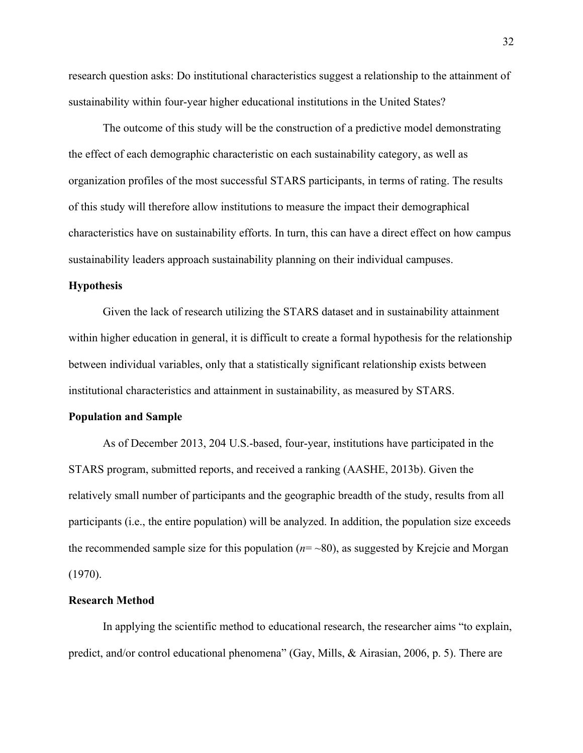research question asks: Do institutional characteristics suggest a relationship to the attainment of sustainability within four-year higher educational institutions in the United States?

The outcome of this study will be the construction of a predictive model demonstrating the effect of each demographic characteristic on each sustainability category, as well as organization profiles of the most successful STARS participants, in terms of rating. The results of this study will therefore allow institutions to measure the impact their demographical characteristics have on sustainability efforts. In turn, this can have a direct effect on how campus sustainability leaders approach sustainability planning on their individual campuses.

#### **Hypothesis**

Given the lack of research utilizing the STARS dataset and in sustainability attainment within higher education in general, it is difficult to create a formal hypothesis for the relationship between individual variables, only that a statistically significant relationship exists between institutional characteristics and attainment in sustainability, as measured by STARS.

#### **Population and Sample**

As of December 2013, 204 U.S.-based, four-year, institutions have participated in the STARS program, submitted reports, and received a ranking (AASHE, 2013b). Given the relatively small number of participants and the geographic breadth of the study, results from all participants (i.e., the entire population) will be analyzed. In addition, the population size exceeds the recommended sample size for this population  $(n=-80)$ , as suggested by Krejcie and Morgan (1970).

#### **Research Method**

In applying the scientific method to educational research, the researcher aims "to explain, predict, and/or control educational phenomena" (Gay, Mills, & Airasian, 2006, p. 5). There are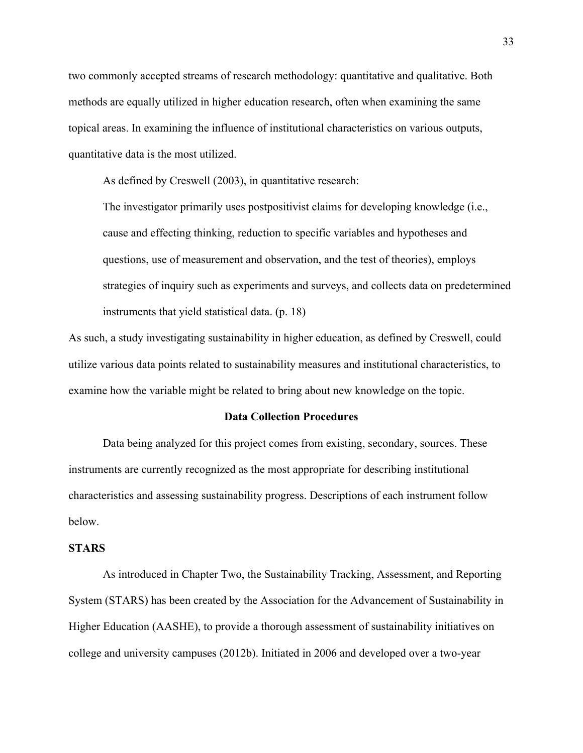two commonly accepted streams of research methodology: quantitative and qualitative. Both methods are equally utilized in higher education research, often when examining the same topical areas. In examining the influence of institutional characteristics on various outputs, quantitative data is the most utilized.

As defined by Creswell (2003), in quantitative research:

The investigator primarily uses postpositivist claims for developing knowledge (i.e., cause and effecting thinking, reduction to specific variables and hypotheses and questions, use of measurement and observation, and the test of theories), employs strategies of inquiry such as experiments and surveys, and collects data on predetermined instruments that yield statistical data. (p. 18)

As such, a study investigating sustainability in higher education, as defined by Creswell, could utilize various data points related to sustainability measures and institutional characteristics, to examine how the variable might be related to bring about new knowledge on the topic.

#### **Data Collection Procedures**

Data being analyzed for this project comes from existing, secondary, sources. These instruments are currently recognized as the most appropriate for describing institutional characteristics and assessing sustainability progress. Descriptions of each instrument follow below.

#### **STARS**

As introduced in Chapter Two, the Sustainability Tracking, Assessment, and Reporting System (STARS) has been created by the Association for the Advancement of Sustainability in Higher Education (AASHE), to provide a thorough assessment of sustainability initiatives on college and university campuses (2012b). Initiated in 2006 and developed over a two-year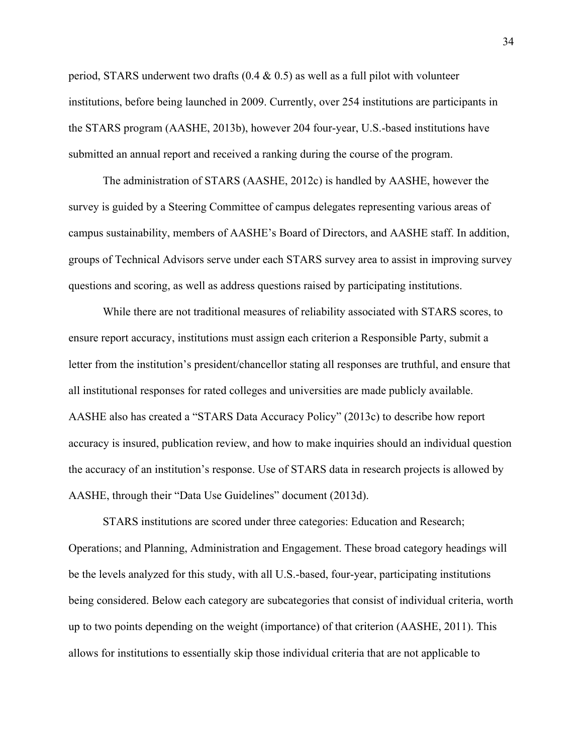period, STARS underwent two drafts  $(0.4 \& 0.5)$  as well as a full pilot with volunteer institutions, before being launched in 2009. Currently, over 254 institutions are participants in the STARS program (AASHE, 2013b), however 204 four-year, U.S.-based institutions have submitted an annual report and received a ranking during the course of the program.

The administration of STARS (AASHE, 2012c) is handled by AASHE, however the survey is guided by a Steering Committee of campus delegates representing various areas of campus sustainability, members of AASHE's Board of Directors, and AASHE staff. In addition, groups of Technical Advisors serve under each STARS survey area to assist in improving survey questions and scoring, as well as address questions raised by participating institutions.

While there are not traditional measures of reliability associated with STARS scores, to ensure report accuracy, institutions must assign each criterion a Responsible Party, submit a letter from the institution's president/chancellor stating all responses are truthful, and ensure that all institutional responses for rated colleges and universities are made publicly available. AASHE also has created a "STARS Data Accuracy Policy" (2013c) to describe how report accuracy is insured, publication review, and how to make inquiries should an individual question the accuracy of an institution's response. Use of STARS data in research projects is allowed by AASHE, through their "Data Use Guidelines" document (2013d).

STARS institutions are scored under three categories: Education and Research; Operations; and Planning, Administration and Engagement. These broad category headings will be the levels analyzed for this study, with all U.S.-based, four-year, participating institutions being considered. Below each category are subcategories that consist of individual criteria, worth up to two points depending on the weight (importance) of that criterion (AASHE, 2011). This allows for institutions to essentially skip those individual criteria that are not applicable to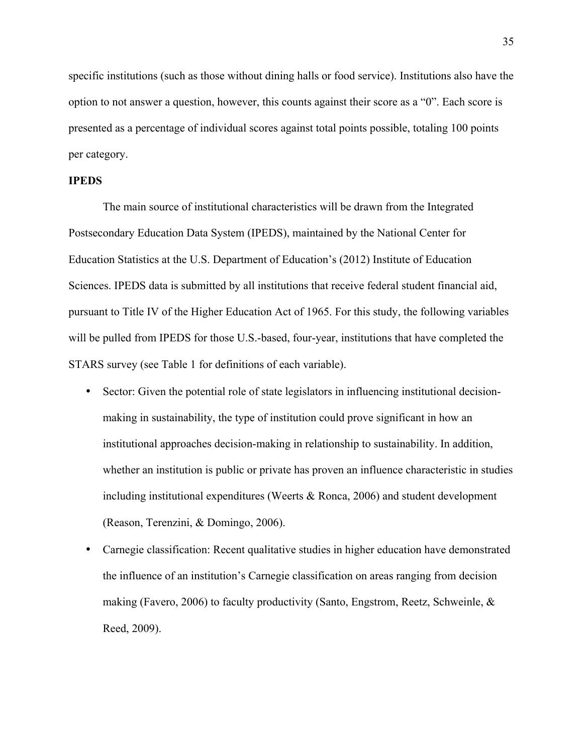specific institutions (such as those without dining halls or food service). Institutions also have the option to not answer a question, however, this counts against their score as a "0". Each score is presented as a percentage of individual scores against total points possible, totaling 100 points per category.

#### **IPEDS**

The main source of institutional characteristics will be drawn from the Integrated Postsecondary Education Data System (IPEDS), maintained by the National Center for Education Statistics at the U.S. Department of Education's (2012) Institute of Education Sciences. IPEDS data is submitted by all institutions that receive federal student financial aid, pursuant to Title IV of the Higher Education Act of 1965. For this study, the following variables will be pulled from IPEDS for those U.S.-based, four-year, institutions that have completed the STARS survey (see Table 1 for definitions of each variable).

- Sector: Given the potential role of state legislators in influencing institutional decisionmaking in sustainability, the type of institution could prove significant in how an institutional approaches decision-making in relationship to sustainability. In addition, whether an institution is public or private has proven an influence characteristic in studies including institutional expenditures (Weerts & Ronca, 2006) and student development (Reason, Terenzini, & Domingo, 2006).
- Carnegie classification: Recent qualitative studies in higher education have demonstrated the influence of an institution's Carnegie classification on areas ranging from decision making (Favero, 2006) to faculty productivity (Santo, Engstrom, Reetz, Schweinle,  $\&$ Reed, 2009).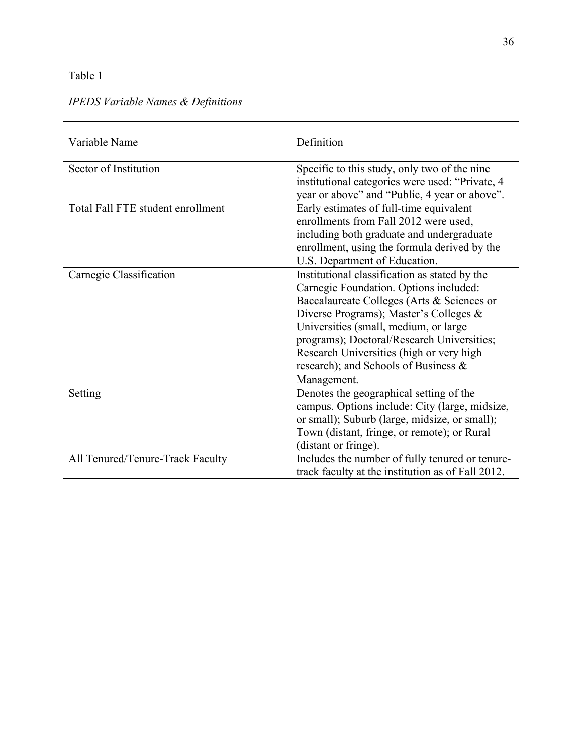# Table 1

| Variable Name                     | Definition                                                                                                                                                                                                                                                                                                                                                                |
|-----------------------------------|---------------------------------------------------------------------------------------------------------------------------------------------------------------------------------------------------------------------------------------------------------------------------------------------------------------------------------------------------------------------------|
| Sector of Institution             | Specific to this study, only two of the nine<br>institutional categories were used: "Private, 4<br>year or above" and "Public, 4 year or above".                                                                                                                                                                                                                          |
| Total Fall FTE student enrollment | Early estimates of full-time equivalent<br>enrollments from Fall 2012 were used,<br>including both graduate and undergraduate<br>enrollment, using the formula derived by the<br>U.S. Department of Education.                                                                                                                                                            |
| Carnegie Classification           | Institutional classification as stated by the<br>Carnegie Foundation. Options included:<br>Baccalaureate Colleges (Arts & Sciences or<br>Diverse Programs); Master's Colleges &<br>Universities (small, medium, or large<br>programs); Doctoral/Research Universities;<br>Research Universities (high or very high<br>research); and Schools of Business &<br>Management. |
| Setting                           | Denotes the geographical setting of the<br>campus. Options include: City (large, midsize,<br>or small); Suburb (large, midsize, or small);<br>Town (distant, fringe, or remote); or Rural<br>(distant or fringe).                                                                                                                                                         |
| All Tenured/Tenure-Track Faculty  | Includes the number of fully tenured or tenure-<br>track faculty at the institution as of Fall 2012.                                                                                                                                                                                                                                                                      |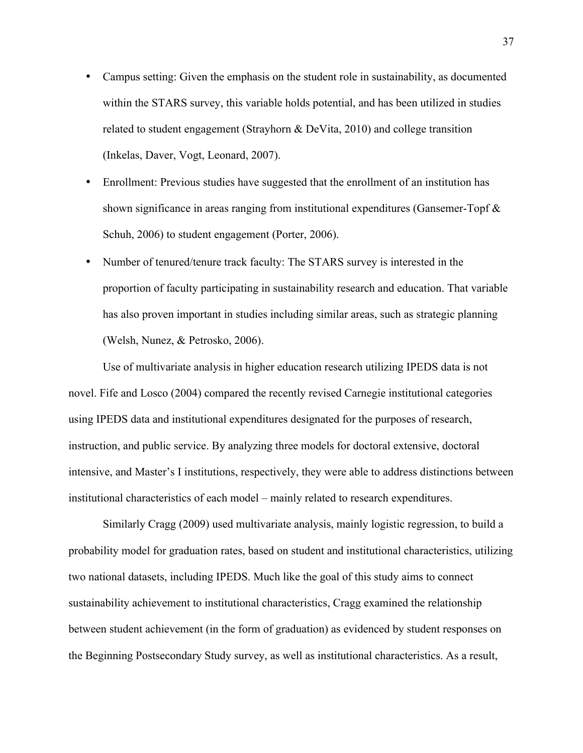- Campus setting: Given the emphasis on the student role in sustainability, as documented within the STARS survey, this variable holds potential, and has been utilized in studies related to student engagement (Strayhorn & DeVita, 2010) and college transition (Inkelas, Daver, Vogt, Leonard, 2007).
- Enrollment: Previous studies have suggested that the enrollment of an institution has shown significance in areas ranging from institutional expenditures (Gansemer-Topf & Schuh, 2006) to student engagement (Porter, 2006).
- Number of tenured/tenure track faculty: The STARS survey is interested in the proportion of faculty participating in sustainability research and education. That variable has also proven important in studies including similar areas, such as strategic planning (Welsh, Nunez, & Petrosko, 2006).

Use of multivariate analysis in higher education research utilizing IPEDS data is not novel. Fife and Losco (2004) compared the recently revised Carnegie institutional categories using IPEDS data and institutional expenditures designated for the purposes of research, instruction, and public service. By analyzing three models for doctoral extensive, doctoral intensive, and Master's I institutions, respectively, they were able to address distinctions between institutional characteristics of each model – mainly related to research expenditures.

Similarly Cragg (2009) used multivariate analysis, mainly logistic regression, to build a probability model for graduation rates, based on student and institutional characteristics, utilizing two national datasets, including IPEDS. Much like the goal of this study aims to connect sustainability achievement to institutional characteristics, Cragg examined the relationship between student achievement (in the form of graduation) as evidenced by student responses on the Beginning Postsecondary Study survey, as well as institutional characteristics. As a result,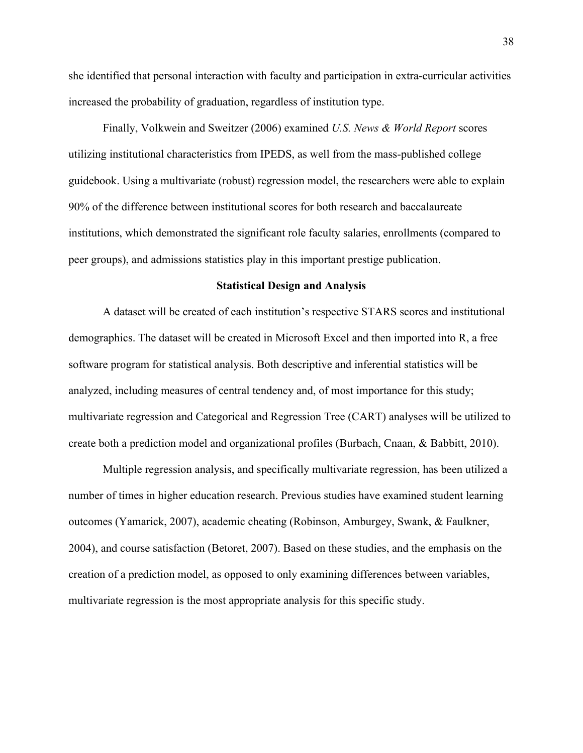she identified that personal interaction with faculty and participation in extra-curricular activities increased the probability of graduation, regardless of institution type.

Finally, Volkwein and Sweitzer (2006) examined *U.S. News & World Report* scores utilizing institutional characteristics from IPEDS, as well from the mass-published college guidebook. Using a multivariate (robust) regression model, the researchers were able to explain 90% of the difference between institutional scores for both research and baccalaureate institutions, which demonstrated the significant role faculty salaries, enrollments (compared to peer groups), and admissions statistics play in this important prestige publication.

### **Statistical Design and Analysis**

A dataset will be created of each institution's respective STARS scores and institutional demographics. The dataset will be created in Microsoft Excel and then imported into R, a free software program for statistical analysis. Both descriptive and inferential statistics will be analyzed, including measures of central tendency and, of most importance for this study; multivariate regression and Categorical and Regression Tree (CART) analyses will be utilized to create both a prediction model and organizational profiles (Burbach, Cnaan, & Babbitt, 2010).

Multiple regression analysis, and specifically multivariate regression, has been utilized a number of times in higher education research. Previous studies have examined student learning outcomes (Yamarick, 2007), academic cheating (Robinson, Amburgey, Swank, & Faulkner, 2004), and course satisfaction (Betoret, 2007). Based on these studies, and the emphasis on the creation of a prediction model, as opposed to only examining differences between variables, multivariate regression is the most appropriate analysis for this specific study.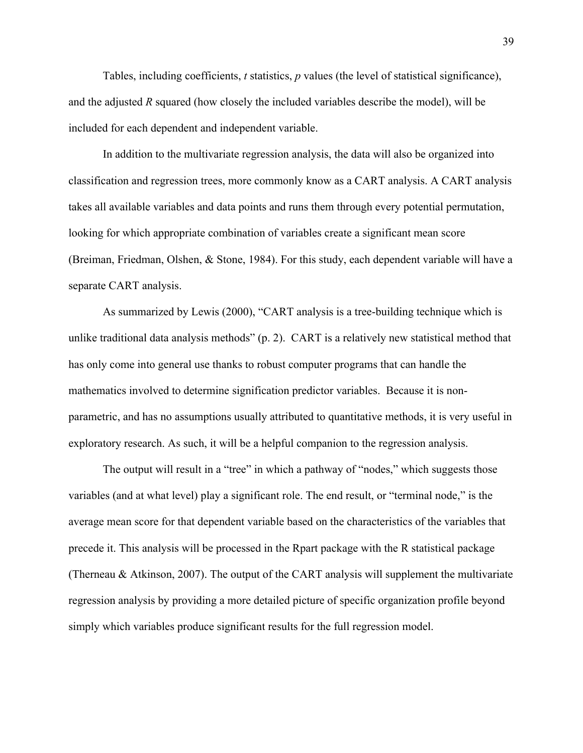Tables, including coefficients, *t* statistics, *p* values (the level of statistical significance), and the adjusted *R* squared (how closely the included variables describe the model), will be included for each dependent and independent variable.

In addition to the multivariate regression analysis, the data will also be organized into classification and regression trees, more commonly know as a CART analysis. A CART analysis takes all available variables and data points and runs them through every potential permutation, looking for which appropriate combination of variables create a significant mean score (Breiman, Friedman, Olshen, & Stone, 1984). For this study, each dependent variable will have a separate CART analysis.

As summarized by Lewis (2000), "CART analysis is a tree-building technique which is unlike traditional data analysis methods" (p. 2). CART is a relatively new statistical method that has only come into general use thanks to robust computer programs that can handle the mathematics involved to determine signification predictor variables. Because it is nonparametric, and has no assumptions usually attributed to quantitative methods, it is very useful in exploratory research. As such, it will be a helpful companion to the regression analysis.

The output will result in a "tree" in which a pathway of "nodes," which suggests those variables (and at what level) play a significant role. The end result, or "terminal node," is the average mean score for that dependent variable based on the characteristics of the variables that precede it. This analysis will be processed in the Rpart package with the R statistical package (Therneau & Atkinson, 2007). The output of the CART analysis will supplement the multivariate regression analysis by providing a more detailed picture of specific organization profile beyond simply which variables produce significant results for the full regression model.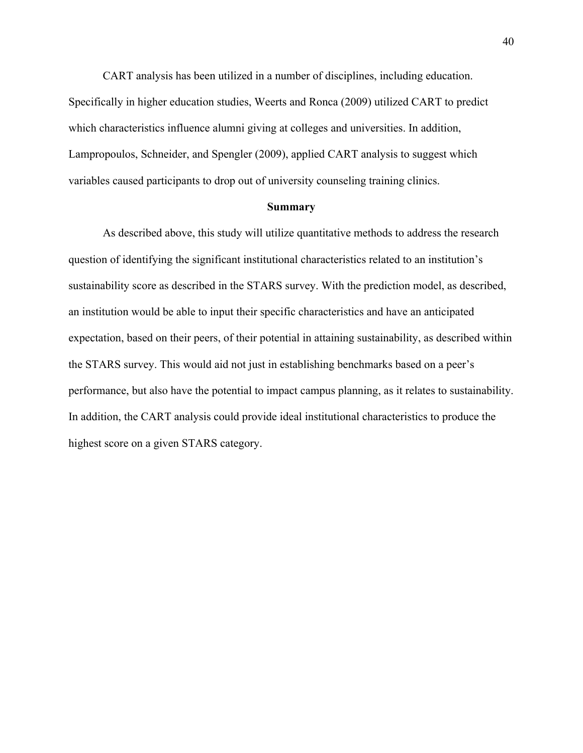CART analysis has been utilized in a number of disciplines, including education. Specifically in higher education studies, Weerts and Ronca (2009) utilized CART to predict which characteristics influence alumni giving at colleges and universities. In addition, Lampropoulos, Schneider, and Spengler (2009), applied CART analysis to suggest which variables caused participants to drop out of university counseling training clinics.

#### **Summary**

As described above, this study will utilize quantitative methods to address the research question of identifying the significant institutional characteristics related to an institution's sustainability score as described in the STARS survey. With the prediction model, as described, an institution would be able to input their specific characteristics and have an anticipated expectation, based on their peers, of their potential in attaining sustainability, as described within the STARS survey. This would aid not just in establishing benchmarks based on a peer's performance, but also have the potential to impact campus planning, as it relates to sustainability. In addition, the CART analysis could provide ideal institutional characteristics to produce the highest score on a given STARS category.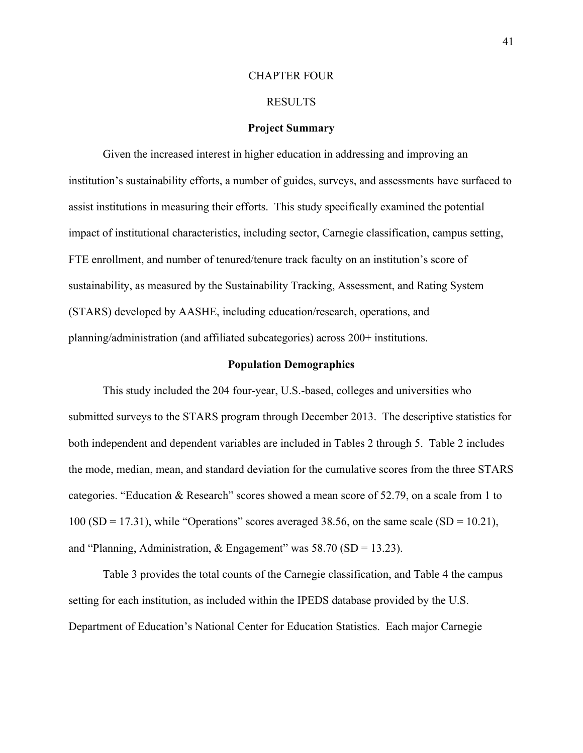#### CHAPTER FOUR

#### RESULTS

#### **Project Summary**

Given the increased interest in higher education in addressing and improving an institution's sustainability efforts, a number of guides, surveys, and assessments have surfaced to assist institutions in measuring their efforts. This study specifically examined the potential impact of institutional characteristics, including sector, Carnegie classification, campus setting, FTE enrollment, and number of tenured/tenure track faculty on an institution's score of sustainability, as measured by the Sustainability Tracking, Assessment, and Rating System (STARS) developed by AASHE, including education/research, operations, and planning/administration (and affiliated subcategories) across 200+ institutions.

#### **Population Demographics**

This study included the 204 four-year, U.S.-based, colleges and universities who submitted surveys to the STARS program through December 2013. The descriptive statistics for both independent and dependent variables are included in Tables 2 through 5. Table 2 includes the mode, median, mean, and standard deviation for the cumulative scores from the three STARS categories. "Education & Research" scores showed a mean score of 52.79, on a scale from 1 to 100 (SD = 17.31), while "Operations" scores averaged 38.56, on the same scale (SD = 10.21), and "Planning, Administration,  $&$  Engagement" was 58.70 (SD = 13.23).

Table 3 provides the total counts of the Carnegie classification, and Table 4 the campus setting for each institution, as included within the IPEDS database provided by the U.S. Department of Education's National Center for Education Statistics. Each major Carnegie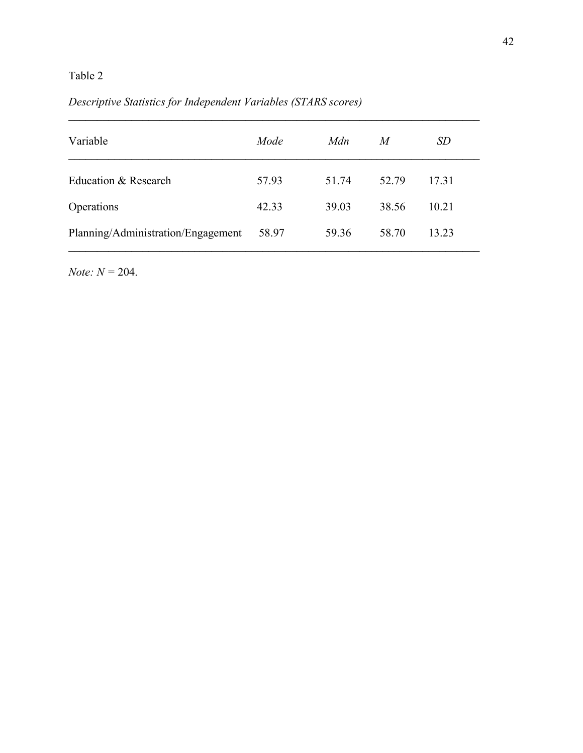# *Descriptive Statistics for Independent Variables (STARS scores)*

| Variable                           | Mode  | Mdn   | M     | SD    |
|------------------------------------|-------|-------|-------|-------|
| Education & Research               | 57.93 | 51 74 | 52.79 | 1731  |
| Operations                         | 42.33 | 39.03 | 38.56 | 10.21 |
| Planning/Administration/Engagement | 58.97 | 59.36 | 58.70 | 13.23 |

 $\mathcal{L}_\mathcal{L} = \mathcal{L}_\mathcal{L} - \mathcal{L}_\mathcal{L}$ 

*Note: N =* 204.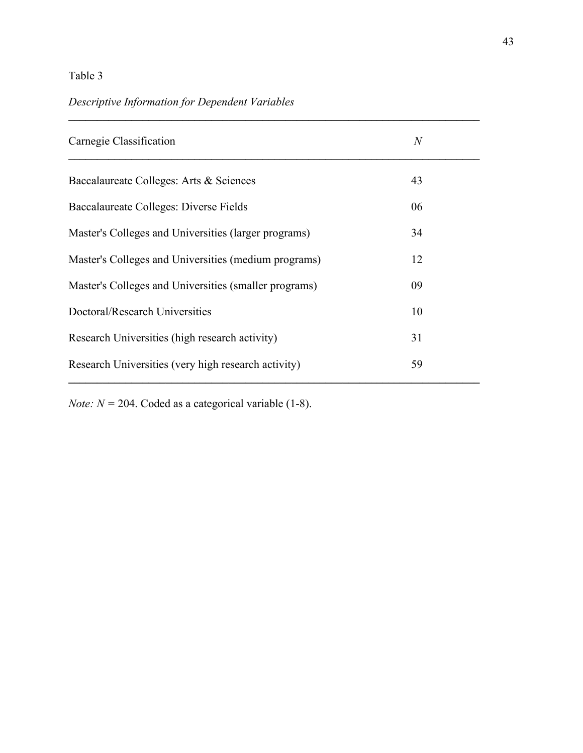# *Descriptive Information for Dependent Variables*

| Carnegie Classification                               | $\overline{N}$ |  |
|-------------------------------------------------------|----------------|--|
| Baccalaureate Colleges: Arts & Sciences               | 43             |  |
| Baccalaureate Colleges: Diverse Fields                | 06             |  |
| Master's Colleges and Universities (larger programs)  | 34             |  |
| Master's Colleges and Universities (medium programs)  | 12             |  |
| Master's Colleges and Universities (smaller programs) | 09             |  |
| Doctoral/Research Universities                        | 10             |  |
| Research Universities (high research activity)        | 31             |  |
| Research Universities (very high research activity)   | 59             |  |
|                                                       |                |  |

 $\mathcal{L}_\mathcal{L} = \mathcal{L}_\mathcal{L} - \mathcal{L}_\mathcal{L}$ 

*Note:*  $N = 204$ *.* Coded as a categorical variable (1-8).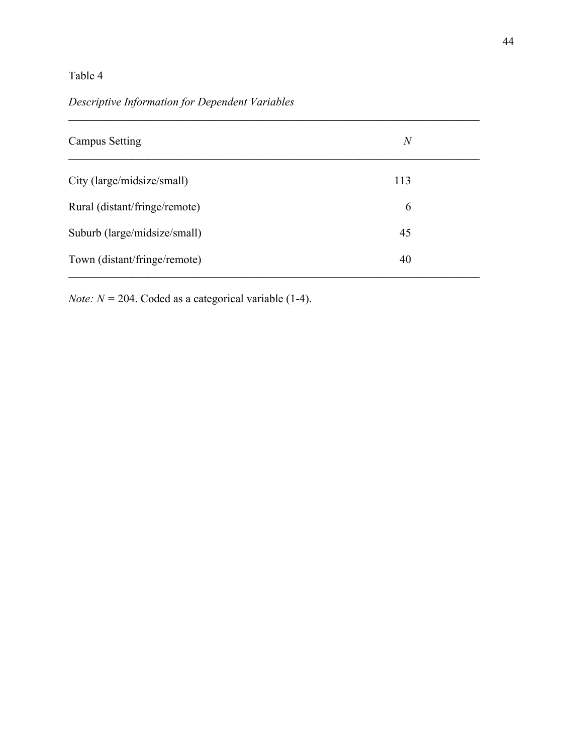# *Descriptive Information for Dependent Variables*

| <b>Campus Setting</b>         | $\overline{N}$ |  |
|-------------------------------|----------------|--|
| City (large/midsize/small)    | 113            |  |
| Rural (distant/fringe/remote) | 6              |  |
| Suburb (large/midsize/small)  | 45             |  |
| Town (distant/fringe/remote)  | 40             |  |

 $\mathcal{L}_\mathcal{L} = \mathcal{L}_\mathcal{L} - \mathcal{L}_\mathcal{L}$ 

*Note:*  $N = 204$ . Coded as a categorical variable (1-4).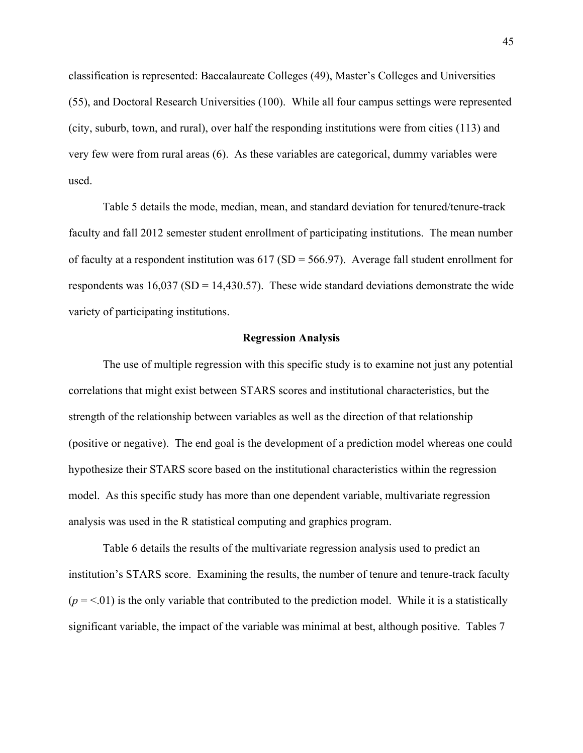classification is represented: Baccalaureate Colleges (49), Master's Colleges and Universities (55), and Doctoral Research Universities (100). While all four campus settings were represented (city, suburb, town, and rural), over half the responding institutions were from cities (113) and very few were from rural areas (6). As these variables are categorical, dummy variables were used.

Table 5 details the mode, median, mean, and standard deviation for tenured/tenure-track faculty and fall 2012 semester student enrollment of participating institutions. The mean number of faculty at a respondent institution was  $617 (SD = 566.97)$ . Average fall student enrollment for respondents was  $16,037$  (SD = 14,430.57). These wide standard deviations demonstrate the wide variety of participating institutions.

#### **Regression Analysis**

The use of multiple regression with this specific study is to examine not just any potential correlations that might exist between STARS scores and institutional characteristics, but the strength of the relationship between variables as well as the direction of that relationship (positive or negative). The end goal is the development of a prediction model whereas one could hypothesize their STARS score based on the institutional characteristics within the regression model. As this specific study has more than one dependent variable, multivariate regression analysis was used in the R statistical computing and graphics program.

Table 6 details the results of the multivariate regression analysis used to predict an institution's STARS score. Examining the results, the number of tenure and tenure-track faculty  $(p = 0.01)$  is the only variable that contributed to the prediction model. While it is a statistically significant variable, the impact of the variable was minimal at best, although positive. Tables 7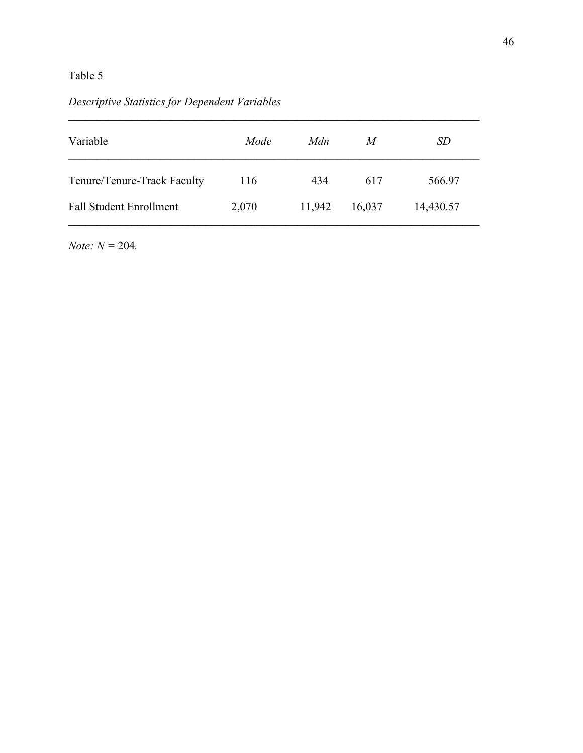# *Descriptive Statistics for Dependent Variables*

| Variable                       | Mode  | Mdn    | M      | SD        |
|--------------------------------|-------|--------|--------|-----------|
| Tenure/Tenure-Track Faculty    | 116   | 434    | 617    | 566.97    |
| <b>Fall Student Enrollment</b> | 2,070 | 11,942 | 16,037 | 14,430.57 |

*Note: N =* 204*.*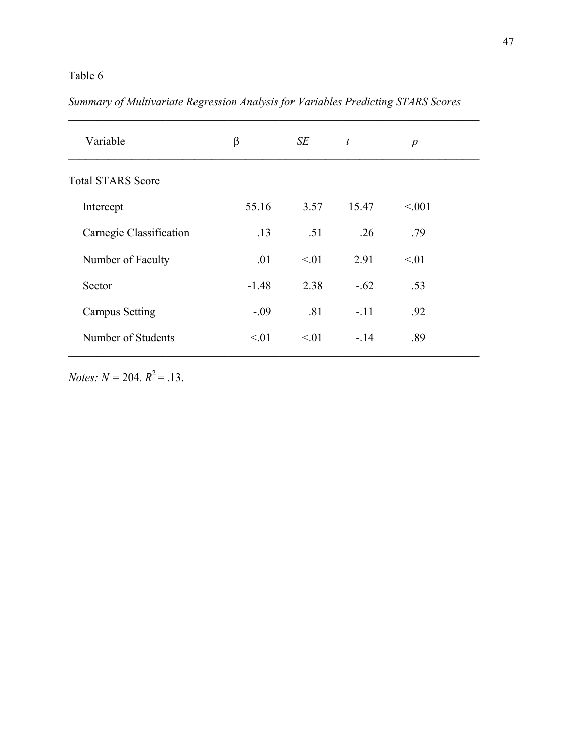# *Summary of Multivariate Regression Analysis for Variables Predicting STARS Scores*

| Variable                 | $\beta$   | SE          | $\mathfrak{t}$ | $\boldsymbol{p}$ |  |
|--------------------------|-----------|-------------|----------------|------------------|--|
| <b>Total STARS Score</b> |           |             |                |                  |  |
| Intercept                | 55.16     | 3.57        | 15.47          | < 0.01           |  |
| Carnegie Classification  | .13       | .51         | .26            | .79              |  |
| Number of Faculty        | .01       | $\leq 01$   | 2.91           | $\leq 01$        |  |
| Sector                   | $-1.48$   | 2.38        | $-.62$         | .53              |  |
| <b>Campus Setting</b>    | $-.09$    | .81         | $-.11$         | .92              |  |
| Number of Students       | $\leq 01$ | $\leq 0.01$ | $-.14$         | .89              |  |

*Notes:*  $N = 204$ *.*  $R^2 = .13$ *.*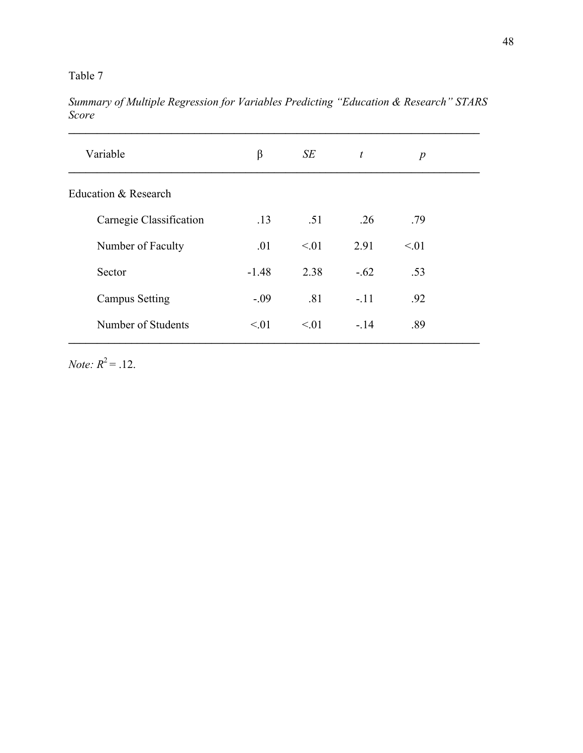*Summary of Multiple Regression for Variables Predicting "Education & Research" STARS Score*

| Variable                | β       | SE        | $\boldsymbol{t}$ | $\boldsymbol{p}$ |
|-------------------------|---------|-----------|------------------|------------------|
| Education & Research    |         |           |                  |                  |
| Carnegie Classification | .13     | .51       | .26              | .79              |
| Number of Faculty       | .01     | $\leq 01$ | 2.91             | $\leq 01$        |
| Sector                  | $-1.48$ | 2.38      | $-.62$           | .53              |
| <b>Campus Setting</b>   | $-.09$  | .81       | $-.11$           | .92              |
| Number of Students      | < 01    | $\leq 01$ | $-.14$           | .89              |
|                         |         |           |                  |                  |

*Note:*  $R^2 = .12$ .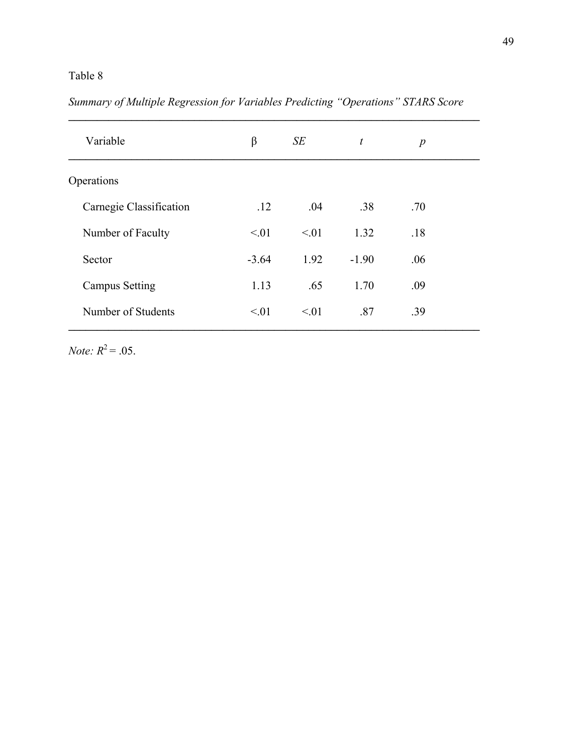*Summary of Multiple Regression for Variables Predicting "Operations" STARS Score*

| Variable                | β         | SE        | $\boldsymbol{t}$ | $\boldsymbol{p}$ |  |
|-------------------------|-----------|-----------|------------------|------------------|--|
| Operations              |           |           |                  |                  |  |
| Carnegie Classification | .12       | .04       | .38              | .70              |  |
| Number of Faculty       | $\leq 01$ | $\leq 01$ | 1.32             | .18              |  |
| Sector                  | $-3.64$   | 1.92      | $-1.90$          | .06              |  |
| <b>Campus Setting</b>   | 1.13      | .65       | 1.70             | .09              |  |
| Number of Students      | < 01      | $\leq 01$ | .87              | .39              |  |
|                         |           |           |                  |                  |  |

*Note:*  $R^2 = .05$ .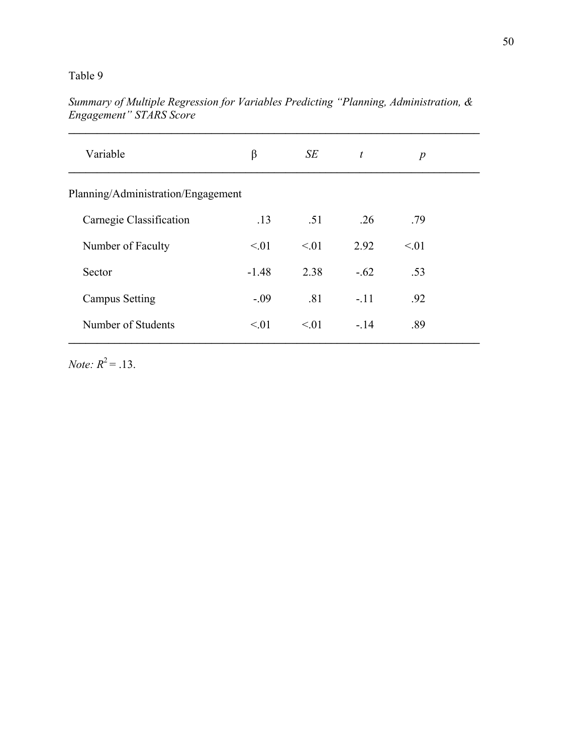| Variable                           | β         | SE        | t      | $\boldsymbol{p}$ |  |
|------------------------------------|-----------|-----------|--------|------------------|--|
| Planning/Administration/Engagement |           |           |        |                  |  |
| Carnegie Classification            | .13       | .51       | .26    | .79              |  |
| Number of Faculty                  | $\leq 01$ | $\leq 01$ | 2.92   | $\leq 01$        |  |
| Sector                             | $-1.48$   | 2.38      | $-.62$ | .53              |  |
| <b>Campus Setting</b>              | $-.09$    | .81       | $-.11$ | .92              |  |
| Number of Students                 | $\leq 01$ | $\leq 01$ | $-14$  | .89              |  |
|                                    |           |           |        |                  |  |

*Summary of Multiple Regression for Variables Predicting "Planning, Administration, & Engagement" STARS Score*

*Note:*  $R^2 = .13$ .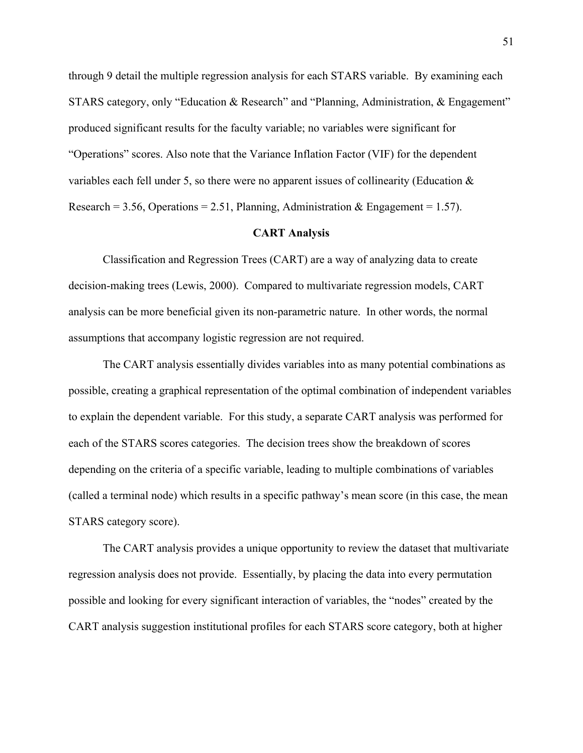through 9 detail the multiple regression analysis for each STARS variable. By examining each STARS category, only "Education & Research" and "Planning, Administration, & Engagement" produced significant results for the faculty variable; no variables were significant for "Operations" scores. Also note that the Variance Inflation Factor (VIF) for the dependent variables each fell under 5, so there were no apparent issues of collinearity (Education & Research = 3.56, Operations = 2.51, Planning, Administration & Engagement = 1.57).

#### **CART Analysis**

Classification and Regression Trees (CART) are a way of analyzing data to create decision-making trees (Lewis, 2000). Compared to multivariate regression models, CART analysis can be more beneficial given its non-parametric nature. In other words, the normal assumptions that accompany logistic regression are not required.

The CART analysis essentially divides variables into as many potential combinations as possible, creating a graphical representation of the optimal combination of independent variables to explain the dependent variable. For this study, a separate CART analysis was performed for each of the STARS scores categories. The decision trees show the breakdown of scores depending on the criteria of a specific variable, leading to multiple combinations of variables (called a terminal node) which results in a specific pathway's mean score (in this case, the mean STARS category score).

The CART analysis provides a unique opportunity to review the dataset that multivariate regression analysis does not provide. Essentially, by placing the data into every permutation possible and looking for every significant interaction of variables, the "nodes" created by the CART analysis suggestion institutional profiles for each STARS score category, both at higher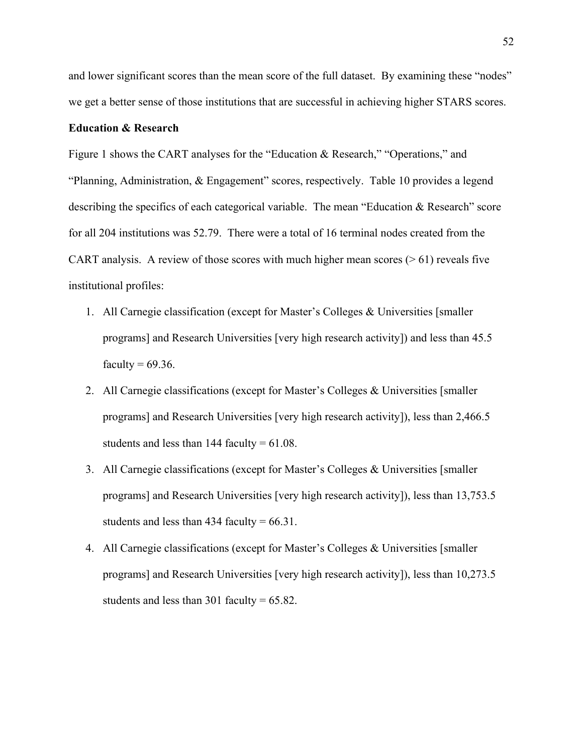and lower significant scores than the mean score of the full dataset. By examining these "nodes" we get a better sense of those institutions that are successful in achieving higher STARS scores.

### **Education & Research**

Figure 1 shows the CART analyses for the "Education & Research," "Operations," and "Planning, Administration, & Engagement" scores, respectively. Table 10 provides a legend describing the specifics of each categorical variable. The mean "Education & Research" score for all 204 institutions was 52.79. There were a total of 16 terminal nodes created from the CART analysis. A review of those scores with much higher mean scores ( $> 61$ ) reveals five institutional profiles:

- 1. All Carnegie classification (except for Master's Colleges & Universities [smaller programs] and Research Universities [very high research activity]) and less than 45.5 faculty  $= 69.36$ .
- 2. All Carnegie classifications (except for Master's Colleges & Universities [smaller programs] and Research Universities [very high research activity]), less than 2,466.5 students and less than  $144$  faculty =  $61.08$ .
- 3. All Carnegie classifications (except for Master's Colleges & Universities [smaller programs] and Research Universities [very high research activity]), less than 13,753.5 students and less than 434 faculty  $= 66.31$ .
- 4. All Carnegie classifications (except for Master's Colleges & Universities [smaller programs] and Research Universities [very high research activity]), less than 10,273.5 students and less than 301 faculty =  $65.82$ .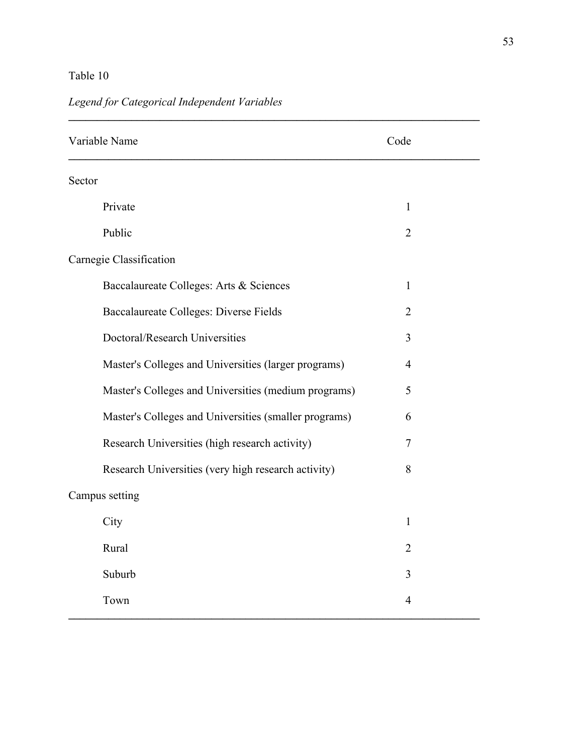| Variable Name                                         | Code           |  |
|-------------------------------------------------------|----------------|--|
| Sector                                                |                |  |
| Private                                               | $\mathbf{1}$   |  |
| Public                                                | $\overline{2}$ |  |
| Carnegie Classification                               |                |  |
| Baccalaureate Colleges: Arts & Sciences               | $\mathbf{1}$   |  |
| Baccalaureate Colleges: Diverse Fields                | $\overline{2}$ |  |
| Doctoral/Research Universities                        | 3              |  |
| Master's Colleges and Universities (larger programs)  | 4              |  |
| Master's Colleges and Universities (medium programs)  | 5              |  |
| Master's Colleges and Universities (smaller programs) | 6              |  |
| Research Universities (high research activity)        | 7              |  |
| Research Universities (very high research activity)   | 8              |  |
| Campus setting                                        |                |  |
| City                                                  | 1              |  |
| Rural                                                 | $\overline{2}$ |  |
| Suburb                                                | 3              |  |
| Town                                                  | 4              |  |

# *Legend for Categorical Independent Variables*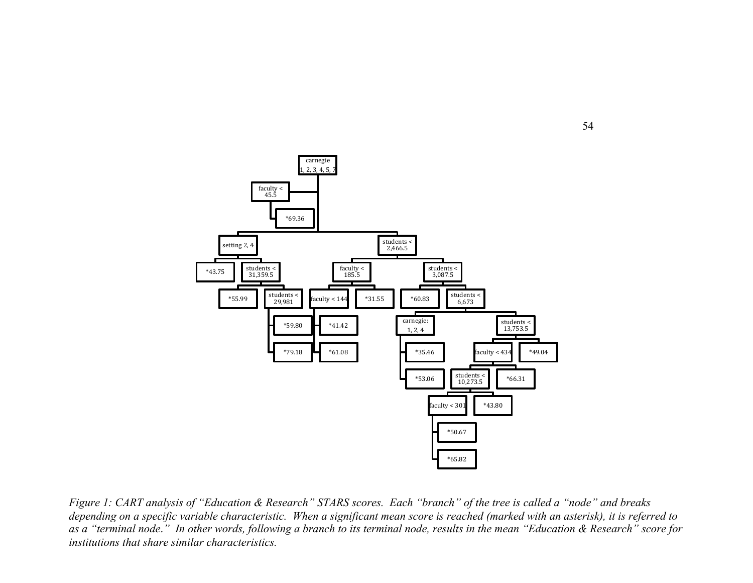

*Figure 1: CART analysis of "Education & Research" STARS scores. Each "branch" of the tree is called a "node" and breaks depending on a specific variable characteristic. When a significant mean score is reached (marked with an asterisk), it is referred to as a "terminal node*.*" In other words, following a branch to its terminal node, results in the mean "Education & Research" score for institutions that share similar characteristics.*

54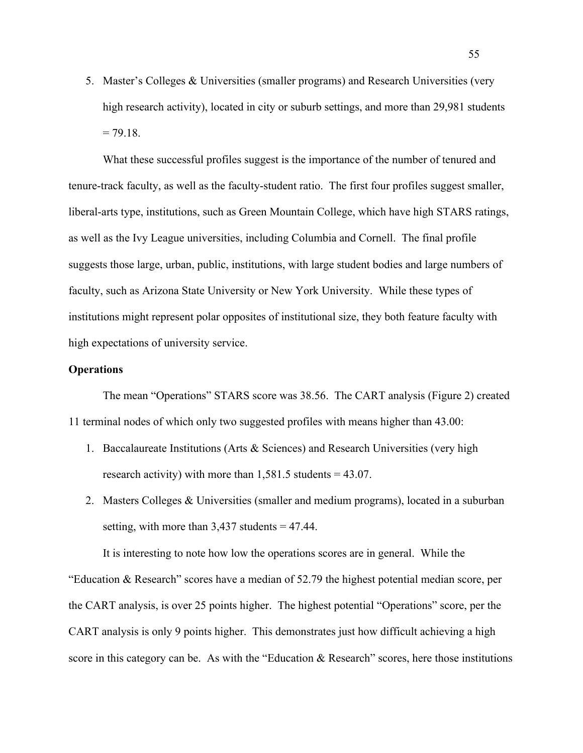5. Master's Colleges & Universities (smaller programs) and Research Universities (very high research activity), located in city or suburb settings, and more than 29,981 students  $= 79.18.$ 

What these successful profiles suggest is the importance of the number of tenured and tenure-track faculty, as well as the faculty-student ratio. The first four profiles suggest smaller, liberal-arts type, institutions, such as Green Mountain College, which have high STARS ratings, as well as the Ivy League universities, including Columbia and Cornell. The final profile suggests those large, urban, public, institutions, with large student bodies and large numbers of faculty, such as Arizona State University or New York University. While these types of institutions might represent polar opposites of institutional size, they both feature faculty with high expectations of university service.

## **Operations**

The mean "Operations" STARS score was 38.56. The CART analysis (Figure 2) created 11 terminal nodes of which only two suggested profiles with means higher than 43.00:

- 1. Baccalaureate Institutions (Arts & Sciences) and Research Universities (very high research activity) with more than  $1,581.5$  students = 43.07.
- 2. Masters Colleges & Universities (smaller and medium programs), located in a suburban setting, with more than  $3,437$  students  $= 47.44$ .

It is interesting to note how low the operations scores are in general. While the "Education & Research" scores have a median of 52.79 the highest potential median score, per the CART analysis, is over 25 points higher. The highest potential "Operations" score, per the CART analysis is only 9 points higher. This demonstrates just how difficult achieving a high score in this category can be. As with the "Education & Research" scores, here those institutions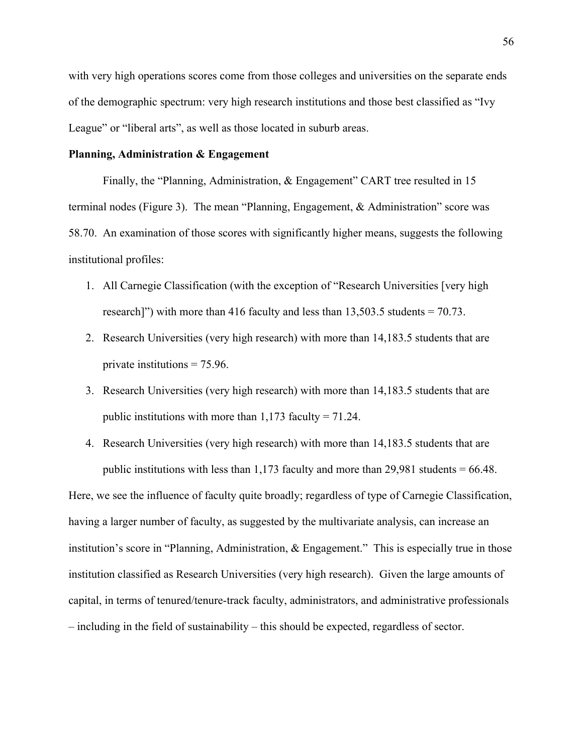with very high operations scores come from those colleges and universities on the separate ends of the demographic spectrum: very high research institutions and those best classified as "Ivy League" or "liberal arts", as well as those located in suburb areas.

## **Planning, Administration & Engagement**

Finally, the "Planning, Administration, & Engagement" CART tree resulted in 15 terminal nodes (Figure 3). The mean "Planning, Engagement, & Administration" score was 58.70. An examination of those scores with significantly higher means, suggests the following institutional profiles:

- 1. All Carnegie Classification (with the exception of "Research Universities [very high research]") with more than 416 faculty and less than  $13,503.5$  students = 70.73.
- 2. Research Universities (very high research) with more than 14,183.5 students that are private institutions = 75.96.
- 3. Research Universities (very high research) with more than 14,183.5 students that are public institutions with more than  $1,173$  faculty =  $71.24$ .
- 4. Research Universities (very high research) with more than 14,183.5 students that are public institutions with less than  $1,173$  faculty and more than  $29,981$  students = 66.48.

Here, we see the influence of faculty quite broadly; regardless of type of Carnegie Classification, having a larger number of faculty, as suggested by the multivariate analysis, can increase an institution's score in "Planning, Administration, & Engagement." This is especially true in those institution classified as Research Universities (very high research). Given the large amounts of capital, in terms of tenured/tenure-track faculty, administrators, and administrative professionals – including in the field of sustainability – this should be expected, regardless of sector.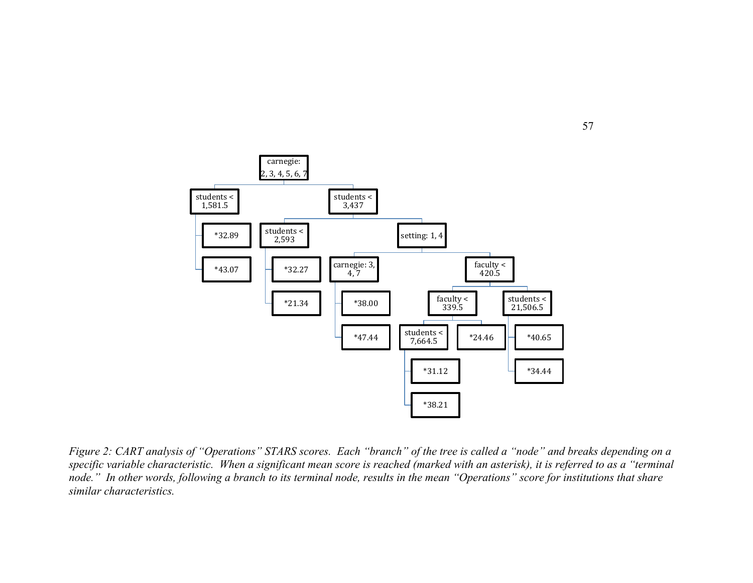

*Figure 2: CART analysis of "Operations" STARS scores. Each "branch" of the tree is called a "node" and breaks depending on a specific variable characteristic. When a significant mean score is reached (marked with an asterisk), it is referred to as a "terminal node." In other words, following a branch to its terminal node, results in the mean "Operations" score for institutions that share similar characteristics.*

57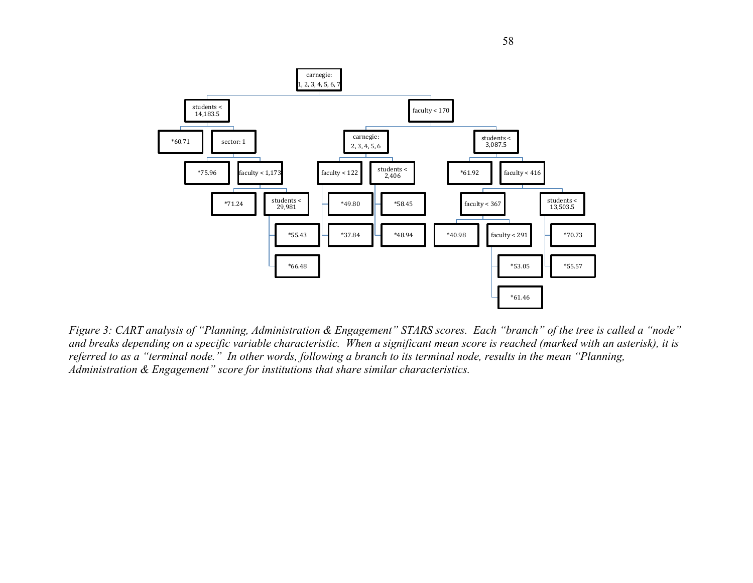

*Figure 3: CART analysis of "Planning, Administration & Engagement" STARS scores. Each "branch" of the tree is called a "node" and breaks depending on a specific variable characteristic. When a significant mean score is reached (marked with an asterisk), it is referred to as a "terminal node." In other words, following a branch to its terminal node, results in the mean "Planning, Administration & Engagement" score for institutions that share similar characteristics.*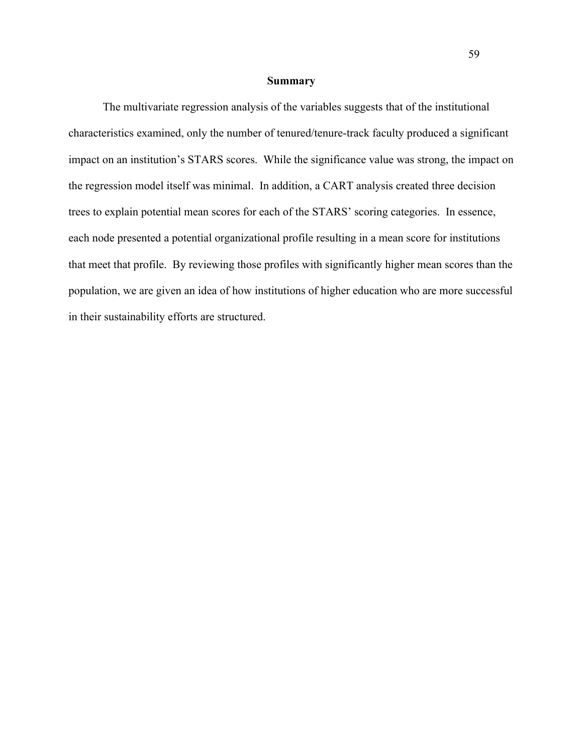#### **Summary**

The multivariate regression analysis of the variables suggests that of the institutional characteristics examined, only the number of tenured/tenure-track faculty produced a significant impact on an institution's STARS scores. While the significance value was strong, the impact on the regression model itself was minimal. In addition, a CART analysis created three decision trees to explain potential mean scores for each of the STARS' scoring categories. In essence, each node presented a potential organizational profile resulting in a mean score for institutions that meet that profile. By reviewing those profiles with significantly higher mean scores than the population, we are given an idea of how institutions of higher education who are more successful in their sustainability efforts are structured.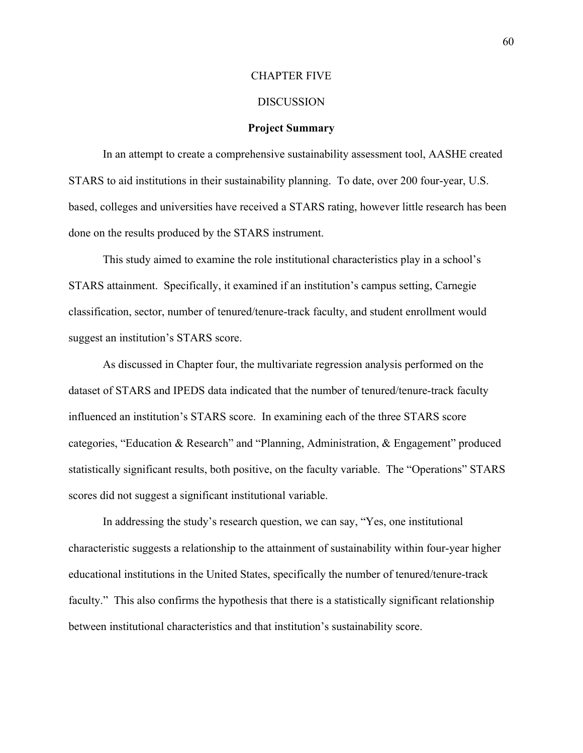#### CHAPTER FIVE

#### DISCUSSION

#### **Project Summary**

In an attempt to create a comprehensive sustainability assessment tool, AASHE created STARS to aid institutions in their sustainability planning. To date, over 200 four-year, U.S. based, colleges and universities have received a STARS rating, however little research has been done on the results produced by the STARS instrument.

This study aimed to examine the role institutional characteristics play in a school's STARS attainment. Specifically, it examined if an institution's campus setting, Carnegie classification, sector, number of tenured/tenure-track faculty, and student enrollment would suggest an institution's STARS score.

As discussed in Chapter four, the multivariate regression analysis performed on the dataset of STARS and IPEDS data indicated that the number of tenured/tenure-track faculty influenced an institution's STARS score. In examining each of the three STARS score categories, "Education & Research" and "Planning, Administration, & Engagement" produced statistically significant results, both positive, on the faculty variable. The "Operations" STARS scores did not suggest a significant institutional variable.

In addressing the study's research question, we can say, "Yes, one institutional characteristic suggests a relationship to the attainment of sustainability within four-year higher educational institutions in the United States, specifically the number of tenured/tenure-track faculty." This also confirms the hypothesis that there is a statistically significant relationship between institutional characteristics and that institution's sustainability score.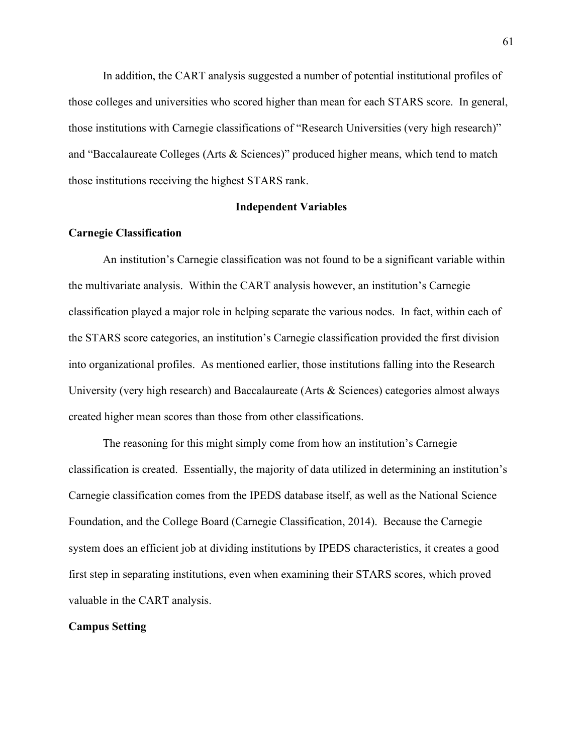In addition, the CART analysis suggested a number of potential institutional profiles of those colleges and universities who scored higher than mean for each STARS score. In general, those institutions with Carnegie classifications of "Research Universities (very high research)" and "Baccalaureate Colleges (Arts & Sciences)" produced higher means, which tend to match those institutions receiving the highest STARS rank.

### **Independent Variables**

### **Carnegie Classification**

An institution's Carnegie classification was not found to be a significant variable within the multivariate analysis. Within the CART analysis however, an institution's Carnegie classification played a major role in helping separate the various nodes. In fact, within each of the STARS score categories, an institution's Carnegie classification provided the first division into organizational profiles. As mentioned earlier, those institutions falling into the Research University (very high research) and Baccalaureate (Arts & Sciences) categories almost always created higher mean scores than those from other classifications.

The reasoning for this might simply come from how an institution's Carnegie classification is created. Essentially, the majority of data utilized in determining an institution's Carnegie classification comes from the IPEDS database itself, as well as the National Science Foundation, and the College Board (Carnegie Classification, 2014). Because the Carnegie system does an efficient job at dividing institutions by IPEDS characteristics, it creates a good first step in separating institutions, even when examining their STARS scores, which proved valuable in the CART analysis.

### **Campus Setting**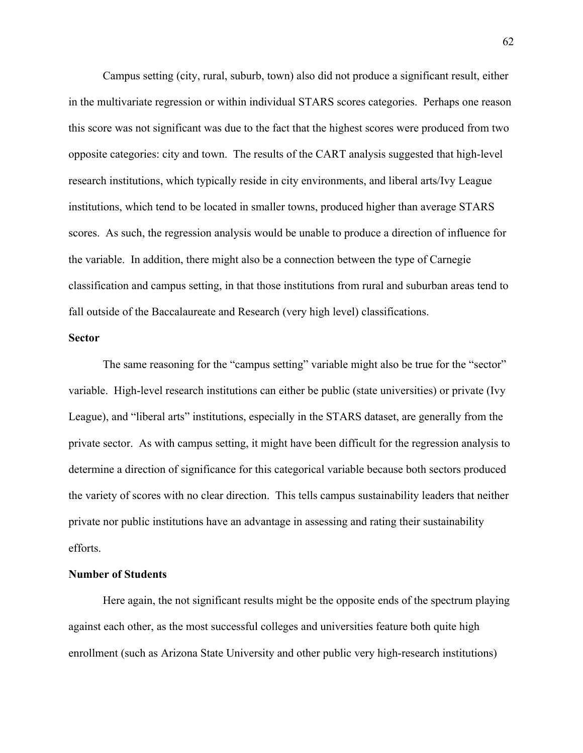Campus setting (city, rural, suburb, town) also did not produce a significant result, either in the multivariate regression or within individual STARS scores categories. Perhaps one reason this score was not significant was due to the fact that the highest scores were produced from two opposite categories: city and town. The results of the CART analysis suggested that high-level research institutions, which typically reside in city environments, and liberal arts/Ivy League institutions, which tend to be located in smaller towns, produced higher than average STARS scores. As such, the regression analysis would be unable to produce a direction of influence for the variable. In addition, there might also be a connection between the type of Carnegie classification and campus setting, in that those institutions from rural and suburban areas tend to fall outside of the Baccalaureate and Research (very high level) classifications.

### **Sector**

The same reasoning for the "campus setting" variable might also be true for the "sector" variable. High-level research institutions can either be public (state universities) or private (Ivy League), and "liberal arts" institutions, especially in the STARS dataset, are generally from the private sector. As with campus setting, it might have been difficult for the regression analysis to determine a direction of significance for this categorical variable because both sectors produced the variety of scores with no clear direction. This tells campus sustainability leaders that neither private nor public institutions have an advantage in assessing and rating their sustainability efforts.

## **Number of Students**

Here again, the not significant results might be the opposite ends of the spectrum playing against each other, as the most successful colleges and universities feature both quite high enrollment (such as Arizona State University and other public very high-research institutions)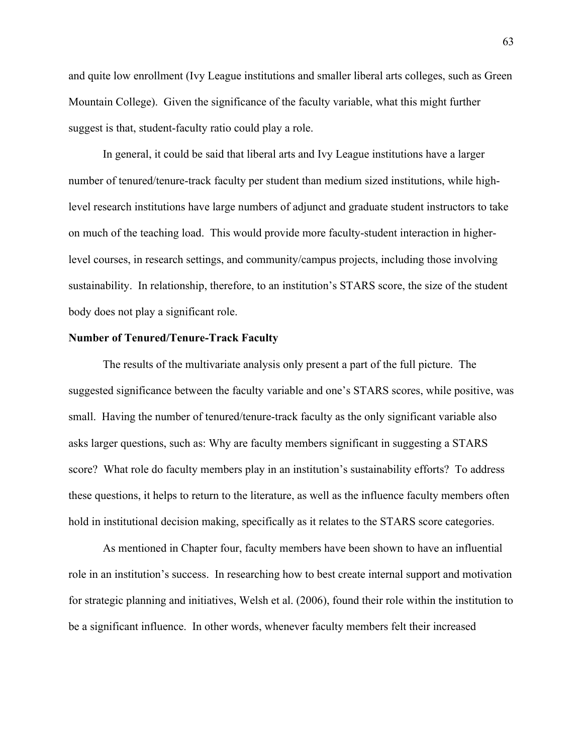and quite low enrollment (Ivy League institutions and smaller liberal arts colleges, such as Green Mountain College). Given the significance of the faculty variable, what this might further suggest is that, student-faculty ratio could play a role.

In general, it could be said that liberal arts and Ivy League institutions have a larger number of tenured/tenure-track faculty per student than medium sized institutions, while highlevel research institutions have large numbers of adjunct and graduate student instructors to take on much of the teaching load. This would provide more faculty-student interaction in higherlevel courses, in research settings, and community/campus projects, including those involving sustainability. In relationship, therefore, to an institution's STARS score, the size of the student body does not play a significant role.

### **Number of Tenured/Tenure-Track Faculty**

The results of the multivariate analysis only present a part of the full picture. The suggested significance between the faculty variable and one's STARS scores, while positive, was small. Having the number of tenured/tenure-track faculty as the only significant variable also asks larger questions, such as: Why are faculty members significant in suggesting a STARS score? What role do faculty members play in an institution's sustainability efforts? To address these questions, it helps to return to the literature, as well as the influence faculty members often hold in institutional decision making, specifically as it relates to the STARS score categories.

As mentioned in Chapter four, faculty members have been shown to have an influential role in an institution's success. In researching how to best create internal support and motivation for strategic planning and initiatives, Welsh et al. (2006), found their role within the institution to be a significant influence. In other words, whenever faculty members felt their increased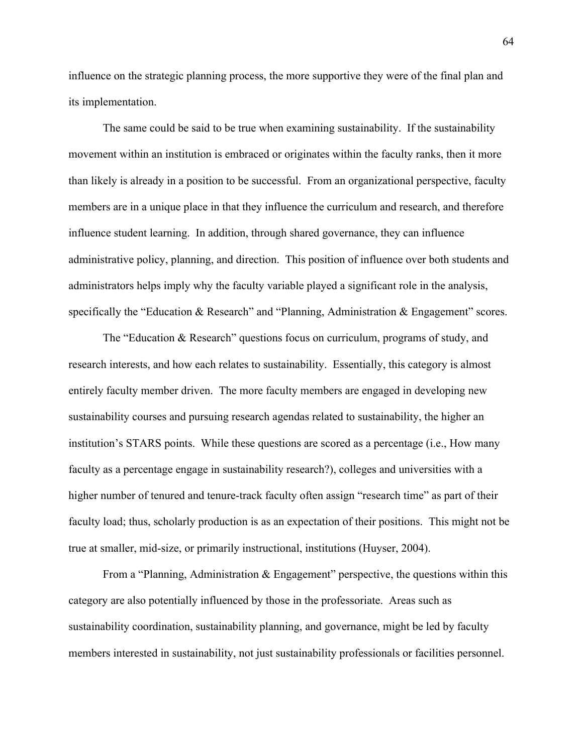influence on the strategic planning process, the more supportive they were of the final plan and its implementation.

The same could be said to be true when examining sustainability. If the sustainability movement within an institution is embraced or originates within the faculty ranks, then it more than likely is already in a position to be successful. From an organizational perspective, faculty members are in a unique place in that they influence the curriculum and research, and therefore influence student learning. In addition, through shared governance, they can influence administrative policy, planning, and direction. This position of influence over both students and administrators helps imply why the faculty variable played a significant role in the analysis, specifically the "Education & Research" and "Planning, Administration & Engagement" scores.

The "Education & Research" questions focus on curriculum, programs of study, and research interests, and how each relates to sustainability. Essentially, this category is almost entirely faculty member driven. The more faculty members are engaged in developing new sustainability courses and pursuing research agendas related to sustainability, the higher an institution's STARS points. While these questions are scored as a percentage (i.e., How many faculty as a percentage engage in sustainability research?), colleges and universities with a higher number of tenured and tenure-track faculty often assign "research time" as part of their faculty load; thus, scholarly production is as an expectation of their positions. This might not be true at smaller, mid-size, or primarily instructional, institutions (Huyser, 2004).

From a "Planning, Administration  $\&$  Engagement" perspective, the questions within this category are also potentially influenced by those in the professoriate. Areas such as sustainability coordination, sustainability planning, and governance, might be led by faculty members interested in sustainability, not just sustainability professionals or facilities personnel.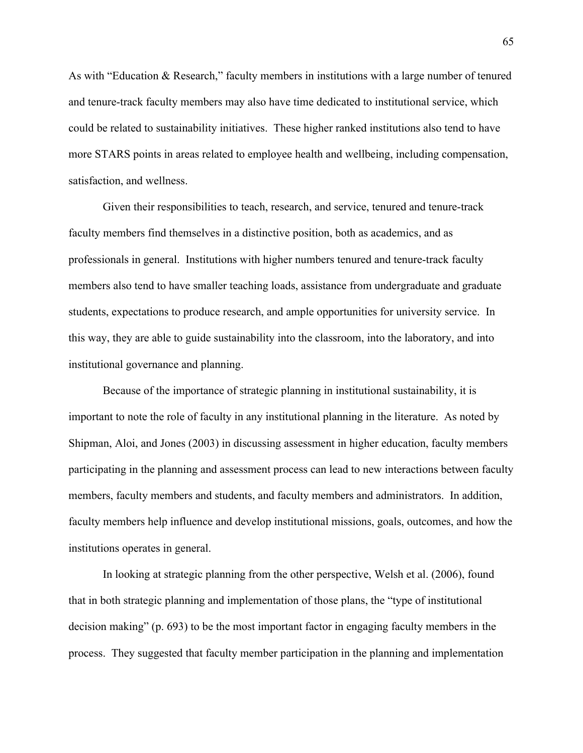As with "Education & Research," faculty members in institutions with a large number of tenured and tenure-track faculty members may also have time dedicated to institutional service, which could be related to sustainability initiatives. These higher ranked institutions also tend to have more STARS points in areas related to employee health and wellbeing, including compensation, satisfaction, and wellness.

Given their responsibilities to teach, research, and service, tenured and tenure-track faculty members find themselves in a distinctive position, both as academics, and as professionals in general. Institutions with higher numbers tenured and tenure-track faculty members also tend to have smaller teaching loads, assistance from undergraduate and graduate students, expectations to produce research, and ample opportunities for university service. In this way, they are able to guide sustainability into the classroom, into the laboratory, and into institutional governance and planning.

Because of the importance of strategic planning in institutional sustainability, it is important to note the role of faculty in any institutional planning in the literature. As noted by Shipman, Aloi, and Jones (2003) in discussing assessment in higher education, faculty members participating in the planning and assessment process can lead to new interactions between faculty members, faculty members and students, and faculty members and administrators. In addition, faculty members help influence and develop institutional missions, goals, outcomes, and how the institutions operates in general.

In looking at strategic planning from the other perspective, Welsh et al. (2006), found that in both strategic planning and implementation of those plans, the "type of institutional decision making" (p. 693) to be the most important factor in engaging faculty members in the process. They suggested that faculty member participation in the planning and implementation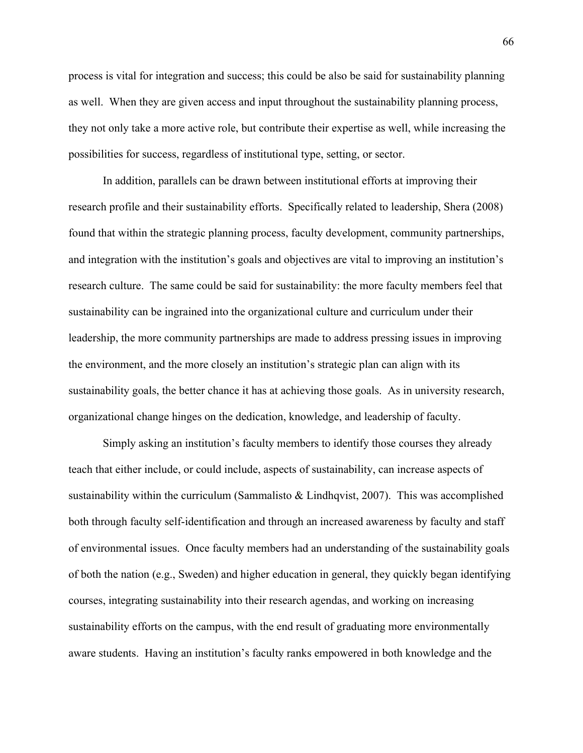process is vital for integration and success; this could be also be said for sustainability planning as well. When they are given access and input throughout the sustainability planning process, they not only take a more active role, but contribute their expertise as well, while increasing the possibilities for success, regardless of institutional type, setting, or sector.

In addition, parallels can be drawn between institutional efforts at improving their research profile and their sustainability efforts. Specifically related to leadership, Shera (2008) found that within the strategic planning process, faculty development, community partnerships, and integration with the institution's goals and objectives are vital to improving an institution's research culture. The same could be said for sustainability: the more faculty members feel that sustainability can be ingrained into the organizational culture and curriculum under their leadership, the more community partnerships are made to address pressing issues in improving the environment, and the more closely an institution's strategic plan can align with its sustainability goals, the better chance it has at achieving those goals. As in university research, organizational change hinges on the dedication, knowledge, and leadership of faculty.

Simply asking an institution's faculty members to identify those courses they already teach that either include, or could include, aspects of sustainability, can increase aspects of sustainability within the curriculum (Sammalisto  $& Lindhqvist, 2007$ ). This was accomplished both through faculty self-identification and through an increased awareness by faculty and staff of environmental issues. Once faculty members had an understanding of the sustainability goals of both the nation (e.g., Sweden) and higher education in general, they quickly began identifying courses, integrating sustainability into their research agendas, and working on increasing sustainability efforts on the campus, with the end result of graduating more environmentally aware students. Having an institution's faculty ranks empowered in both knowledge and the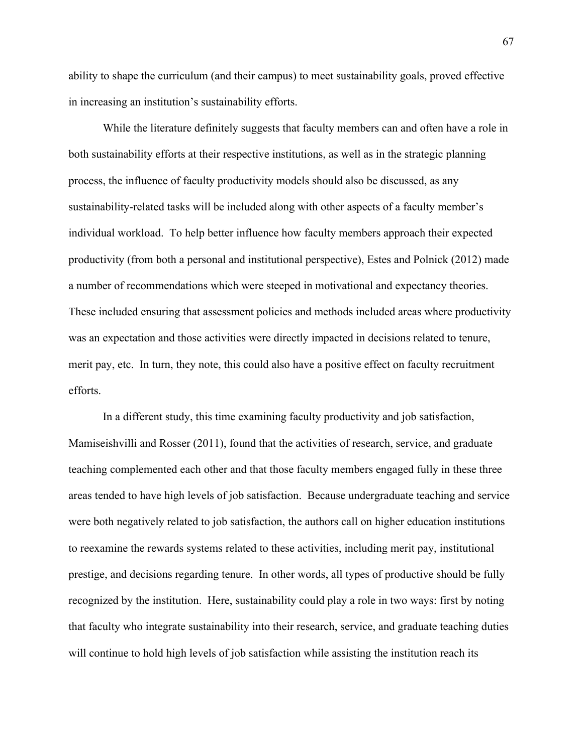ability to shape the curriculum (and their campus) to meet sustainability goals, proved effective in increasing an institution's sustainability efforts.

While the literature definitely suggests that faculty members can and often have a role in both sustainability efforts at their respective institutions, as well as in the strategic planning process, the influence of faculty productivity models should also be discussed, as any sustainability-related tasks will be included along with other aspects of a faculty member's individual workload. To help better influence how faculty members approach their expected productivity (from both a personal and institutional perspective), Estes and Polnick (2012) made a number of recommendations which were steeped in motivational and expectancy theories. These included ensuring that assessment policies and methods included areas where productivity was an expectation and those activities were directly impacted in decisions related to tenure, merit pay, etc. In turn, they note, this could also have a positive effect on faculty recruitment efforts.

In a different study, this time examining faculty productivity and job satisfaction, Mamiseishvilli and Rosser (2011), found that the activities of research, service, and graduate teaching complemented each other and that those faculty members engaged fully in these three areas tended to have high levels of job satisfaction. Because undergraduate teaching and service were both negatively related to job satisfaction, the authors call on higher education institutions to reexamine the rewards systems related to these activities, including merit pay, institutional prestige, and decisions regarding tenure. In other words, all types of productive should be fully recognized by the institution. Here, sustainability could play a role in two ways: first by noting that faculty who integrate sustainability into their research, service, and graduate teaching duties will continue to hold high levels of job satisfaction while assisting the institution reach its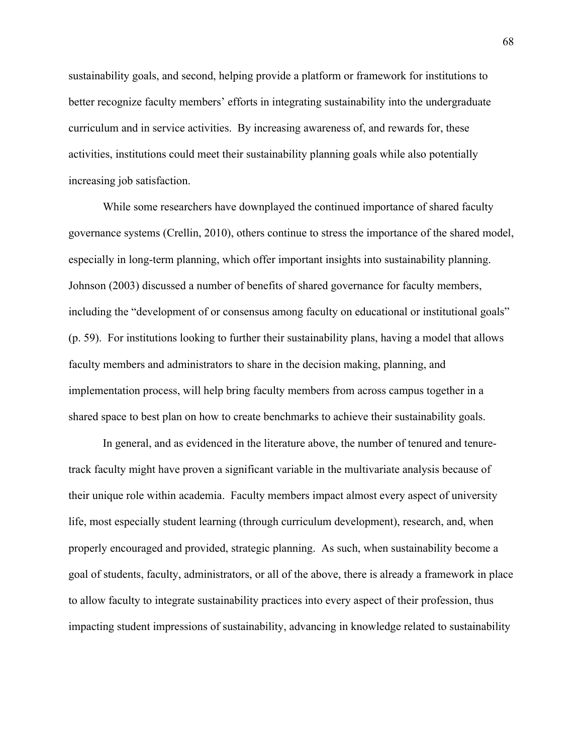sustainability goals, and second, helping provide a platform or framework for institutions to better recognize faculty members' efforts in integrating sustainability into the undergraduate curriculum and in service activities. By increasing awareness of, and rewards for, these activities, institutions could meet their sustainability planning goals while also potentially increasing job satisfaction.

While some researchers have downplayed the continued importance of shared faculty governance systems (Crellin, 2010), others continue to stress the importance of the shared model, especially in long-term planning, which offer important insights into sustainability planning. Johnson (2003) discussed a number of benefits of shared governance for faculty members, including the "development of or consensus among faculty on educational or institutional goals" (p. 59). For institutions looking to further their sustainability plans, having a model that allows faculty members and administrators to share in the decision making, planning, and implementation process, will help bring faculty members from across campus together in a shared space to best plan on how to create benchmarks to achieve their sustainability goals.

In general, and as evidenced in the literature above, the number of tenured and tenuretrack faculty might have proven a significant variable in the multivariate analysis because of their unique role within academia. Faculty members impact almost every aspect of university life, most especially student learning (through curriculum development), research, and, when properly encouraged and provided, strategic planning. As such, when sustainability become a goal of students, faculty, administrators, or all of the above, there is already a framework in place to allow faculty to integrate sustainability practices into every aspect of their profession, thus impacting student impressions of sustainability, advancing in knowledge related to sustainability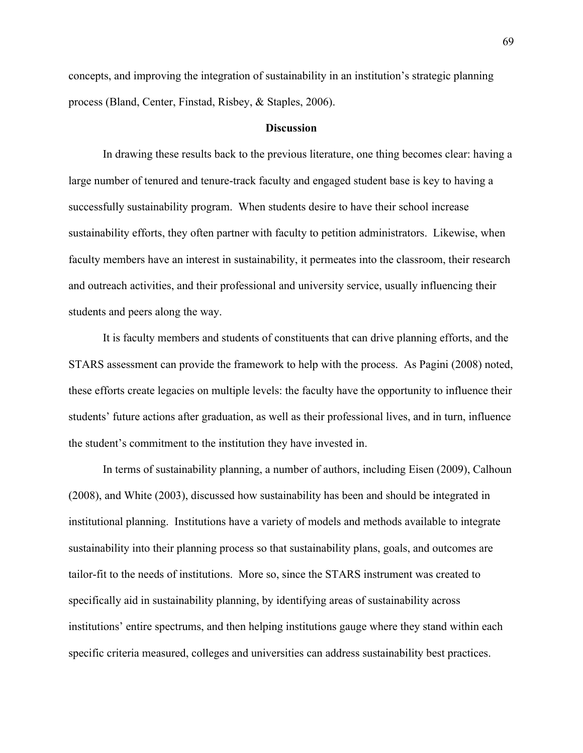concepts, and improving the integration of sustainability in an institution's strategic planning process (Bland, Center, Finstad, Risbey, & Staples, 2006).

#### **Discussion**

In drawing these results back to the previous literature, one thing becomes clear: having a large number of tenured and tenure-track faculty and engaged student base is key to having a successfully sustainability program. When students desire to have their school increase sustainability efforts, they often partner with faculty to petition administrators. Likewise, when faculty members have an interest in sustainability, it permeates into the classroom, their research and outreach activities, and their professional and university service, usually influencing their students and peers along the way.

It is faculty members and students of constituents that can drive planning efforts, and the STARS assessment can provide the framework to help with the process. As Pagini (2008) noted, these efforts create legacies on multiple levels: the faculty have the opportunity to influence their students' future actions after graduation, as well as their professional lives, and in turn, influence the student's commitment to the institution they have invested in.

In terms of sustainability planning, a number of authors, including Eisen (2009), Calhoun (2008), and White (2003), discussed how sustainability has been and should be integrated in institutional planning. Institutions have a variety of models and methods available to integrate sustainability into their planning process so that sustainability plans, goals, and outcomes are tailor-fit to the needs of institutions. More so, since the STARS instrument was created to specifically aid in sustainability planning, by identifying areas of sustainability across institutions' entire spectrums, and then helping institutions gauge where they stand within each specific criteria measured, colleges and universities can address sustainability best practices.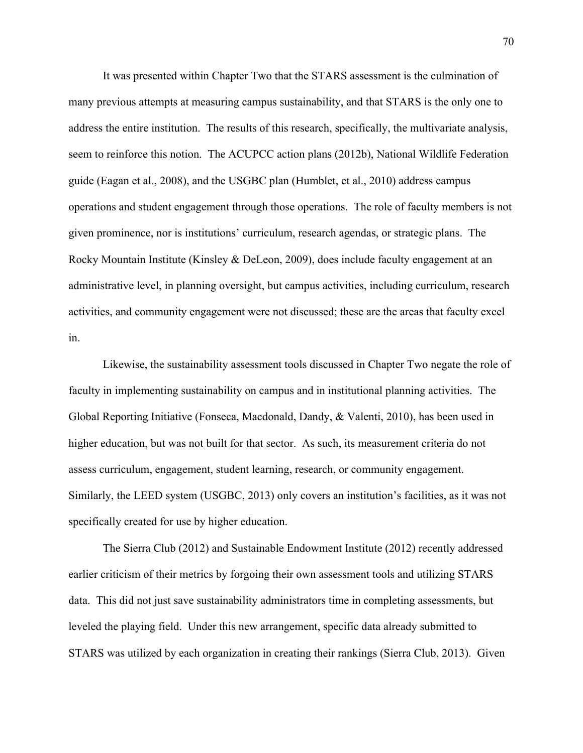It was presented within Chapter Two that the STARS assessment is the culmination of many previous attempts at measuring campus sustainability, and that STARS is the only one to address the entire institution. The results of this research, specifically, the multivariate analysis, seem to reinforce this notion. The ACUPCC action plans (2012b), National Wildlife Federation guide (Eagan et al., 2008), and the USGBC plan (Humblet, et al., 2010) address campus operations and student engagement through those operations. The role of faculty members is not given prominence, nor is institutions' curriculum, research agendas, or strategic plans. The Rocky Mountain Institute (Kinsley & DeLeon, 2009), does include faculty engagement at an administrative level, in planning oversight, but campus activities, including curriculum, research activities, and community engagement were not discussed; these are the areas that faculty excel in.

Likewise, the sustainability assessment tools discussed in Chapter Two negate the role of faculty in implementing sustainability on campus and in institutional planning activities. The Global Reporting Initiative (Fonseca, Macdonald, Dandy, & Valenti, 2010), has been used in higher education, but was not built for that sector. As such, its measurement criteria do not assess curriculum, engagement, student learning, research, or community engagement. Similarly, the LEED system (USGBC, 2013) only covers an institution's facilities, as it was not specifically created for use by higher education.

The Sierra Club (2012) and Sustainable Endowment Institute (2012) recently addressed earlier criticism of their metrics by forgoing their own assessment tools and utilizing STARS data. This did not just save sustainability administrators time in completing assessments, but leveled the playing field. Under this new arrangement, specific data already submitted to STARS was utilized by each organization in creating their rankings (Sierra Club, 2013). Given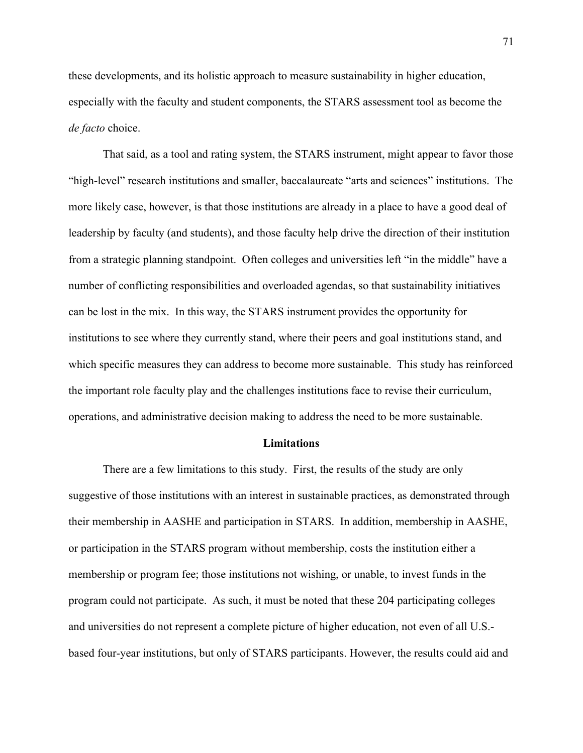these developments, and its holistic approach to measure sustainability in higher education, especially with the faculty and student components, the STARS assessment tool as become the *de facto* choice.

That said, as a tool and rating system, the STARS instrument, might appear to favor those "high-level" research institutions and smaller, baccalaureate "arts and sciences" institutions. The more likely case, however, is that those institutions are already in a place to have a good deal of leadership by faculty (and students), and those faculty help drive the direction of their institution from a strategic planning standpoint. Often colleges and universities left "in the middle" have a number of conflicting responsibilities and overloaded agendas, so that sustainability initiatives can be lost in the mix. In this way, the STARS instrument provides the opportunity for institutions to see where they currently stand, where their peers and goal institutions stand, and which specific measures they can address to become more sustainable. This study has reinforced the important role faculty play and the challenges institutions face to revise their curriculum, operations, and administrative decision making to address the need to be more sustainable.

### **Limitations**

There are a few limitations to this study. First, the results of the study are only suggestive of those institutions with an interest in sustainable practices, as demonstrated through their membership in AASHE and participation in STARS. In addition, membership in AASHE, or participation in the STARS program without membership, costs the institution either a membership or program fee; those institutions not wishing, or unable, to invest funds in the program could not participate. As such, it must be noted that these 204 participating colleges and universities do not represent a complete picture of higher education, not even of all U.S. based four-year institutions, but only of STARS participants. However, the results could aid and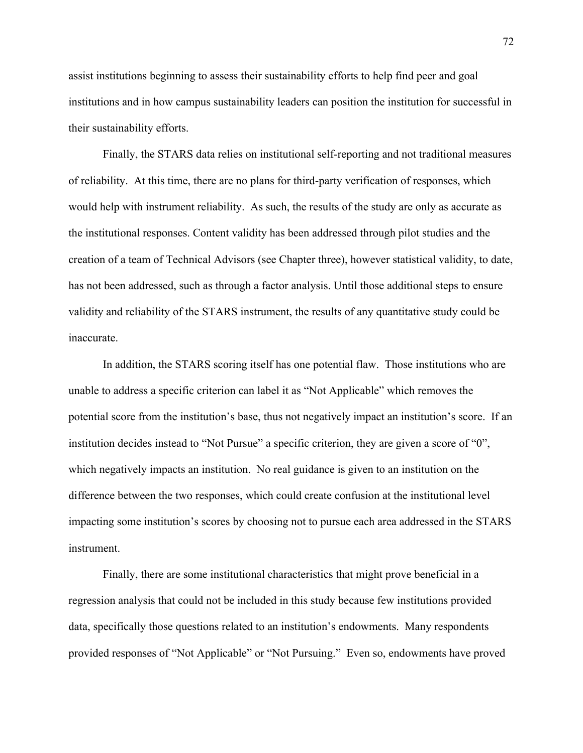assist institutions beginning to assess their sustainability efforts to help find peer and goal institutions and in how campus sustainability leaders can position the institution for successful in their sustainability efforts.

Finally, the STARS data relies on institutional self-reporting and not traditional measures of reliability. At this time, there are no plans for third-party verification of responses, which would help with instrument reliability. As such, the results of the study are only as accurate as the institutional responses. Content validity has been addressed through pilot studies and the creation of a team of Technical Advisors (see Chapter three), however statistical validity, to date, has not been addressed, such as through a factor analysis. Until those additional steps to ensure validity and reliability of the STARS instrument, the results of any quantitative study could be inaccurate.

In addition, the STARS scoring itself has one potential flaw. Those institutions who are unable to address a specific criterion can label it as "Not Applicable" which removes the potential score from the institution's base, thus not negatively impact an institution's score. If an institution decides instead to "Not Pursue" a specific criterion, they are given a score of "0", which negatively impacts an institution. No real guidance is given to an institution on the difference between the two responses, which could create confusion at the institutional level impacting some institution's scores by choosing not to pursue each area addressed in the STARS instrument.

Finally, there are some institutional characteristics that might prove beneficial in a regression analysis that could not be included in this study because few institutions provided data, specifically those questions related to an institution's endowments. Many respondents provided responses of "Not Applicable" or "Not Pursuing." Even so, endowments have proved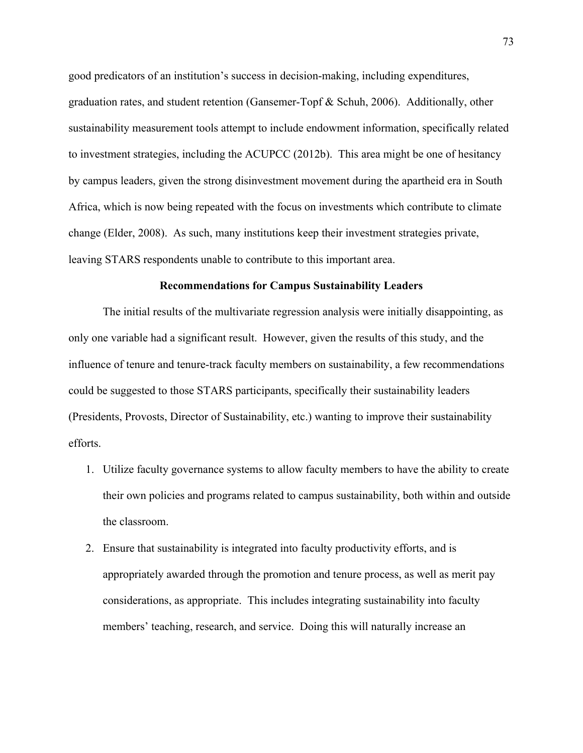good predicators of an institution's success in decision-making, including expenditures, graduation rates, and student retention (Gansemer-Topf & Schuh, 2006). Additionally, other sustainability measurement tools attempt to include endowment information, specifically related to investment strategies, including the ACUPCC (2012b). This area might be one of hesitancy by campus leaders, given the strong disinvestment movement during the apartheid era in South Africa, which is now being repeated with the focus on investments which contribute to climate change (Elder, 2008). As such, many institutions keep their investment strategies private, leaving STARS respondents unable to contribute to this important area.

## **Recommendations for Campus Sustainability Leaders**

The initial results of the multivariate regression analysis were initially disappointing, as only one variable had a significant result. However, given the results of this study, and the influence of tenure and tenure-track faculty members on sustainability, a few recommendations could be suggested to those STARS participants, specifically their sustainability leaders (Presidents, Provosts, Director of Sustainability, etc.) wanting to improve their sustainability efforts.

- 1. Utilize faculty governance systems to allow faculty members to have the ability to create their own policies and programs related to campus sustainability, both within and outside the classroom.
- 2. Ensure that sustainability is integrated into faculty productivity efforts, and is appropriately awarded through the promotion and tenure process, as well as merit pay considerations, as appropriate. This includes integrating sustainability into faculty members' teaching, research, and service. Doing this will naturally increase an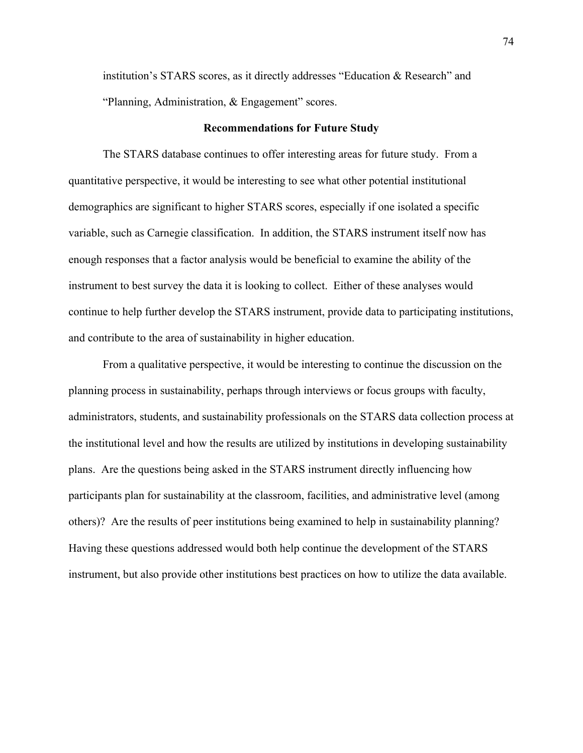institution's STARS scores, as it directly addresses "Education & Research" and "Planning, Administration, & Engagement" scores.

## **Recommendations for Future Study**

The STARS database continues to offer interesting areas for future study. From a quantitative perspective, it would be interesting to see what other potential institutional demographics are significant to higher STARS scores, especially if one isolated a specific variable, such as Carnegie classification. In addition, the STARS instrument itself now has enough responses that a factor analysis would be beneficial to examine the ability of the instrument to best survey the data it is looking to collect. Either of these analyses would continue to help further develop the STARS instrument, provide data to participating institutions, and contribute to the area of sustainability in higher education.

From a qualitative perspective, it would be interesting to continue the discussion on the planning process in sustainability, perhaps through interviews or focus groups with faculty, administrators, students, and sustainability professionals on the STARS data collection process at the institutional level and how the results are utilized by institutions in developing sustainability plans. Are the questions being asked in the STARS instrument directly influencing how participants plan for sustainability at the classroom, facilities, and administrative level (among others)? Are the results of peer institutions being examined to help in sustainability planning? Having these questions addressed would both help continue the development of the STARS instrument, but also provide other institutions best practices on how to utilize the data available.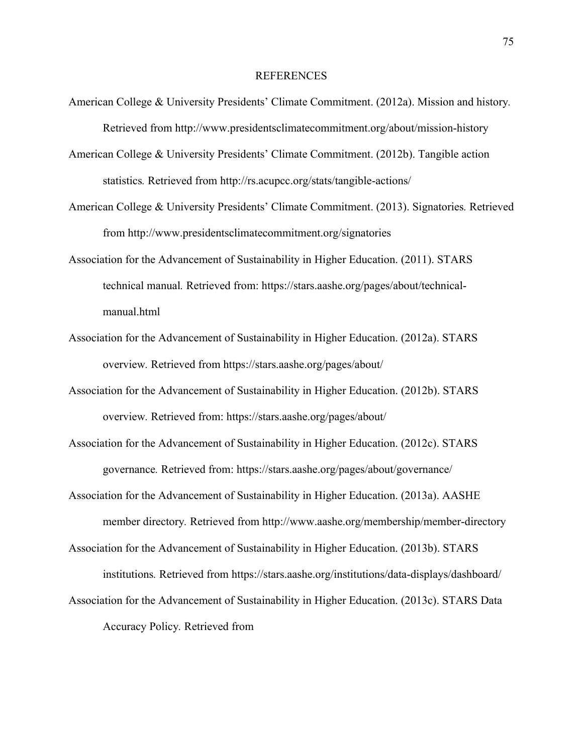## REFERENCES

- American College & University Presidents' Climate Commitment. (2012a). Mission and history*.* Retrieved from http://www.presidentsclimatecommitment.org/about/mission-history
- American College & University Presidents' Climate Commitment. (2012b). Tangible action statistics*.* Retrieved from http://rs.acupcc.org/stats/tangible-actions/
- American College & University Presidents' Climate Commitment. (2013). Signatories*.* Retrieved from http://www.presidentsclimatecommitment.org/signatories
- Association for the Advancement of Sustainability in Higher Education. (2011). STARS technical manual*.* Retrieved from: https://stars.aashe.org/pages/about/technicalmanual.html
- Association for the Advancement of Sustainability in Higher Education. (2012a). STARS overview*.* Retrieved from https://stars.aashe.org/pages/about/
- Association for the Advancement of Sustainability in Higher Education. (2012b). STARS overview*.* Retrieved from: https://stars.aashe.org/pages/about/
- Association for the Advancement of Sustainability in Higher Education. (2012c). STARS governance*.* Retrieved from: https://stars.aashe.org/pages/about/governance/
- Association for the Advancement of Sustainability in Higher Education. (2013a). AASHE member directory*.* Retrieved from http://www.aashe.org/membership/member-directory
- Association for the Advancement of Sustainability in Higher Education. (2013b). STARS institutions*.* Retrieved from https://stars.aashe.org/institutions/data-displays/dashboard/
- Association for the Advancement of Sustainability in Higher Education. (2013c). STARS Data Accuracy Policy*.* Retrieved from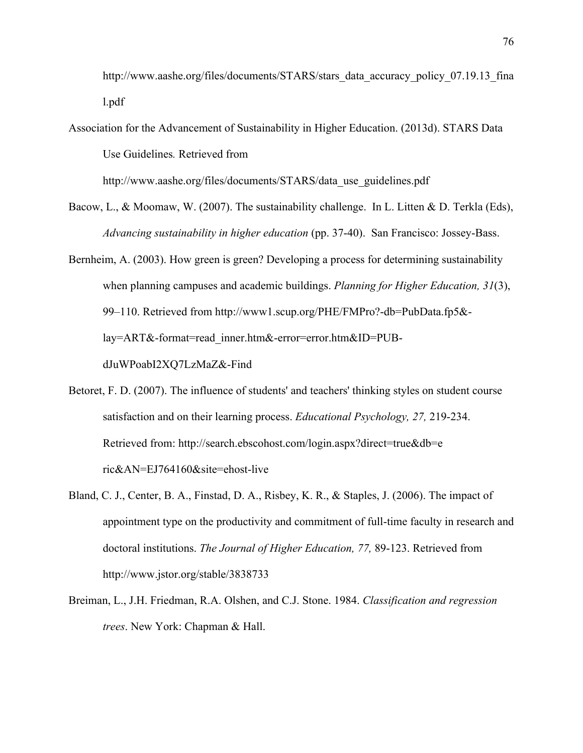http://www.aashe.org/files/documents/STARS/stars\_data\_accuracy\_policy\_07.19.13\_fina l.pdf

Association for the Advancement of Sustainability in Higher Education. (2013d). STARS Data Use Guidelines*.* Retrieved from

http://www.aashe.org/files/documents/STARS/data\_use\_guidelines.pdf

- Bacow, L., & Moomaw, W. (2007). The sustainability challenge. In L. Litten & D. Terkla (Eds), *Advancing sustainability in higher education* (pp. 37-40). San Francisco: Jossey-Bass.
- Bernheim, A. (2003). How green is green? Developing a process for determining sustainability when planning campuses and academic buildings. *Planning for Higher Education, 31*(3), 99–110. Retrieved from http://www1.scup.org/PHE/FMPro?-db=PubData.fp5& lay=ART&-format=read\_inner.htm&-error=error.htm&ID=PUBdJuWPoabI2XQ7LzMaZ&-Find
- Betoret, F. D. (2007). The influence of students' and teachers' thinking styles on student course satisfaction and on their learning process. *Educational Psychology, 27,* 219-234. Retrieved from: http://search.ebscohost.com/login.aspx?direct=true&db=e ric&AN=EJ764160&site=ehost-live
- Bland, C. J., Center, B. A., Finstad, D. A., Risbey, K. R., & Staples, J. (2006). The impact of appointment type on the productivity and commitment of full-time faculty in research and doctoral institutions. *The Journal of Higher Education, 77,* 89-123. Retrieved from http://www.jstor.org/stable/3838733
- Breiman, L., J.H. Friedman, R.A. Olshen, and C.J. Stone. 1984. *Classification and regression trees*. New York: Chapman & Hall.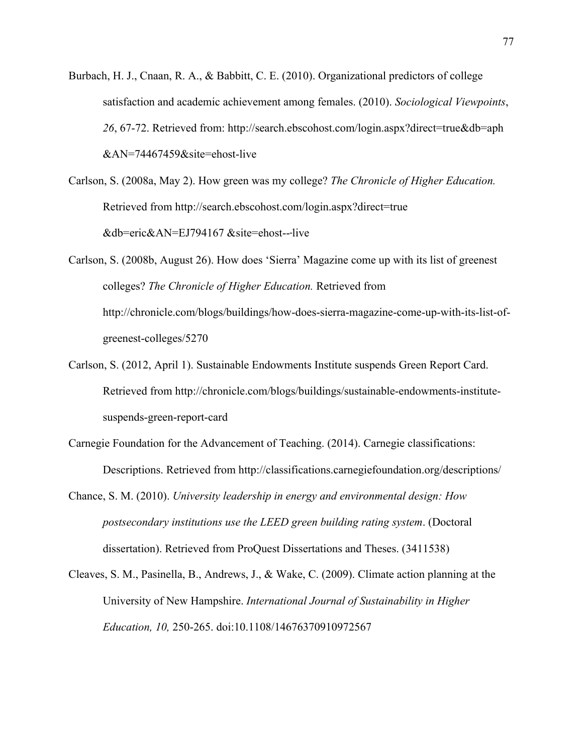- Burbach, H. J., Cnaan, R. A., & Babbitt, C. E. (2010). Organizational predictors of college satisfaction and academic achievement among females. (2010). *Sociological Viewpoints*, *26*, 67-72. Retrieved from: http://search.ebscohost.com/login.aspx?direct=true&db=aph &AN=74467459&site=ehost-live
- Carlson, S. (2008a, May 2). How green was my college? *The Chronicle of Higher Education.* Retrieved from http://search.ebscohost.com/login.aspx?direct=true &db=eric&AN=EJ794167 &site=ehost--‐live

Carlson, S. (2008b, August 26). How does 'Sierra' Magazine come up with its list of greenest colleges? *The Chronicle of Higher Education.* Retrieved from http://chronicle.com/blogs/buildings/how-does-sierra-magazine-come-up-with-its-list-ofgreenest-colleges/5270

- Carlson, S. (2012, April 1). Sustainable Endowments Institute suspends Green Report Card. Retrieved from http://chronicle.com/blogs/buildings/sustainable-endowments-institutesuspends-green-report-card
- Carnegie Foundation for the Advancement of Teaching. (2014). Carnegie classifications: Descriptions. Retrieved from http://classifications.carnegiefoundation.org/descriptions/
- Chance, S. M. (2010). *University leadership in energy and environmental design: How postsecondary institutions use the LEED green building rating system*. (Doctoral dissertation). Retrieved from ProQuest Dissertations and Theses. (3411538)
- Cleaves, S. M., Pasinella, B., Andrews, J., & Wake, C. (2009). Climate action planning at the University of New Hampshire. *International Journal of Sustainability in Higher Education, 10,* 250-265. doi:10.1108/14676370910972567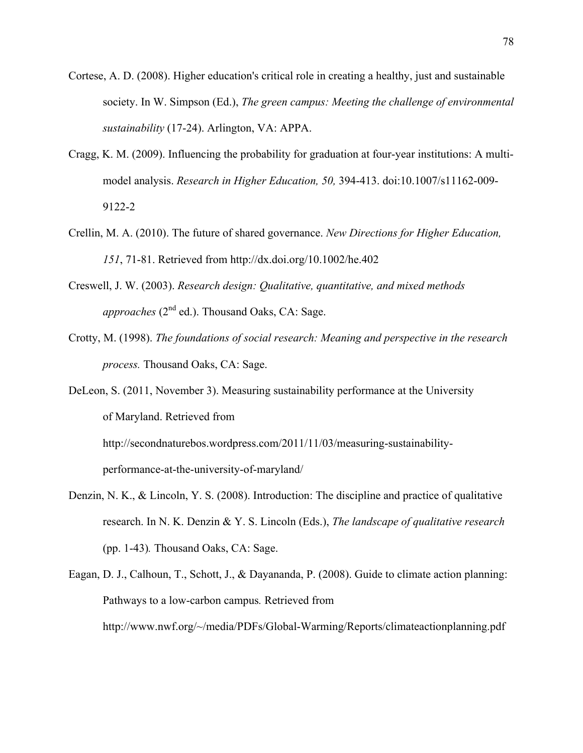- Cortese, A. D. (2008). Higher education's critical role in creating a healthy, just and sustainable society. In W. Simpson (Ed.), *The green campus: Meeting the challenge of environmental sustainability* (17-24). Arlington, VA: APPA.
- Cragg, K. M. (2009). Influencing the probability for graduation at four-year institutions: A multimodel analysis. *Research in Higher Education, 50,* 394-413. doi:10.1007/s11162-009- 9122-2
- Crellin, M. A. (2010). The future of shared governance. *New Directions for Higher Education, 151*, 71-81. Retrieved from http://dx.doi.org/10.1002/he.402
- Creswell, J. W. (2003). *Research design: Qualitative, quantitative, and mixed methods approaches* ( $2<sup>nd</sup>$  ed.). Thousand Oaks, CA: Sage.
- Crotty, M. (1998). *The foundations of social research: Meaning and perspective in the research process.* Thousand Oaks, CA: Sage.

DeLeon, S. (2011, November 3). Measuring sustainability performance at the University of Maryland. Retrieved from http://secondnaturebos.wordpress.com/2011/11/03/measuring-sustainabilityperformance-at-the-university-of-maryland/

- Denzin, N. K., & Lincoln, Y. S. (2008). Introduction: The discipline and practice of qualitative research. In N. K. Denzin & Y. S. Lincoln (Eds.), *The landscape of qualitative research* (pp. 1-43)*.* Thousand Oaks, CA: Sage.
- Eagan, D. J., Calhoun, T., Schott, J., & Dayananda, P. (2008). Guide to climate action planning: Pathways to a low-carbon campus*.* Retrieved from http://www.nwf.org/~/media/PDFs/Global-Warming/Reports/climateactionplanning.pdf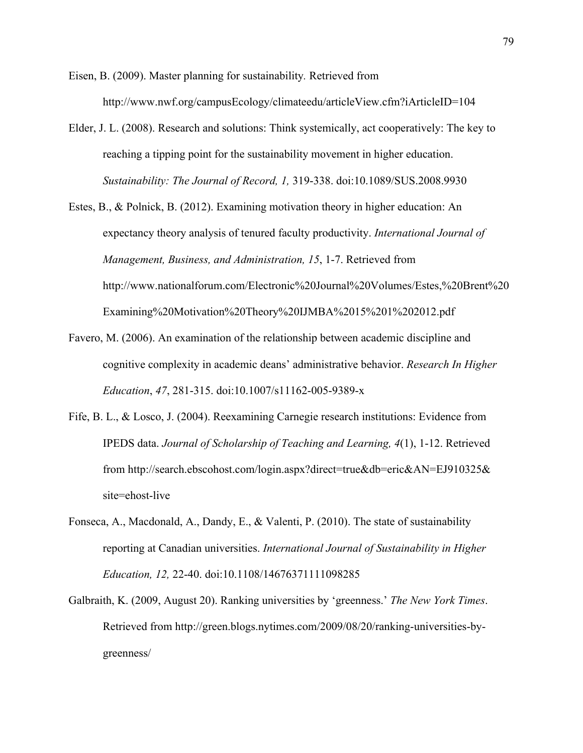Eisen, B. (2009). Master planning for sustainability*.* Retrieved from http://www.nwf.org/campusEcology/climateedu/articleView.cfm?iArticleID=104

- Elder, J. L. (2008). Research and solutions: Think systemically, act cooperatively: The key to reaching a tipping point for the sustainability movement in higher education. *Sustainability: The Journal of Record, 1,* 319-338. doi:10.1089/SUS.2008.9930
- Estes, B., & Polnick, B. (2012). Examining motivation theory in higher education: An expectancy theory analysis of tenured faculty productivity. *International Journal of Management, Business, and Administration, 15*, 1-7. Retrieved from http://www.nationalforum.com/Electronic%20Journal%20Volumes/Estes,%20Brent%20 Examining%20Motivation%20Theory%20IJMBA%2015%201%202012.pdf
- Favero, M. (2006). An examination of the relationship between academic discipline and cognitive complexity in academic deans' administrative behavior. *Research In Higher Education*, *47*, 281-315. doi:10.1007/s11162-005-9389-x
- Fife, B. L., & Losco, J. (2004). Reexamining Carnegie research institutions: Evidence from IPEDS data. *Journal of Scholarship of Teaching and Learning, 4*(1), 1-12. Retrieved from http://search.ebscohost.com/login.aspx?direct=true&db=eric&AN=EJ910325& site=ehost-live
- Fonseca, A., Macdonald, A., Dandy, E., & Valenti, P. (2010). The state of sustainability reporting at Canadian universities. *International Journal of Sustainability in Higher Education, 12,* 22-40. doi:10.1108/14676371111098285
- Galbraith, K. (2009, August 20). Ranking universities by 'greenness.' *The New York Times*. Retrieved from http://green.blogs.nytimes.com/2009/08/20/ranking-universities-bygreenness/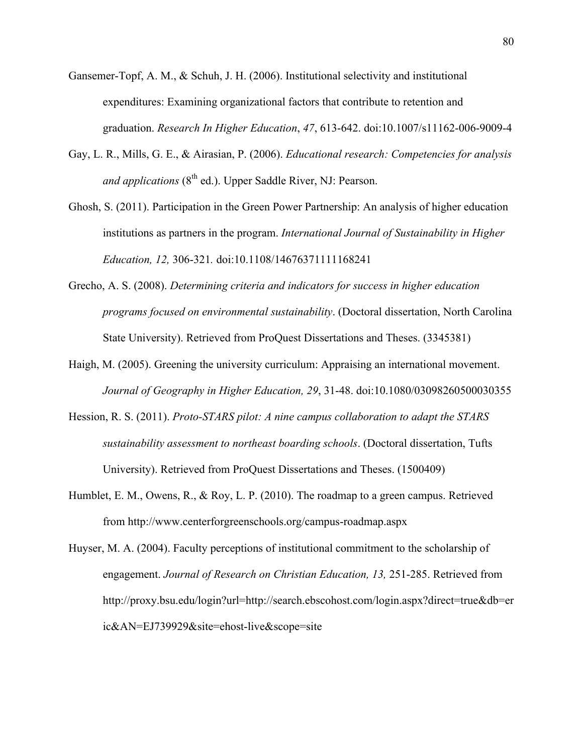- Gansemer-Topf, A. M., & Schuh, J. H. (2006). Institutional selectivity and institutional expenditures: Examining organizational factors that contribute to retention and graduation. *Research In Higher Education*, *47*, 613-642. doi:10.1007/s11162-006-9009-4
- Gay, L. R., Mills, G. E., & Airasian, P. (2006). *Educational research: Competencies for analysis and applications* (8<sup>th</sup> ed.). Upper Saddle River, NJ: Pearson.
- Ghosh, S. (2011). Participation in the Green Power Partnership: An analysis of higher education institutions as partners in the program. *International Journal of Sustainability in Higher Education, 12,* 306-321*.* doi:10.1108/14676371111168241
- Grecho, A. S. (2008). *Determining criteria and indicators for success in higher education programs focused on environmental sustainability*. (Doctoral dissertation, North Carolina State University). Retrieved from ProQuest Dissertations and Theses. (3345381)
- Haigh, M. (2005). Greening the university curriculum: Appraising an international movement. *Journal of Geography in Higher Education, 29*, 31-48. doi:10.1080/03098260500030355
- Hession, R. S. (2011). *Proto-STARS pilot: A nine campus collaboration to adapt the STARS sustainability assessment to northeast boarding schools*. (Doctoral dissertation, Tufts University). Retrieved from ProQuest Dissertations and Theses. (1500409)
- Humblet, E. M., Owens, R., & Roy, L. P. (2010). The roadmap to a green campus. Retrieved from http://www.centerforgreenschools.org/campus-roadmap.aspx

Huyser, M. A. (2004). Faculty perceptions of institutional commitment to the scholarship of engagement. *Journal of Research on Christian Education, 13,* 251-285. Retrieved from http://proxy.bsu.edu/login?url=http://search.ebscohost.com/login.aspx?direct=true&db=er ic&AN=EJ739929&site=ehost-live&scope=site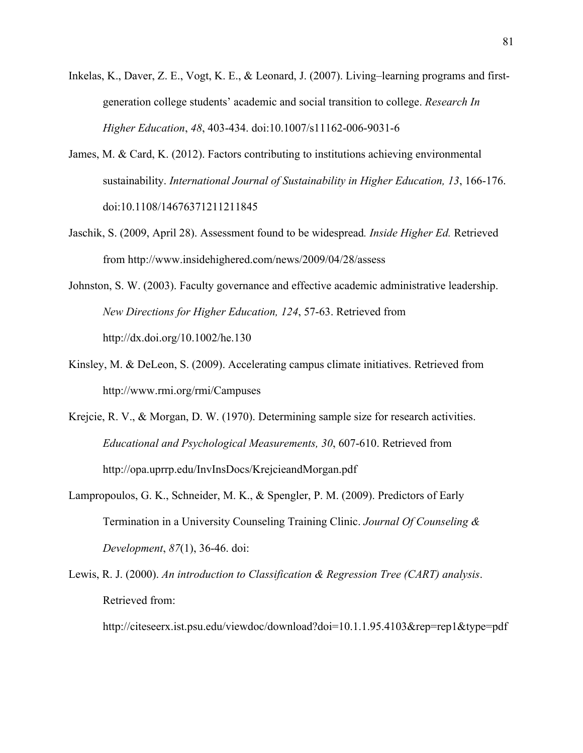- Inkelas, K., Daver, Z. E., Vogt, K. E., & Leonard, J. (2007). Living–learning programs and firstgeneration college students' academic and social transition to college. *Research In Higher Education*, *48*, 403-434. doi:10.1007/s11162-006-9031-6
- James, M. & Card, K. (2012). Factors contributing to institutions achieving environmental sustainability. *International Journal of Sustainability in Higher Education, 13*, 166-176. doi:10.1108/14676371211211845
- Jaschik, S. (2009, April 28). Assessment found to be widespread*. Inside Higher Ed.* Retrieved from http://www.insidehighered.com/news/2009/04/28/assess
- Johnston, S. W. (2003). Faculty governance and effective academic administrative leadership. *New Directions for Higher Education, 124*, 57-63. Retrieved from http://dx.doi.org/10.1002/he.130
- Kinsley, M. & DeLeon, S. (2009). Accelerating campus climate initiatives. Retrieved from http://www.rmi.org/rmi/Campuses
- Krejcie, R. V., & Morgan, D. W. (1970). Determining sample size for research activities. *Educational and Psychological Measurements, 30*, 607-610. Retrieved from http://opa.uprrp.edu/InvInsDocs/KrejcieandMorgan.pdf
- Lampropoulos, G. K., Schneider, M. K., & Spengler, P. M. (2009). Predictors of Early Termination in a University Counseling Training Clinic. *Journal Of Counseling & Development*, *87*(1), 36-46. doi:
- Lewis, R. J. (2000). *An introduction to Classification & Regression Tree (CART) analysis*. Retrieved from:

http://citeseerx.ist.psu.edu/viewdoc/download?doi=10.1.1.95.4103&rep=rep1&type=pdf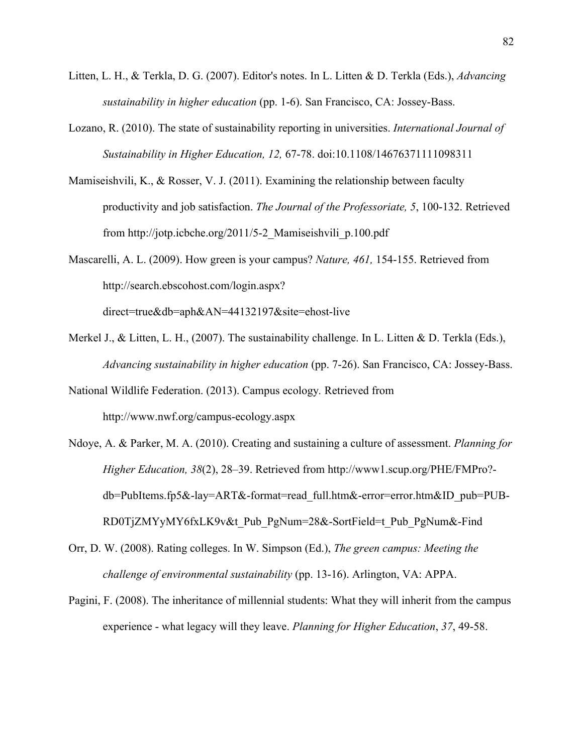- Litten, L. H., & Terkla, D. G. (2007). Editor's notes. In L. Litten & D. Terkla (Eds.), *Advancing sustainability in higher education* (pp. 1-6). San Francisco, CA: Jossey-Bass.
- Lozano, R. (2010). The state of sustainability reporting in universities. *International Journal of Sustainability in Higher Education, 12,* 67-78. doi:10.1108/14676371111098311
- Mamiseishvili, K., & Rosser, V. J. (2011). Examining the relationship between faculty productivity and job satisfaction. *The Journal of the Professoriate, 5*, 100-132. Retrieved from http://jotp.icbche.org/2011/5-2\_Mamiseishvili\_p.100.pdf
- Mascarelli, A. L. (2009). How green is your campus? *Nature, 461,* 154-155. Retrieved from http://search.ebscohost.com/login.aspx? direct=true&db=aph&AN=44132197&site=ehost-live
- Merkel J., & Litten, L. H., (2007). The sustainability challenge. In L. Litten & D. Terkla (Eds.), *Advancing sustainability in higher education* (pp. 7-26). San Francisco, CA: Jossey-Bass.

National Wildlife Federation. (2013). Campus ecology*.* Retrieved from http://www.nwf.org/campus-ecology.aspx

- Ndoye, A. & Parker, M. A. (2010). Creating and sustaining a culture of assessment. *Planning for Higher Education, 38*(2), 28–39. Retrieved from http://www1.scup.org/PHE/FMPro? db=PubItems.fp5&-lay=ART&-format=read\_full.htm&-error=error.htm&ID\_pub=PUB-RD0TjZMYyMY6fxLK9v&t\_Pub\_PgNum=28&-SortField=t\_Pub\_PgNum&-Find
- Orr, D. W. (2008). Rating colleges. In W. Simpson (Ed.), *The green campus: Meeting the challenge of environmental sustainability* (pp. 13-16). Arlington, VA: APPA.
- Pagini, F. (2008). The inheritance of millennial students: What they will inherit from the campus experience - what legacy will they leave. *Planning for Higher Education*, *37*, 49-58.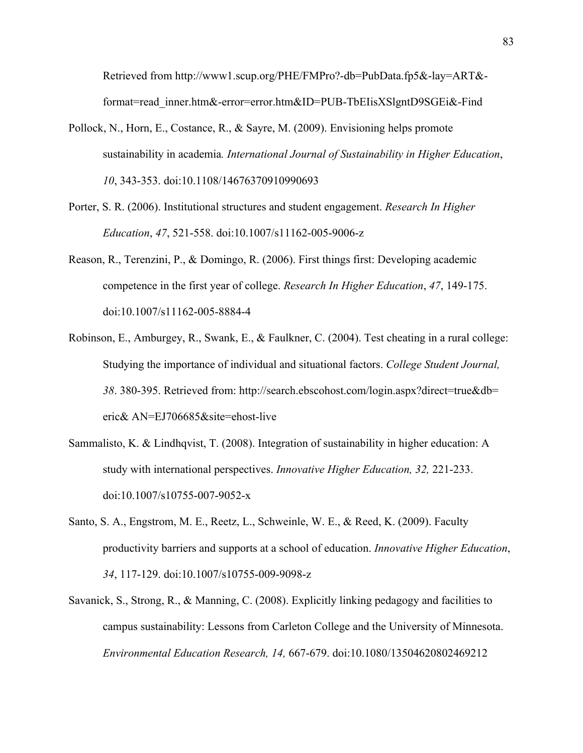Retrieved from http://www1.scup.org/PHE/FMPro?-db=PubData.fp5&-lay=ART& format=read\_inner.htm&-error=error.htm&ID=PUB-TbEIisXSlgntD9SGEi&-Find

- Pollock, N., Horn, E., Costance, R., & Sayre, M. (2009). Envisioning helps promote sustainability in academia*. International Journal of Sustainability in Higher Education*, *10*, 343-353. doi:10.1108/14676370910990693
- Porter, S. R. (2006). Institutional structures and student engagement. *Research In Higher Education*, *47*, 521-558. doi:10.1007/s11162-005-9006-z
- Reason, R., Terenzini, P., & Domingo, R. (2006). First things first: Developing academic competence in the first year of college. *Research In Higher Education*, *47*, 149-175. doi:10.1007/s11162-005-8884-4
- Robinson, E., Amburgey, R., Swank, E., & Faulkner, C. (2004). Test cheating in a rural college: Studying the importance of individual and situational factors. *College Student Journal, 38*. 380-395. Retrieved from: http://search.ebscohost.com/login.aspx?direct=true&db= eric& AN=EJ706685&site=ehost-live
- Sammalisto, K. & Lindhqvist, T. (2008). Integration of sustainability in higher education: A study with international perspectives. *Innovative Higher Education, 32,* 221-233. doi:10.1007/s10755-007-9052-x
- Santo, S. A., Engstrom, M. E., Reetz, L., Schweinle, W. E., & Reed, K. (2009). Faculty productivity barriers and supports at a school of education. *Innovative Higher Education*, *34*, 117-129. doi:10.1007/s10755-009-9098-z
- Savanick, S., Strong, R., & Manning, C. (2008). Explicitly linking pedagogy and facilities to campus sustainability: Lessons from Carleton College and the University of Minnesota. *Environmental Education Research, 14,* 667-679. doi:10.1080/13504620802469212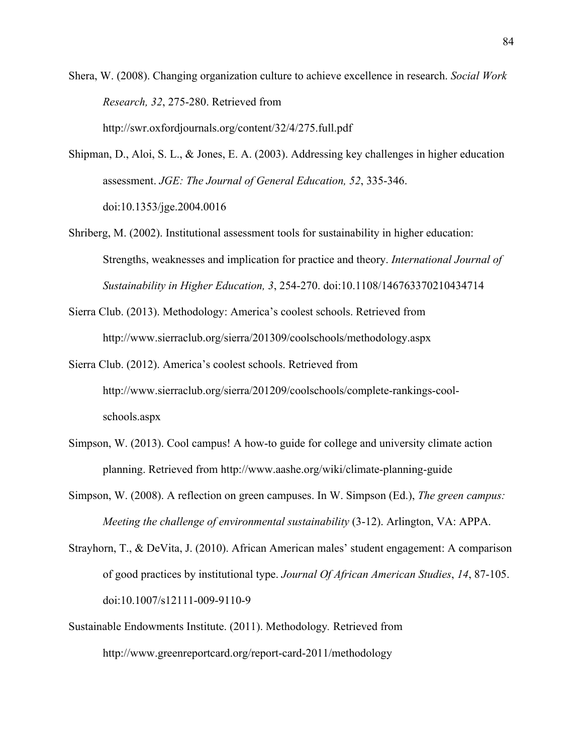Shera, W. (2008). Changing organization culture to achieve excellence in research. *Social Work Research, 32*, 275-280. Retrieved from http://swr.oxfordjournals.org/content/32/4/275.full.pdf

Shipman, D., Aloi, S. L., & Jones, E. A. (2003). Addressing key challenges in higher education assessment. *JGE: The Journal of General Education, 52*, 335-346. doi:10.1353/jge.2004.0016

- Shriberg, M. (2002). Institutional assessment tools for sustainability in higher education: Strengths, weaknesses and implication for practice and theory. *International Journal of Sustainability in Higher Education, 3*, 254-270. doi:10.1108/146763370210434714
- Sierra Club. (2013). Methodology: America's coolest schools. Retrieved from http://www.sierraclub.org/sierra/201309/coolschools/methodology.aspx
- Sierra Club. (2012). America's coolest schools. Retrieved from http://www.sierraclub.org/sierra/201209/coolschools/complete-rankings-coolschools.aspx
- Simpson, W. (2013). Cool campus! A how-to guide for college and university climate action planning. Retrieved from http://www.aashe.org/wiki/climate-planning-guide
- Simpson, W. (2008). A reflection on green campuses. In W. Simpson (Ed.), *The green campus: Meeting the challenge of environmental sustainability* (3-12). Arlington, VA: APPA.
- Strayhorn, T., & DeVita, J. (2010). African American males' student engagement: A comparison of good practices by institutional type. *Journal Of African American Studies*, *14*, 87-105. doi:10.1007/s12111-009-9110-9
- Sustainable Endowments Institute. (2011). Methodology*.* Retrieved from http://www.greenreportcard.org/report-card-2011/methodology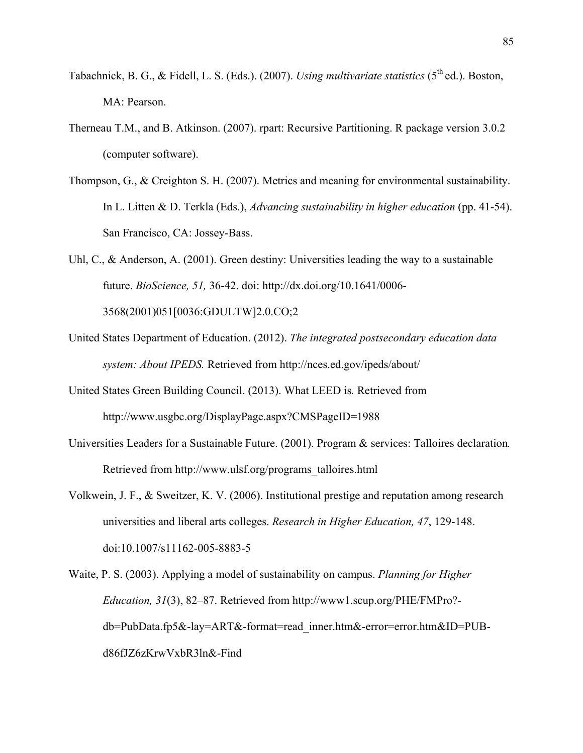- Tabachnick, B. G., & Fidell, L. S. (Eds.). (2007). *Using multivariate statistics* (5<sup>th</sup> ed.). Boston, MA: Pearson.
- Therneau T.M., and B. Atkinson. (2007). rpart: Recursive Partitioning. R package version 3.0.2 (computer software).
- Thompson, G., & Creighton S. H. (2007). Metrics and meaning for environmental sustainability. In L. Litten & D. Terkla (Eds.), *Advancing sustainability in higher education* (pp. 41-54). San Francisco, CA: Jossey-Bass.

Uhl, C., & Anderson, A. (2001). Green destiny: Universities leading the way to a sustainable future. *BioScience, 51,* 36-42. doi: http://dx.doi.org/10.1641/0006- 3568(2001)051[0036:GDULTW]2.0.CO;2

- United States Department of Education. (2012). *The integrated postsecondary education data system: About IPEDS.* Retrieved from http://nces.ed.gov/ipeds/about/
- United States Green Building Council. (2013). What LEED is*.* Retrieved from http://www.usgbc.org/DisplayPage.aspx?CMSPageID=1988
- Universities Leaders for a Sustainable Future. (2001). Program & services: Talloires declaration*.* Retrieved from http://www.ulsf.org/programs\_talloires.html
- Volkwein, J. F., & Sweitzer, K. V. (2006). Institutional prestige and reputation among research universities and liberal arts colleges. *Research in Higher Education, 47*, 129-148. doi:10.1007/s11162-005-8883-5
- Waite, P. S. (2003). Applying a model of sustainability on campus. *Planning for Higher Education, 31*(3), 82–87. Retrieved from http://www1.scup.org/PHE/FMPro? db=PubData.fp5&-lay=ART&-format=read\_inner.htm&-error=error.htm&ID=PUBd86fJZ6zKrwVxbR3ln&-Find